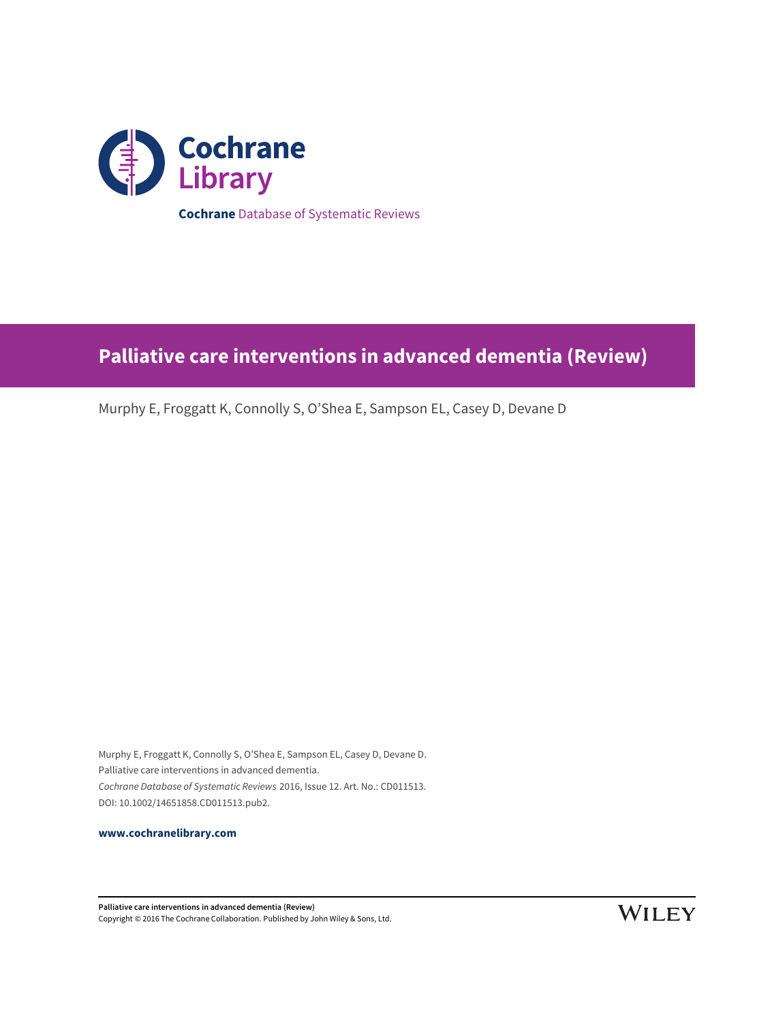

# **Palliative care interventions in advanced dementia (Review)**

Murphy E, Froggatt K, Connolly S, O'Shea E, Sampson EL, Casey D, Devane D

Murphy E, Froggatt K, Connolly S, O'Shea E, Sampson EL, Casey D, Devane D. Palliative care interventions in advanced dementia. Cochrane Database of Systematic Reviews 2016, Issue 12. Art. No.: CD011513. DOI: 10.1002/14651858.CD011513.pub2.

**[www.cochranelibrary.com](http://www.cochranelibrary.com)**

**Palliative care interventions in advanced dementia (Review)** Copyright © 2016 The Cochrane Collaboration. Published by John Wiley & Sons, Ltd.

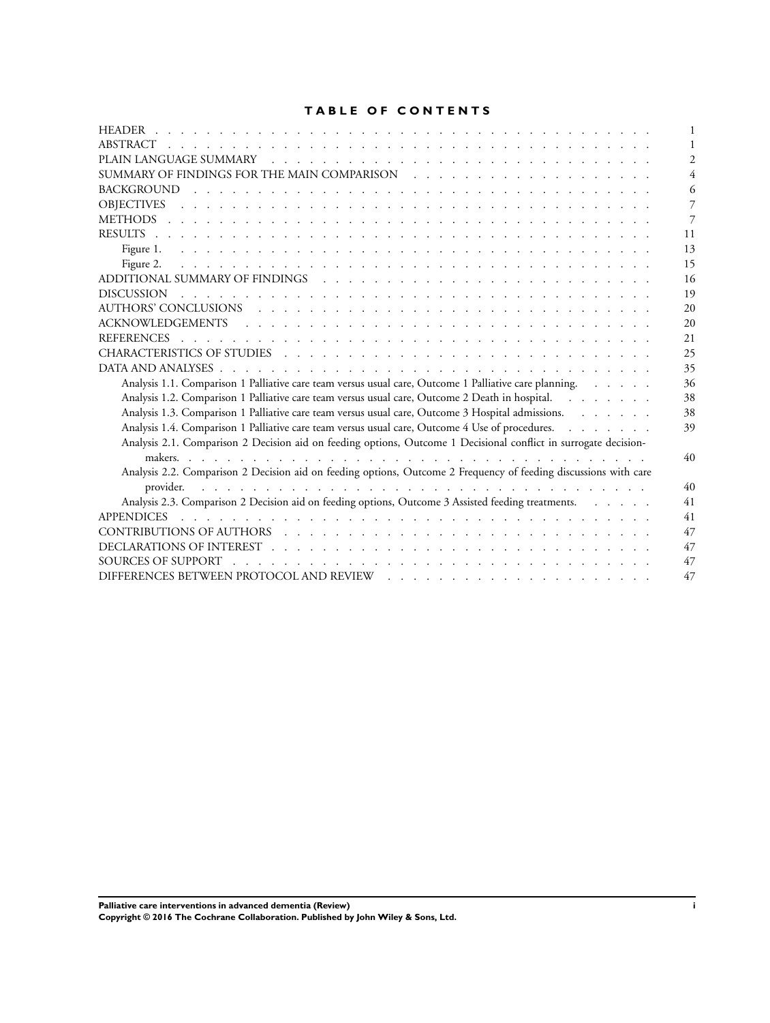# **TABLE OF CONTENTS**

|                                                                                                                                                                                                                                                     | 11 |
|-----------------------------------------------------------------------------------------------------------------------------------------------------------------------------------------------------------------------------------------------------|----|
|                                                                                                                                                                                                                                                     | 13 |
|                                                                                                                                                                                                                                                     | 15 |
|                                                                                                                                                                                                                                                     | 16 |
| and the contract of the contract of the contract of the contract of the contract of the contract of the contract of the contract of the contract of the contract of the contract of the contract of the contract of the contra<br><b>DISCUSSION</b> | 19 |
|                                                                                                                                                                                                                                                     | 20 |
|                                                                                                                                                                                                                                                     | 20 |
|                                                                                                                                                                                                                                                     | 21 |
|                                                                                                                                                                                                                                                     | 25 |
|                                                                                                                                                                                                                                                     | 35 |
| Analysis 1.1. Comparison 1 Palliative care team versus usual care, Outcome 1 Palliative care planning.                                                                                                                                              | 36 |
| Analysis 1.2. Comparison 1 Palliative care team versus usual care, Outcome 2 Death in hospital.                                                                                                                                                     | 38 |
| Analysis 1.3. Comparison 1 Palliative care team versus usual care, Outcome 3 Hospital admissions.                                                                                                                                                   | 38 |
| Analysis 1.4. Comparison 1 Palliative care team versus usual care, Outcome 4 Use of procedures.                                                                                                                                                     | 39 |
| Analysis 2.1. Comparison 2 Decision aid on feeding options, Outcome 1 Decisional conflict in surrogate decision-                                                                                                                                    | 40 |
| Analysis 2.2. Comparison 2 Decision aid on feeding options, Outcome 2 Frequency of feeding discussions with care                                                                                                                                    |    |
|                                                                                                                                                                                                                                                     | 40 |
| Analysis 2.3. Comparison 2 Decision aid on feeding options, Outcome 3 Assisted feeding treatments.                                                                                                                                                  | 41 |
|                                                                                                                                                                                                                                                     | 41 |
|                                                                                                                                                                                                                                                     | 47 |
|                                                                                                                                                                                                                                                     | 47 |
| <b>SOURCES OF SUPPORT</b><br>and a complete that the complete that the complete that the complete that the complete the                                                                                                                             | 47 |
|                                                                                                                                                                                                                                                     | 47 |

**Palliative care interventions in advanced dementia (Review) i Copyright © 2016 The Cochrane Collaboration. Published by John Wiley & Sons, Ltd.**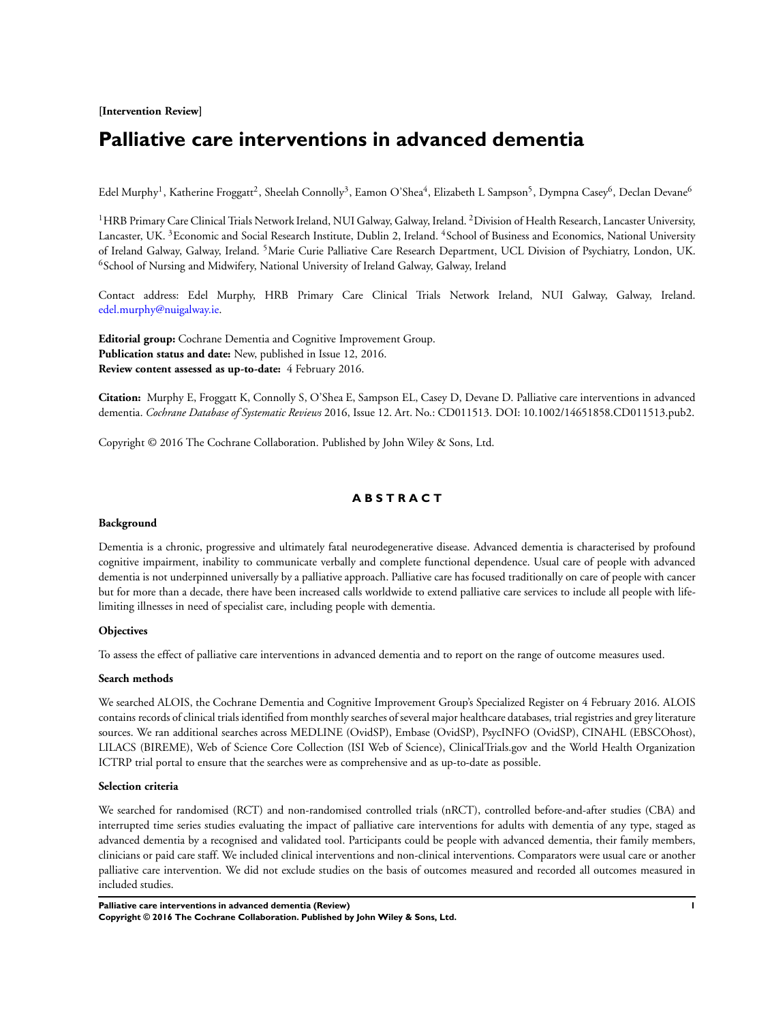**[Intervention Review]**

# **Palliative care interventions in advanced dementia**

Edel Murphy<sup>1</sup>, Katherine Froggatt<sup>2</sup>, Sheelah Connolly<sup>3</sup>, Eamon O'Shea<sup>4</sup>, Elizabeth L Sampson<sup>5</sup>, Dympna Casey<sup>6</sup>, Declan Devane<sup>6</sup>

 $1$ HRB Primary Care Clinical Trials Network Ireland, NUI Galway, Galway, Ireland. <sup>2</sup> Division of Health Research, Lancaster University, Lancaster, UK. <sup>3</sup>Economic and Social Research Institute, Dublin 2, Ireland. <sup>4</sup>School of Business and Economics, National University of Ireland Galway, Galway, Ireland. <sup>5</sup>Marie Curie Palliative Care Research Department, UCL Division of Psychiatry, London, UK. <sup>6</sup>School of Nursing and Midwifery, National University of Ireland Galway, Galway, Ireland

Contact address: Edel Murphy, HRB Primary Care Clinical Trials Network Ireland, NUI Galway, Galway, Ireland. [edel.murphy@nuigalway.ie](mailto:edel.murphy@nuigalway.ie).

**Editorial group:** Cochrane Dementia and Cognitive Improvement Group. **Publication status and date:** New, published in Issue 12, 2016. **Review content assessed as up-to-date:** 4 February 2016.

**Citation:** Murphy E, Froggatt K, Connolly S, O'Shea E, Sampson EL, Casey D, Devane D. Palliative care interventions in advanced dementia. *Cochrane Database of Systematic Reviews* 2016, Issue 12. Art. No.: CD011513. DOI: 10.1002/14651858.CD011513.pub2.

Copyright © 2016 The Cochrane Collaboration. Published by John Wiley & Sons, Ltd.

# **A B S T R A C T**

#### **Background**

Dementia is a chronic, progressive and ultimately fatal neurodegenerative disease. Advanced dementia is characterised by profound cognitive impairment, inability to communicate verbally and complete functional dependence. Usual care of people with advanced dementia is not underpinned universally by a palliative approach. Palliative care has focused traditionally on care of people with cancer but for more than a decade, there have been increased calls worldwide to extend palliative care services to include all people with lifelimiting illnesses in need of specialist care, including people with dementia.

### **Objectives**

To assess the effect of palliative care interventions in advanced dementia and to report on the range of outcome measures used.

#### **Search methods**

We searched ALOIS, the Cochrane Dementia and Cognitive Improvement Group's Specialized Register on 4 February 2016. ALOIS contains records of clinical trials identified from monthly searches of several major healthcare databases, trial registries and grey literature sources. We ran additional searches across MEDLINE (OvidSP), Embase (OvidSP), PsycINFO (OvidSP), CINAHL (EBSCOhost), LILACS (BIREME), Web of Science Core Collection (ISI Web of Science), ClinicalTrials.gov and the World Health Organization ICTRP trial portal to ensure that the searches were as comprehensive and as up-to-date as possible.

### **Selection criteria**

We searched for randomised (RCT) and non-randomised controlled trials (nRCT), controlled before-and-after studies (CBA) and interrupted time series studies evaluating the impact of palliative care interventions for adults with dementia of any type, staged as advanced dementia by a recognised and validated tool. Participants could be people with advanced dementia, their family members, clinicians or paid care staff. We included clinical interventions and non-clinical interventions. Comparators were usual care or another palliative care intervention. We did not exclude studies on the basis of outcomes measured and recorded all outcomes measured in included studies.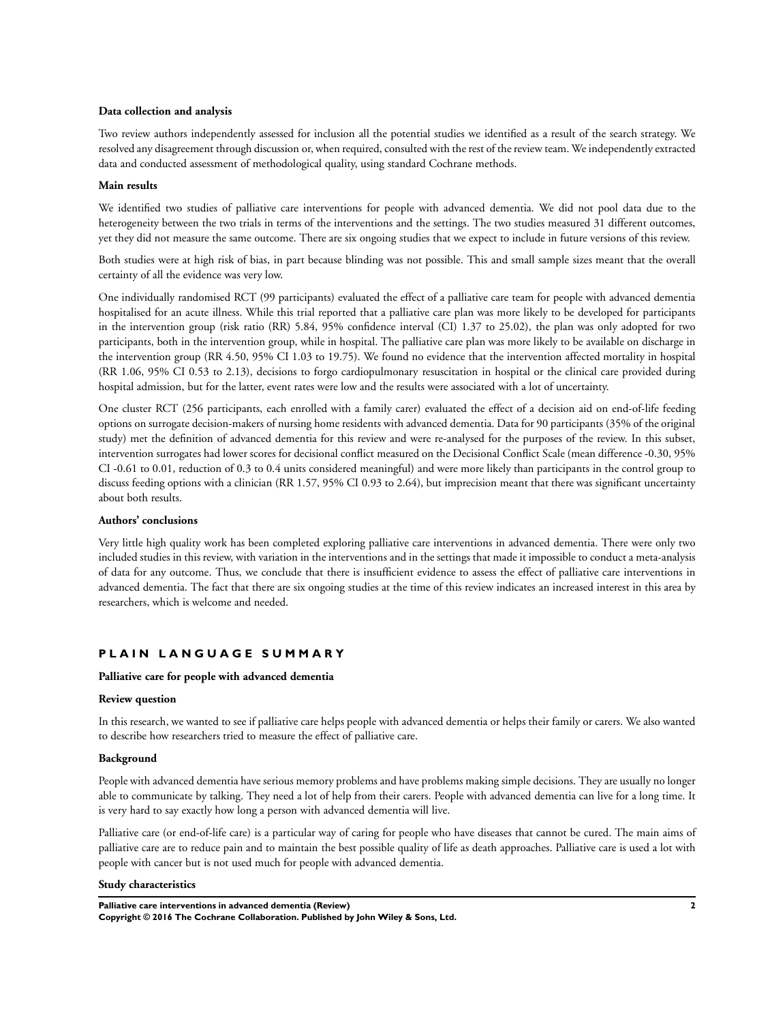#### **Data collection and analysis**

Two review authors independently assessed for inclusion all the potential studies we identified as a result of the search strategy. We resolved any disagreement through discussion or, when required, consulted with the rest of the review team. We independently extracted data and conducted assessment of methodological quality, using standard Cochrane methods.

### **Main results**

We identified two studies of palliative care interventions for people with advanced dementia. We did not pool data due to the heterogeneity between the two trials in terms of the interventions and the settings. The two studies measured 31 different outcomes, yet they did not measure the same outcome. There are six ongoing studies that we expect to include in future versions of this review.

Both studies were at high risk of bias, in part because blinding was not possible. This and small sample sizes meant that the overall certainty of all the evidence was very low.

One individually randomised RCT (99 participants) evaluated the effect of a palliative care team for people with advanced dementia hospitalised for an acute illness. While this trial reported that a palliative care plan was more likely to be developed for participants in the intervention group (risk ratio (RR) 5.84, 95% confidence interval (CI) 1.37 to 25.02), the plan was only adopted for two participants, both in the intervention group, while in hospital. The palliative care plan was more likely to be available on discharge in the intervention group (RR 4.50, 95% CI 1.03 to 19.75). We found no evidence that the intervention affected mortality in hospital (RR 1.06, 95% CI 0.53 to 2.13), decisions to forgo cardiopulmonary resuscitation in hospital or the clinical care provided during hospital admission, but for the latter, event rates were low and the results were associated with a lot of uncertainty.

One cluster RCT (256 participants, each enrolled with a family carer) evaluated the effect of a decision aid on end-of-life feeding options on surrogate decision-makers of nursing home residents with advanced dementia. Data for 90 participants (35% of the original study) met the definition of advanced dementia for this review and were re-analysed for the purposes of the review. In this subset, intervention surrogates had lower scores for decisional conflict measured on the Decisional Conflict Scale (mean difference -0.30, 95% CI -0.61 to 0.01, reduction of 0.3 to 0.4 units considered meaningful) and were more likely than participants in the control group to discuss feeding options with a clinician (RR 1.57, 95% CI 0.93 to 2.64), but imprecision meant that there was significant uncertainty about both results.

### **Authors' conclusions**

Very little high quality work has been completed exploring palliative care interventions in advanced dementia. There were only two included studies in this review, with variation in the interventions and in the settings that made it impossible to conduct a meta-analysis of data for any outcome. Thus, we conclude that there is insufficient evidence to assess the effect of palliative care interventions in advanced dementia. The fact that there are six ongoing studies at the time of this review indicates an increased interest in this area by researchers, which is welcome and needed.

### **P L A I N L A N G U A G E S U M M A R Y**

#### **Palliative care for people with advanced dementia**

#### **Review question**

In this research, we wanted to see if palliative care helps people with advanced dementia or helps their family or carers. We also wanted to describe how researchers tried to measure the effect of palliative care.

#### **Background**

People with advanced dementia have serious memory problems and have problems making simple decisions. They are usually no longer able to communicate by talking. They need a lot of help from their carers. People with advanced dementia can live for a long time. It is very hard to say exactly how long a person with advanced dementia will live.

Palliative care (or end-of-life care) is a particular way of caring for people who have diseases that cannot be cured. The main aims of palliative care are to reduce pain and to maintain the best possible quality of life as death approaches. Palliative care is used a lot with people with cancer but is not used much for people with advanced dementia.

#### **Study characteristics**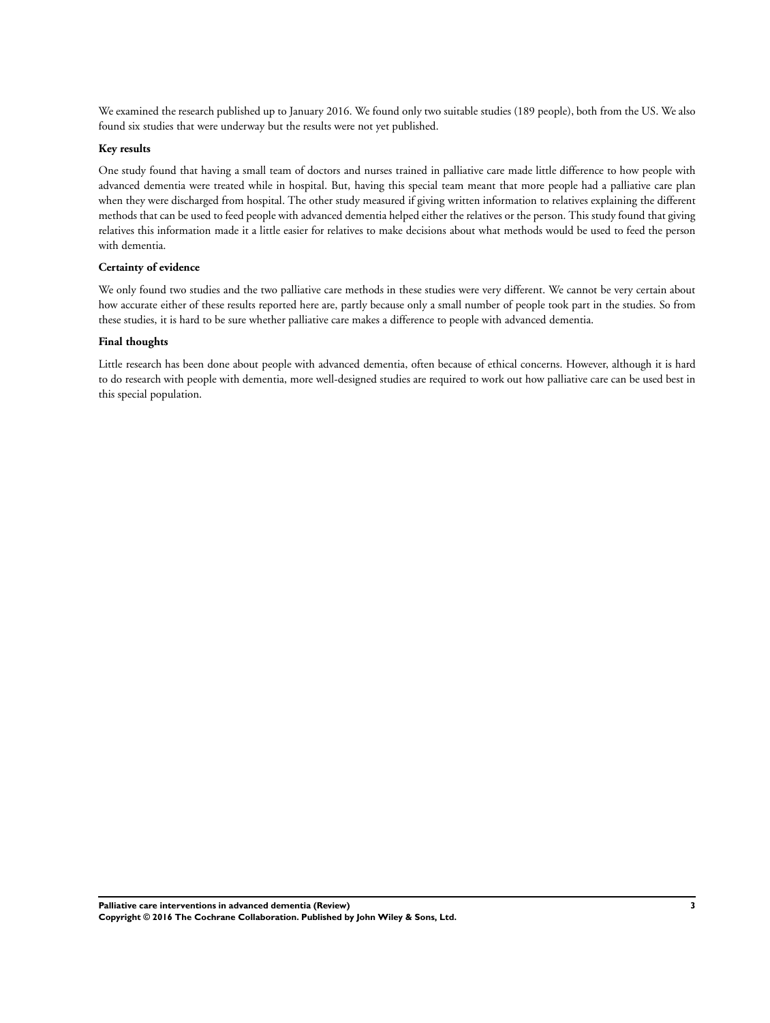We examined the research published up to January 2016. We found only two suitable studies (189 people), both from the US. We also found six studies that were underway but the results were not yet published.

### **Key results**

One study found that having a small team of doctors and nurses trained in palliative care made little difference to how people with advanced dementia were treated while in hospital. But, having this special team meant that more people had a palliative care plan when they were discharged from hospital. The other study measured if giving written information to relatives explaining the different methods that can be used to feed people with advanced dementia helped either the relatives or the person. This study found that giving relatives this information made it a little easier for relatives to make decisions about what methods would be used to feed the person with dementia.

# **Certainty of evidence**

We only found two studies and the two palliative care methods in these studies were very different. We cannot be very certain about how accurate either of these results reported here are, partly because only a small number of people took part in the studies. So from these studies, it is hard to be sure whether palliative care makes a difference to people with advanced dementia.

# **Final thoughts**

Little research has been done about people with advanced dementia, often because of ethical concerns. However, although it is hard to do research with people with dementia, more well-designed studies are required to work out how palliative care can be used best in this special population.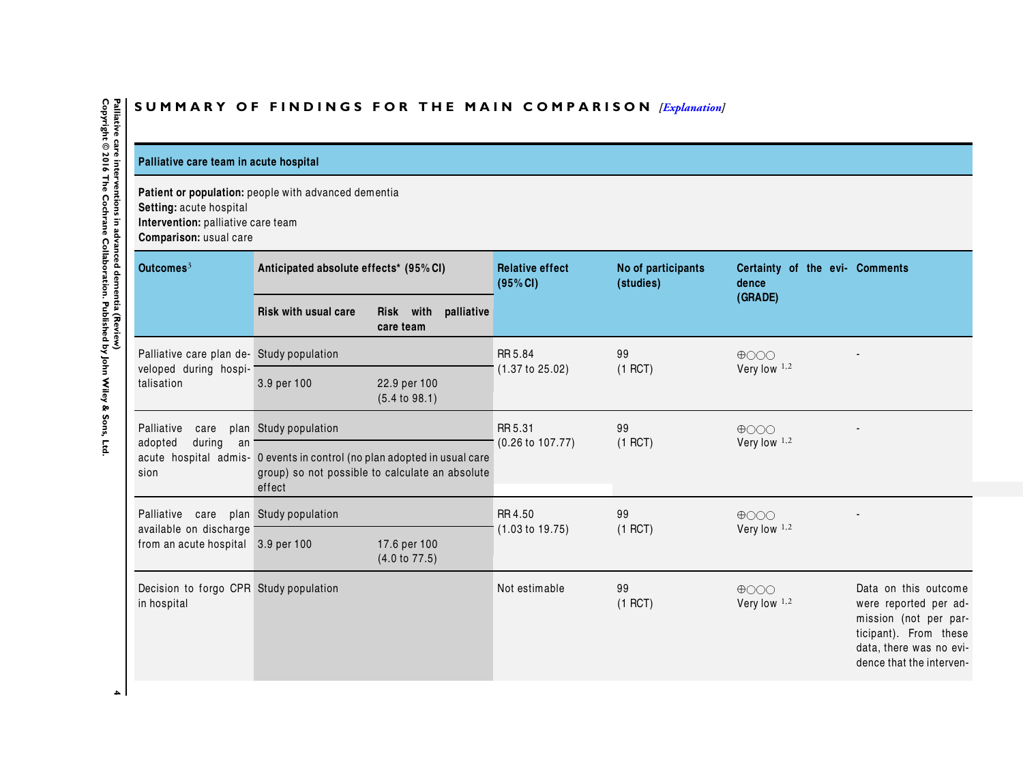# <span id="page-5-0"></span>SUMMARY OF FINDINGS FOR THE MAIN COMPARISON *[\[Explanation\]](http://www.thecochranelibrary.com/view/0/SummaryFindings.html)*

# **Palliative care team in acute hospital**

**Patient or population:** people with advanced dementia**Setting:** acute hospital **Intervention:** palliative care team

**Comparison:** usual care

| Outcomes $3$                                                                                                                                                             | Anticipated absolute effects* (95% CI) |                                                | <b>Relative effect</b><br>(95% CI) | No of participants<br>(studies) | Certainty of the evi- Comments<br>dence |                                                                                                                                                        |
|--------------------------------------------------------------------------------------------------------------------------------------------------------------------------|----------------------------------------|------------------------------------------------|------------------------------------|---------------------------------|-----------------------------------------|--------------------------------------------------------------------------------------------------------------------------------------------------------|
|                                                                                                                                                                          | <b>Risk with usual care</b>            | with<br><b>Risk</b><br>palliative<br>care team |                                    |                                 | (GRADE)                                 |                                                                                                                                                        |
| Palliative care plan de- Study population                                                                                                                                |                                        |                                                | RR 5.84                            | 99                              | $\bigoplus$                             |                                                                                                                                                        |
| veloped during hospi-<br>talisation                                                                                                                                      | 3.9 per 100                            | 22.9 per 100<br>$(5.4 \text{ to } 98.1)$       | $(1.37 \text{ to } 25.02)$         | $(1$ RCT)                       | Very low $1,2$                          |                                                                                                                                                        |
| Palliative<br>care                                                                                                                                                       | plan Study population                  |                                                | RR 5.31                            | 99                              | $\bigoplus$                             |                                                                                                                                                        |
| adopted<br>during<br>an<br>acute hospital admis- 0 events in control (no plan adopted in usual care<br>group) so not possible to calculate an absolute<br>sion<br>effect |                                        | $(0.26 \text{ to } 107.77)$                    | $(1$ RCT)                          | Very low $1,2$                  |                                         |                                                                                                                                                        |
| Palliative care plan Study population                                                                                                                                    |                                        |                                                | RR 4.50                            | 99                              | $\bigoplus$                             |                                                                                                                                                        |
| available on discharge<br>from an acute hospital 3.9 per 100                                                                                                             |                                        | 17.6 per 100<br>(4.0 to 77.5)                  | $(1.03 \text{ to } 19.75)$         | $(1$ RCT)                       | Very low $1,2$                          |                                                                                                                                                        |
| Decision to forgo CPR Study population<br>in hospital                                                                                                                    |                                        |                                                | Not estimable                      | 99<br>$(1$ RCT)                 | $\bigoplus$ OOO<br>Very low $1,2$       | Data on this outcome<br>were reported per ad-<br>mission (not per par-<br>ticipant). From these<br>data, there was no evi-<br>dence that the interven- |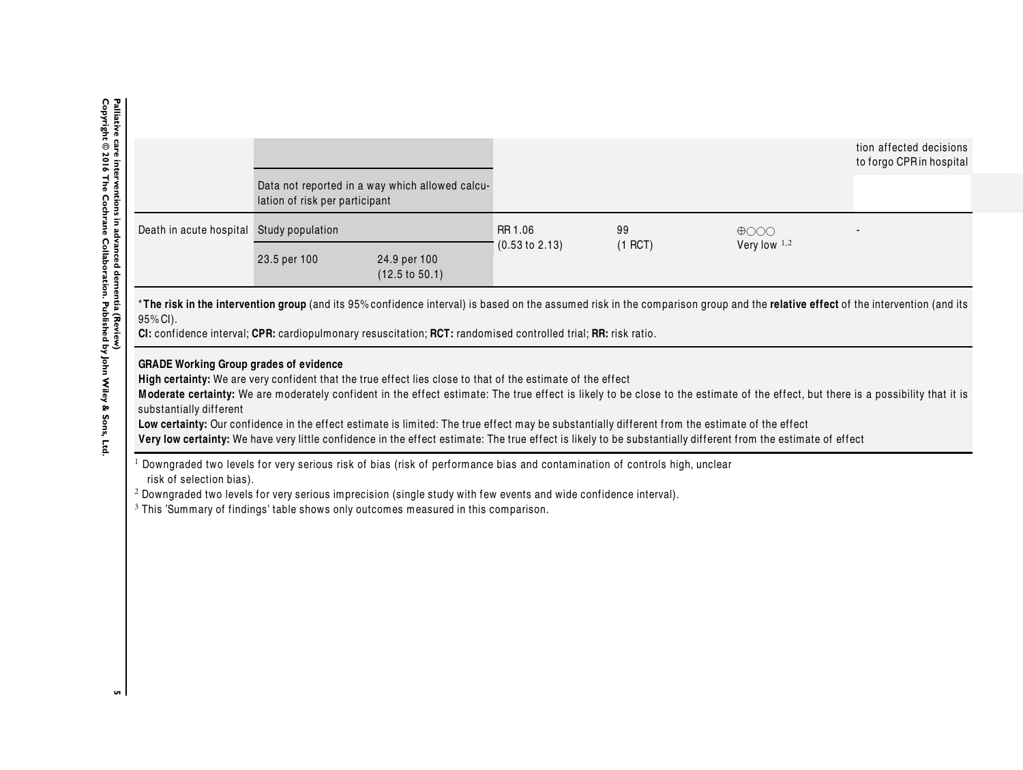|                                          |                                |                                                 |                           |           |                                   | tion affected decisions<br>to forgo CPR in hospital |
|------------------------------------------|--------------------------------|-------------------------------------------------|---------------------------|-----------|-----------------------------------|-----------------------------------------------------|
|                                          | lation of risk per participant | Data not reported in a way which allowed calcu- |                           |           |                                   |                                                     |
| Death in acute hospital Study population |                                |                                                 | RR 1.06                   | 99        | $\bigoplus$ $\bigodot$ $\bigodot$ | $\blacksquare$                                      |
|                                          | 23.5 per 100                   | 24.9 per 100<br>$(12.5 \text{ to } 50.1)$       | $(0.53 \text{ to } 2.13)$ | $(1$ RCT) | Very low $1,2$                    |                                                     |

\***The risk in the intervention group** (and its 95% confidence interval) is based on the assumed risk in the comparison group and the **relative effect** of the intervention (and its 95% CI).

**CI:** confidence interval; **CPR:** cardiopulmonary resuscitation; **RCT:** randomised controlled trial; **RR:** risk ratio.

# **GRADE Working Group grades of evidence**

**High certainty:** We are very confident that the true effect lies close to that of the estimate of the effect

**M oderate certainty:** We are moderately confident in the effect estimate: The true effect is likely to be close to the estimate of the effect, but there is <sup>a</sup> possibility that it is substantially different

**Low certainty:** Our confidence in the effect estimate is limited: The true effect may be substantially different from the estimate of the effect

**Very low certainty:** We have very little confidence in the effect estimate: The true effect is likely to be substantially different from the estimate of effect

 $^{\rm 1}$  Downgraded two levels for very serious risk of bias (risk of performance bias and contamination of controls high, unclear risk of selection bias).

 $^{\rm 2}$  Downgraded two levels for very serious imprecision (single study with few events and wide confidence interval).

 $^3$  This 'Summary of findings' table shows only outcomes measured in this comparison.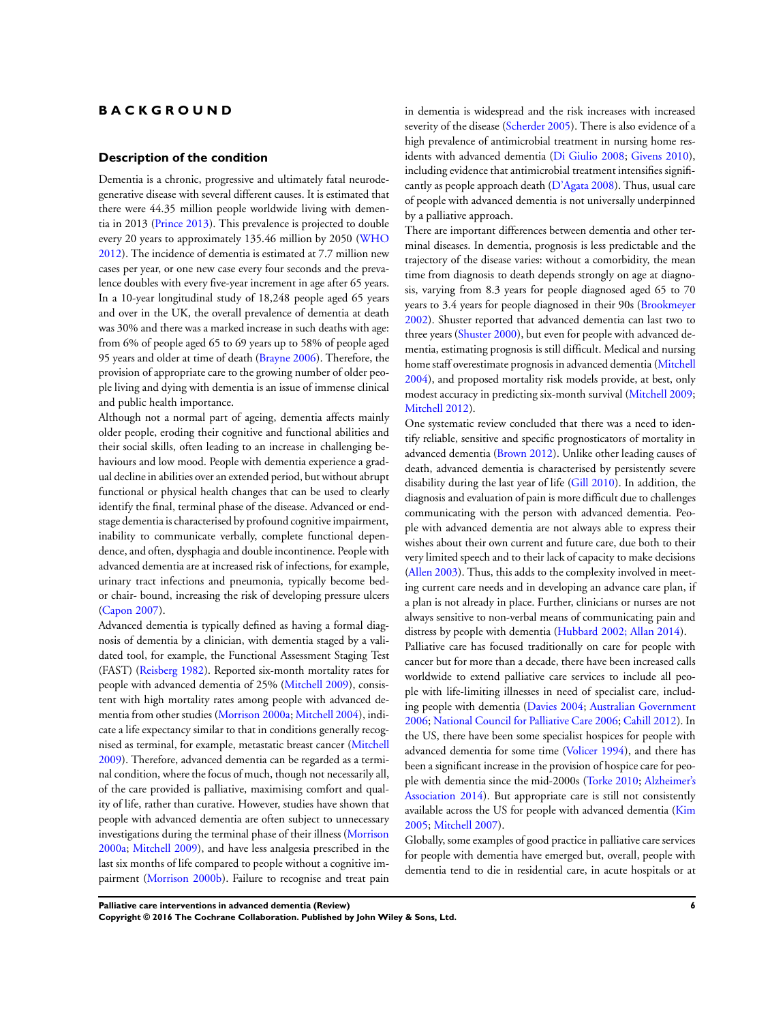# **B A C K G R O U N D**

### **Description of the condition**

Dementia is a chronic, progressive and ultimately fatal neurodegenerative disease with several different causes. It is estimated that there were 44.35 million people worldwide living with dementia in 2013 ([Prince 2013\)](#page-22-0). This prevalence is projected to double every 20 years to approximately 135.46 million by 2050 [\(WHO](#page-22-0) [2012](#page-22-0)). The incidence of dementia is estimated at 7.7 million new cases per year, or one new case every four seconds and the prevalence doubles with every five-year increment in age after 65 years. In a 10-year longitudinal study of 18,248 people aged 65 years and over in the UK, the overall prevalence of dementia at death was 30% and there was a marked increase in such deaths with age: from 6% of people aged 65 to 69 years up to 58% of people aged 95 years and older at time of death [\(Brayne 2006\)](#page-22-0). Therefore, the provision of appropriate care to the growing number of older people living and dying with dementia is an issue of immense clinical and public health importance.

Although not a normal part of ageing, dementia affects mainly older people, eroding their cognitive and functional abilities and their social skills, often leading to an increase in challenging behaviours and low mood. People with dementia experience a gradual decline in abilities over an extended period, but without abrupt functional or physical health changes that can be used to clearly identify the final, terminal phase of the disease. Advanced or endstage dementia is characterised by profound cognitive impairment, inability to communicate verbally, complete functional dependence, and often, dysphagia and double incontinence. People with advanced dementia are at increased risk of infections, for example, urinary tract infections and pneumonia, typically become bedor chair- bound, increasing the risk of developing pressure ulcers [\(Capon 2007\)](#page-22-0).

Advanced dementia is typically defined as having a formal diagnosis of dementia by a clinician, with dementia staged by a validated tool, for example, the Functional Assessment Staging Test (FAST) ([Reisberg 1982\)](#page-22-0). Reported six-month mortality rates for people with advanced dementia of 25% [\(Mitchell 2009\)](#page-22-0), consistent with high mortality rates among people with advanced dementia from other studies ([Morrison 2000a;](#page-22-0) [Mitchell 2004\)](#page-22-0), indicate a life expectancy similar to that in conditions generally recognised as terminal, for example, metastatic breast cancer ([Mitchell](#page-22-0) [2009](#page-22-0)). Therefore, advanced dementia can be regarded as a terminal condition, where the focus of much, though not necessarily all, of the care provided is palliative, maximising comfort and quality of life, rather than curative. However, studies have shown that people with advanced dementia are often subject to unnecessary investigations during the terminal phase of their illness ([Morrison](#page-22-0) [2000a;](#page-22-0) [Mitchell 2009\)](#page-22-0), and have less analgesia prescribed in the last six months of life compared to people without a cognitive impairment ([Morrison 2000b\)](#page-22-0). Failure to recognise and treat pain

in dementia is widespread and the risk increases with increased severity of the disease [\(Scherder 2005\)](#page-22-0). There is also evidence of a high prevalence of antimicrobial treatment in nursing home residents with advanced dementia [\(Di Giulio 2008](#page-22-0); [Givens 2010](#page-22-0)), including evidence that antimicrobial treatment intensifies significantly as people approach death ([D'Agata 2008](#page-22-0)). Thus, usual care of people with advanced dementia is not universally underpinned by a palliative approach.

There are important differences between dementia and other terminal diseases. In dementia, prognosis is less predictable and the trajectory of the disease varies: without a comorbidity, the mean time from diagnosis to death depends strongly on age at diagnosis, varying from 8.3 years for people diagnosed aged 65 to 70 years to 3.4 years for people diagnosed in their 90s ([Brookmeyer](#page-22-0) [2002](#page-22-0)). Shuster reported that advanced dementia can last two to three years [\(Shuster 2000](#page-22-0)), but even for people with advanced dementia, estimating prognosis is still difficult. Medical and nursing home staff overestimate prognosis in advanced dementia ([Mitchell](#page-22-0) [2004](#page-22-0)), and proposed mortality risk models provide, at best, only modest accuracy in predicting six-month survival ([Mitchell 2009;](#page-22-0) [Mitchell 2012\)](#page-22-0).

One systematic review concluded that there was a need to identify reliable, sensitive and specific prognosticators of mortality in advanced dementia [\(Brown 2012\)](#page-22-0). Unlike other leading causes of death, advanced dementia is characterised by persistently severe disability during the last year of life ([Gill 2010\)](#page-22-0). In addition, the diagnosis and evaluation of pain is more difficult due to challenges communicating with the person with advanced dementia. People with advanced dementia are not always able to express their wishes about their own current and future care, due both to their very limited speech and to their lack of capacity to make decisions [\(Allen 2003](#page-22-0)). Thus, this adds to the complexity involved in meeting current care needs and in developing an advance care plan, if a plan is not already in place. Further, clinicians or nurses are not always sensitive to non-verbal means of communicating pain and distress by people with dementia [\(Hubbard 2002; Allan 2014](#page-22-0)).

Palliative care has focused traditionally on care for people with cancer but for more than a decade, there have been increased calls worldwide to extend palliative care services to include all people with life-limiting illnesses in need of specialist care, including people with dementia ([Davies 2004;](#page-22-0) [Australian Government](#page-22-0) [2006](#page-22-0); [National Council for Palliative Care 2006](#page-22-0); [Cahill 2012\)](#page-22-0). In the US, there have been some specialist hospices for people with advanced dementia for some time [\(Volicer 1994](#page-22-0)), and there has been a significant increase in the provision of hospice care for people with dementia since the mid-2000s ([Torke 2010](#page-22-0); [Alzheimer's](#page-22-0) [Association 2014\)](#page-22-0). But appropriate care is still not consistently available across the US for people with advanced dementia ([Kim](#page-22-0) [2005](#page-22-0); [Mitchell 2007](#page-22-0)).

Globally, some examples of good practice in palliative care services for people with dementia have emerged but, overall, people with dementia tend to die in residential care, in acute hospitals or at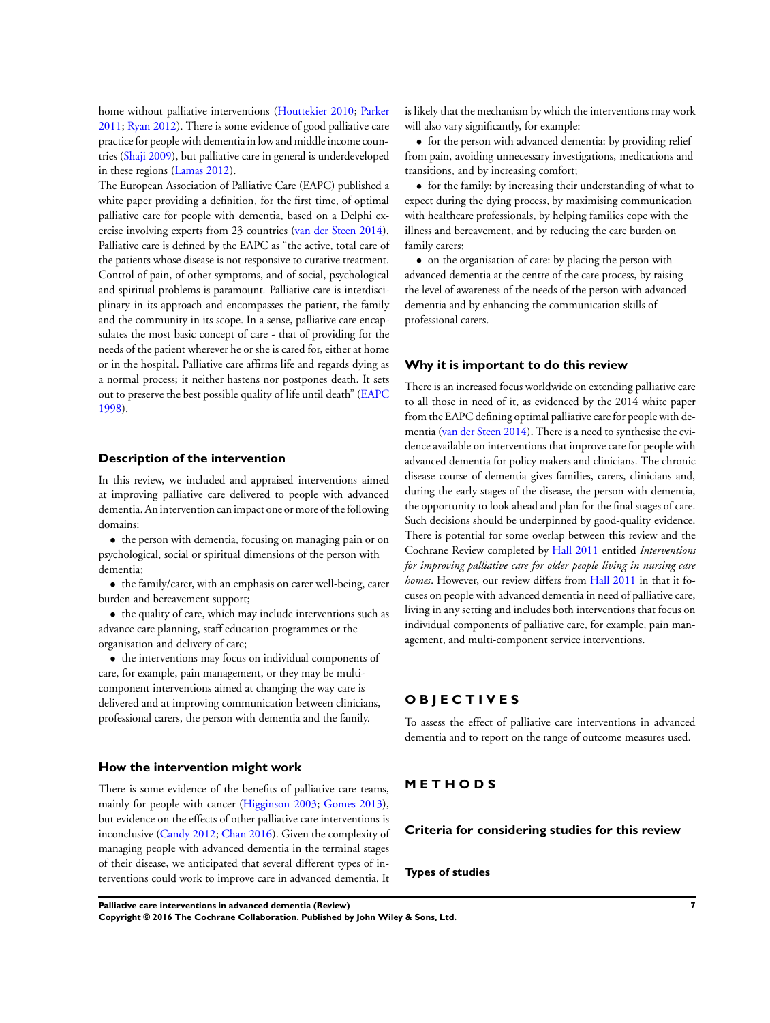home without palliative interventions ([Houttekier 2010;](#page-22-0) [Parker](#page-22-0) [2011](#page-22-0); [Ryan 2012\)](#page-22-0). There is some evidence of good palliative care practice for people with dementia in low and middle income countries ([Shaji 2009\)](#page-22-0), but palliative care in general is underdeveloped in these regions [\(Lamas 2012\)](#page-22-0).

The European Association of Palliative Care (EAPC) published a white paper providing a definition, for the first time, of optimal palliative care for people with dementia, based on a Delphi exercise involving experts from 23 countries [\(van der Steen 2014](#page-22-0)). Palliative care is defined by the EAPC as "the active, total care of the patients whose disease is not responsive to curative treatment. Control of pain, of other symptoms, and of social, psychological and spiritual problems is paramount*.* Palliative care is interdisciplinary in its approach and encompasses the patient, the family and the community in its scope. In a sense, palliative care encapsulates the most basic concept of care - that of providing for the needs of the patient wherever he or she is cared for, either at home or in the hospital. Palliative care affirms life and regards dying as a normal process; it neither hastens nor postpones death. It sets out to preserve the best possible quality of life until death" [\(EAPC](#page-22-0) [1998](#page-22-0)).

### **Description of the intervention**

In this review, we included and appraised interventions aimed at improving palliative care delivered to people with advanced dementia. An intervention can impact one or more of the following domains:

• the person with dementia, focusing on managing pain or on psychological, social or spiritual dimensions of the person with dementia;

• the family/carer, with an emphasis on carer well-being, carer burden and bereavement support;

• the quality of care, which may include interventions such as advance care planning, staff education programmes or the organisation and delivery of care;

• the interventions may focus on individual components of care, for example, pain management, or they may be multicomponent interventions aimed at changing the way care is delivered and at improving communication between clinicians, professional carers, the person with dementia and the family.

# **How the intervention might work**

There is some evidence of the benefits of palliative care teams, mainly for people with cancer [\(Higginson 2003](#page-22-0); [Gomes 2013](#page-22-0)), but evidence on the effects of other palliative care interventions is inconclusive ([Candy 2012](#page-22-0); [Chan 2016\)](#page-22-0). Given the complexity of managing people with advanced dementia in the terminal stages of their disease, we anticipated that several different types of interventions could work to improve care in advanced dementia. It

is likely that the mechanism by which the interventions may work will also vary significantly, for example:

• for the person with advanced dementia: by providing relief from pain, avoiding unnecessary investigations, medications and transitions, and by increasing comfort;

• for the family: by increasing their understanding of what to expect during the dying process, by maximising communication with healthcare professionals, by helping families cope with the illness and bereavement, and by reducing the care burden on family carers;

• on the organisation of care: by placing the person with advanced dementia at the centre of the care process, by raising the level of awareness of the needs of the person with advanced dementia and by enhancing the communication skills of professional carers.

### **Why it is important to do this review**

There is an increased focus worldwide on extending palliative care to all those in need of it, as evidenced by the 2014 white paper from the EAPC defining optimal palliative care for people with dementia ([van der Steen 2014\)](#page-22-0). There is a need to synthesise the evidence available on interventions that improve care for people with advanced dementia for policy makers and clinicians. The chronic disease course of dementia gives families, carers, clinicians and, during the early stages of the disease, the person with dementia, the opportunity to look ahead and plan for the final stages of care. Such decisions should be underpinned by good-quality evidence. There is potential for some overlap between this review and the Cochrane Review completed by [Hall 2011](#page-22-0) entitled *Interventions for improving palliative care for older people living in nursing care homes*. However, our review differs from [Hall 2011](#page-22-0) in that it focuses on people with advanced dementia in need of palliative care, living in any setting and includes both interventions that focus on individual components of palliative care, for example, pain management, and multi-component service interventions.

# **O B J E C T I V E S**

To assess the effect of palliative care interventions in advanced dementia and to report on the range of outcome measures used.

# **M E T H O D S**

# **Criteria for considering studies for this review**

# **Types of studies**

**Palliative care interventions in advanced dementia (Review) 7**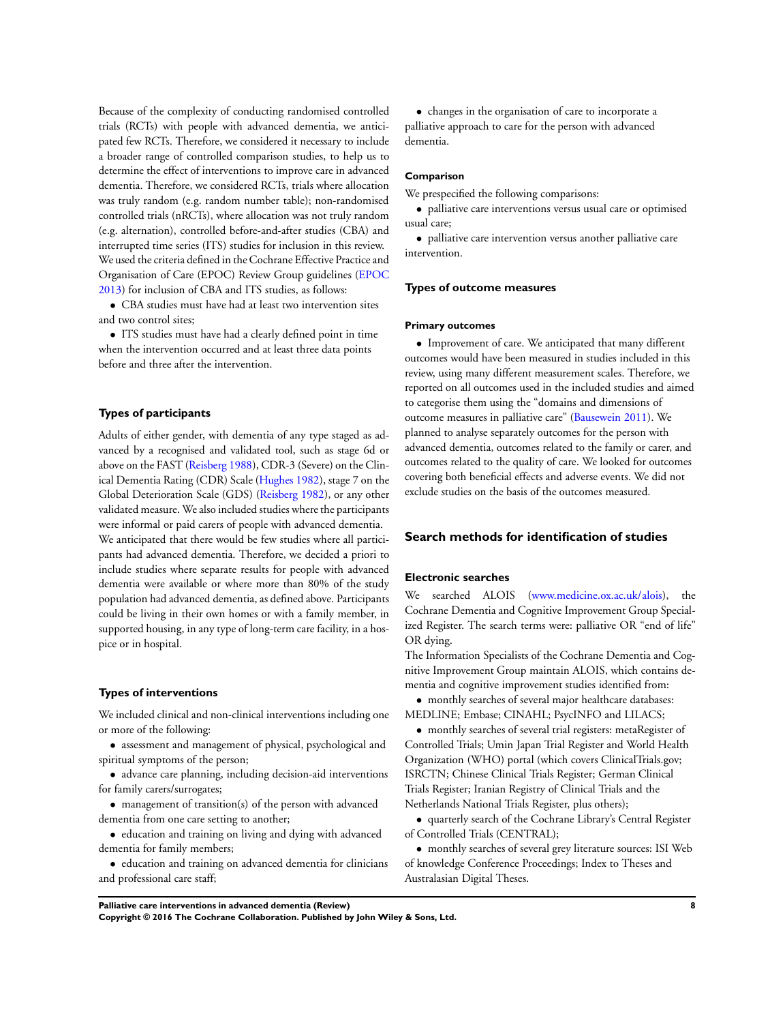Because of the complexity of conducting randomised controlled trials (RCTs) with people with advanced dementia, we anticipated few RCTs. Therefore, we considered it necessary to include a broader range of controlled comparison studies, to help us to determine the effect of interventions to improve care in advanced dementia. Therefore, we considered RCTs, trials where allocation was truly random (e.g. random number table); non-randomised controlled trials (nRCTs), where allocation was not truly random (e.g. alternation), controlled before-and-after studies (CBA) and interrupted time series (ITS) studies for inclusion in this review. We used the criteria defined in the Cochrane Effective Practice and Organisation of Care (EPOC) Review Group guidelines ([EPOC](#page-22-0) [2013](#page-22-0)) for inclusion of CBA and ITS studies, as follows:

• CBA studies must have had at least two intervention sites and two control sites;

• ITS studies must have had a clearly defined point in time when the intervention occurred and at least three data points before and three after the intervention.

### **Types of participants**

Adults of either gender, with dementia of any type staged as advanced by a recognised and validated tool, such as stage 6d or above on the FAST [\(Reisberg 1988](#page-22-0)), CDR-3 (Severe) on the Clinical Dementia Rating (CDR) Scale [\(Hughes 1982](#page-22-0)), stage 7 on the Global Deterioration Scale (GDS) ([Reisberg 1982\)](#page-22-0), or any other validated measure. We also included studies where the participants were informal or paid carers of people with advanced dementia. We anticipated that there would be few studies where all participants had advanced dementia. Therefore, we decided a priori to include studies where separate results for people with advanced dementia were available or where more than 80% of the study population had advanced dementia, as defined above. Participants could be living in their own homes or with a family member, in supported housing, in any type of long-term care facility, in a hospice or in hospital.

#### **Types of interventions**

We included clinical and non-clinical interventions including one or more of the following:

• assessment and management of physical, psychological and spiritual symptoms of the person;

• advance care planning, including decision-aid interventions for family carers/surrogates;

• management of transition(s) of the person with advanced dementia from one care setting to another;

• education and training on living and dying with advanced dementia for family members;

• education and training on advanced dementia for clinicians and professional care staff;

• changes in the organisation of care to incorporate a palliative approach to care for the person with advanced dementia.

#### **Comparison**

We prespecified the following comparisons:

• palliative care interventions versus usual care or optimised usual care;

• palliative care intervention versus another palliative care intervention.

#### **Types of outcome measures**

#### **Primary outcomes**

• Improvement of care. We anticipated that many different outcomes would have been measured in studies included in this review, using many different measurement scales. Therefore, we reported on all outcomes used in the included studies and aimed to categorise them using the "domains and dimensions of outcome measures in palliative care" ([Bausewein 2011\)](#page-22-0). We planned to analyse separately outcomes for the person with advanced dementia, outcomes related to the family or carer, and outcomes related to the quality of care. We looked for outcomes covering both beneficial effects and adverse events. We did not exclude studies on the basis of the outcomes measured.

# **Search methods for identification of studies**

## **Electronic searches**

We searched ALOIS [\(www.medicine.ox.ac.uk/alois](http://www.medicine.ox.ac.uk/alois)), the Cochrane Dementia and Cognitive Improvement Group Specialized Register. The search terms were: palliative OR "end of life" OR dying.

The Information Specialists of the Cochrane Dementia and Cognitive Improvement Group maintain ALOIS, which contains dementia and cognitive improvement studies identified from:

• monthly searches of several major healthcare databases: MEDLINE; Embase; CINAHL; PsycINFO and LILACS;

• monthly searches of several trial registers: metaRegister of Controlled Trials; Umin Japan Trial Register and World Health Organization (WHO) portal (which covers ClinicalTrials.gov; ISRCTN; Chinese Clinical Trials Register; German Clinical Trials Register; Iranian Registry of Clinical Trials and the Netherlands National Trials Register, plus others);

• quarterly search of the Cochrane Library's Central Register of Controlled Trials (CENTRAL);

• monthly searches of several grey literature sources: ISI Web of knowledge Conference Proceedings; Index to Theses and Australasian Digital Theses.

**Palliative care interventions in advanced dementia (Review) 8**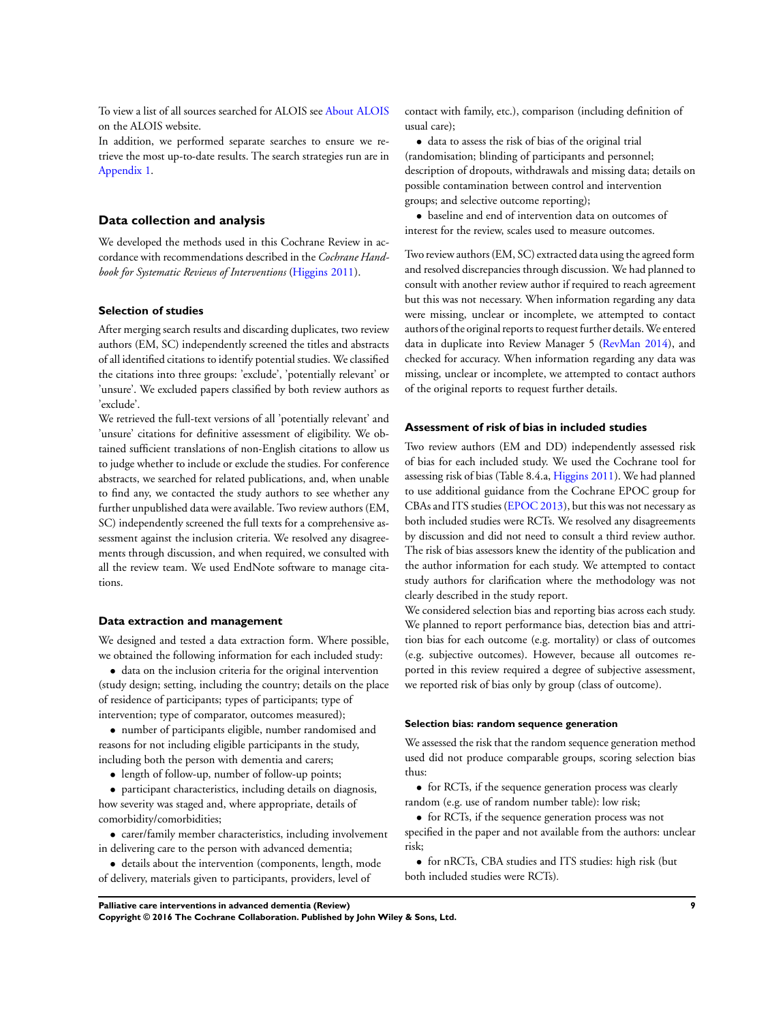To view a list of all sources searched for ALOIS see [About ALOIS](http://www.medicine.ox.ac.uk/alois/content/about-alois) on the ALOIS website.

In addition, we performed separate searches to ensure we retrieve the most up-to-date results. The search strategies run are in [Appendix 1.](#page-43-0)

### **Data collection and analysis**

We developed the methods used in this Cochrane Review in accordance with recommendations described in the *Cochrane Handbook for Systematic Reviews of Interventions* [\(Higgins 2011](#page-22-0)).

# **Selection of studies**

After merging search results and discarding duplicates, two review authors (EM, SC) independently screened the titles and abstracts of all identified citations to identify potential studies. We classified the citations into three groups: 'exclude', 'potentially relevant' or 'unsure'. We excluded papers classified by both review authors as 'exclude'.

We retrieved the full-text versions of all 'potentially relevant' and 'unsure' citations for definitive assessment of eligibility. We obtained sufficient translations of non-English citations to allow us to judge whether to include or exclude the studies. For conference abstracts, we searched for related publications, and, when unable to find any, we contacted the study authors to see whether any further unpublished data were available. Two review authors (EM, SC) independently screened the full texts for a comprehensive assessment against the inclusion criteria. We resolved any disagreements through discussion, and when required, we consulted with all the review team. We used EndNote software to manage citations.

#### **Data extraction and management**

We designed and tested a data extraction form. Where possible, we obtained the following information for each included study:

• data on the inclusion criteria for the original intervention (study design; setting, including the country; details on the place of residence of participants; types of participants; type of intervention; type of comparator, outcomes measured);

• number of participants eligible, number randomised and reasons for not including eligible participants in the study, including both the person with dementia and carers;

• length of follow-up, number of follow-up points;

• participant characteristics, including details on diagnosis, how severity was staged and, where appropriate, details of comorbidity/comorbidities;

• carer/family member characteristics, including involvement in delivering care to the person with advanced dementia;

• details about the intervention (components, length, mode of delivery, materials given to participants, providers, level of

contact with family, etc.), comparison (including definition of usual care);

• data to assess the risk of bias of the original trial (randomisation; blinding of participants and personnel; description of dropouts, withdrawals and missing data; details on possible contamination between control and intervention groups; and selective outcome reporting);

• baseline and end of intervention data on outcomes of interest for the review, scales used to measure outcomes.

Two review authors (EM, SC) extracted data using the agreed form and resolved discrepancies through discussion. We had planned to consult with another review author if required to reach agreement but this was not necessary. When information regarding any data were missing, unclear or incomplete, we attempted to contact authors of the original reports to request further details.We entered data in duplicate into Review Manager 5 [\(RevMan 2014\)](#page-22-0), and checked for accuracy. When information regarding any data was missing, unclear or incomplete, we attempted to contact authors of the original reports to request further details.

# **Assessment of risk of bias in included studies**

Two review authors (EM and DD) independently assessed risk of bias for each included study. We used the Cochrane tool for assessing risk of bias (Table 8.4.a, [Higgins 2011](#page-22-0)). We had planned to use additional guidance from the Cochrane EPOC group for CBAs and ITS studies ([EPOC 2013\)](#page-22-0), but this was not necessary as both included studies were RCTs. We resolved any disagreements by discussion and did not need to consult a third review author. The risk of bias assessors knew the identity of the publication and the author information for each study. We attempted to contact study authors for clarification where the methodology was not clearly described in the study report.

We considered selection bias and reporting bias across each study. We planned to report performance bias, detection bias and attrition bias for each outcome (e.g. mortality) or class of outcomes (e.g. subjective outcomes). However, because all outcomes reported in this review required a degree of subjective assessment, we reported risk of bias only by group (class of outcome).

# **Selection bias: random sequence generation**

We assessed the risk that the random sequence generation method used did not produce comparable groups, scoring selection bias thus:

• for RCTs, if the sequence generation process was clearly random (e.g. use of random number table): low risk;

• for RCTs, if the sequence generation process was not specified in the paper and not available from the authors: unclear risk;

• for nRCTs, CBA studies and ITS studies: high risk (but both included studies were RCTs)*.*

**Palliative care interventions in advanced dementia (Review) 9 Copyright © 2016 The Cochrane Collaboration. Published by John Wiley & Sons, Ltd.**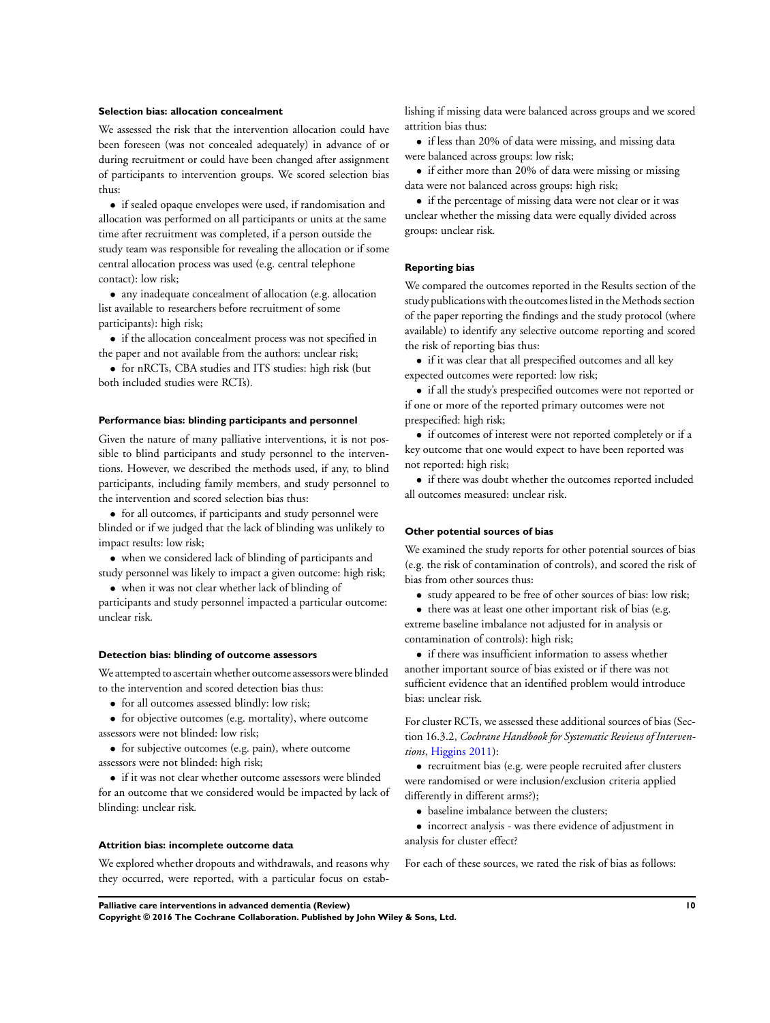#### **Selection bias: allocation concealment**

We assessed the risk that the intervention allocation could have been foreseen (was not concealed adequately) in advance of or during recruitment or could have been changed after assignment of participants to intervention groups. We scored selection bias thus:

• if sealed opaque envelopes were used, if randomisation and allocation was performed on all participants or units at the same time after recruitment was completed, if a person outside the study team was responsible for revealing the allocation or if some central allocation process was used (e.g. central telephone contact): low risk;

• any inadequate concealment of allocation (e.g. allocation list available to researchers before recruitment of some participants): high risk;

• if the allocation concealment process was not specified in the paper and not available from the authors: unclear risk;

• for nRCTs, CBA studies and ITS studies: high risk (but both included studies were RCTs)*.*

#### **Performance bias: blinding participants and personnel**

Given the nature of many palliative interventions, it is not possible to blind participants and study personnel to the interventions. However, we described the methods used, if any, to blind participants, including family members, and study personnel to the intervention and scored selection bias thus:

• for all outcomes, if participants and study personnel were blinded or if we judged that the lack of blinding was unlikely to impact results: low risk;

• when we considered lack of blinding of participants and study personnel was likely to impact a given outcome: high risk;

• when it was not clear whether lack of blinding of participants and study personnel impacted a particular outcome: unclear risk*.*

### **Detection bias: blinding of outcome assessors**

We attempted to ascertain whether outcome assessors were blinded to the intervention and scored detection bias thus:

• for all outcomes assessed blindly: low risk;

• for objective outcomes (e.g. mortality), where outcome assessors were not blinded: low risk;

• for subjective outcomes (e.g. pain), where outcome assessors were not blinded: high risk;

• if it was not clear whether outcome assessors were blinded for an outcome that we considered would be impacted by lack of blinding: unclear risk*.*

#### **Attrition bias: incomplete outcome data**

We explored whether dropouts and withdrawals, and reasons why they occurred, were reported, with a particular focus on establishing if missing data were balanced across groups and we scored attrition bias thus:

• if less than 20% of data were missing, and missing data were balanced across groups: low risk;

• if either more than 20% of data were missing or missing data were not balanced across groups: high risk;

• if the percentage of missing data were not clear or it was unclear whether the missing data were equally divided across groups: unclear risk*.*

### **Reporting bias**

We compared the outcomes reported in the Results section of the study publications with the outcomes listed in the Methods section of the paper reporting the findings and the study protocol (where available) to identify any selective outcome reporting and scored the risk of reporting bias thus:

• if it was clear that all prespecified outcomes and all key expected outcomes were reported: low risk;

• if all the study's prespecified outcomes were not reported or if one or more of the reported primary outcomes were not prespecified: high risk;

• if outcomes of interest were not reported completely or if a key outcome that one would expect to have been reported was not reported: high risk;

• if there was doubt whether the outcomes reported included all outcomes measured: unclear risk.

#### **Other potential sources of bias**

We examined the study reports for other potential sources of bias (e.g. the risk of contamination of controls), and scored the risk of bias from other sources thus:

• study appeared to be free of other sources of bias: low risk;

• there was at least one other important risk of bias (e.g. extreme baseline imbalance not adjusted for in analysis or contamination of controls): high risk;

• if there was insufficient information to assess whether another important source of bias existed or if there was not sufficient evidence that an identified problem would introduce bias: unclear risk*.*

For cluster RCTs, we assessed these additional sources of bias (Section 16.3.2, *Cochrane Handbook for Systematic Reviews of Interventions*, [Higgins 2011\)](#page-22-0):

• recruitment bias (e.g. were people recruited after clusters were randomised or were inclusion/exclusion criteria applied differently in different arms?);

• baseline imbalance between the clusters;

• incorrect analysis - was there evidence of adjustment in analysis for cluster effect?

For each of these sources, we rated the risk of bias as follows:

**Palliative care interventions in advanced dementia (Review) 10**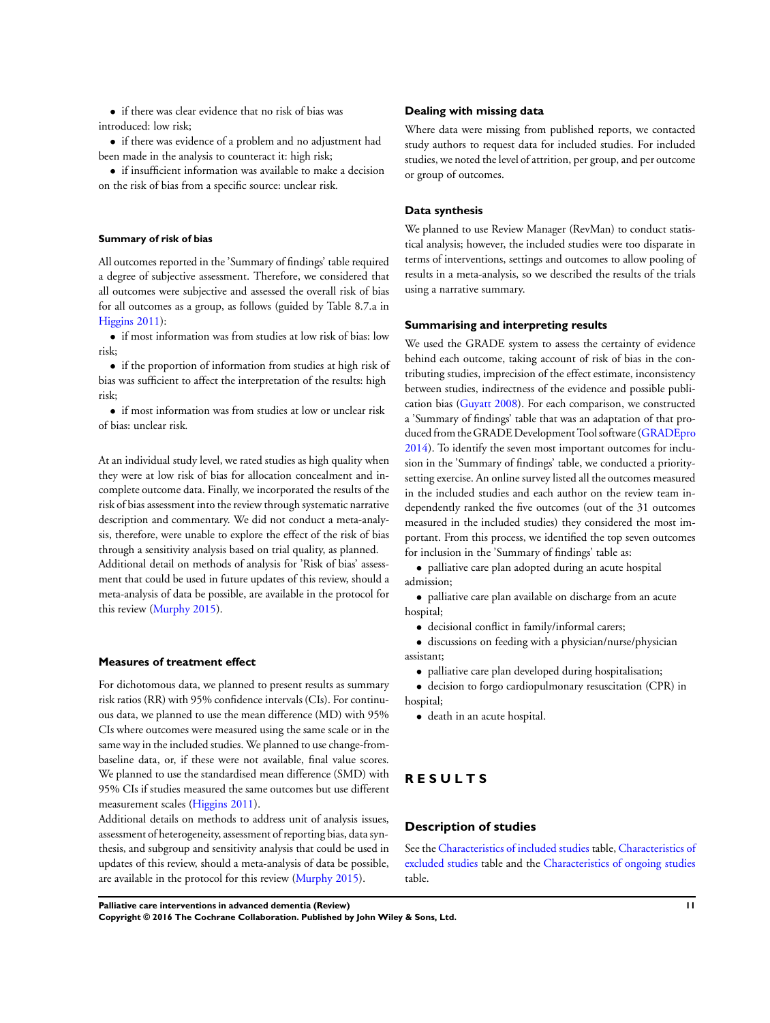• if there was clear evidence that no risk of bias was introduced: low risk;

• if there was evidence of a problem and no adjustment had been made in the analysis to counteract it: high risk;

• if insufficient information was available to make a decision on the risk of bias from a specific source: unclear risk*.*

### **Summary of risk of bias**

All outcomes reported in the 'Summary of findings' table required a degree of subjective assessment. Therefore, we considered that all outcomes were subjective and assessed the overall risk of bias for all outcomes as a group, as follows (guided by Table 8.7.a in [Higgins 2011\)](#page-22-0):

• if most information was from studies at low risk of bias: low risk;

• if the proportion of information from studies at high risk of bias was sufficient to affect the interpretation of the results: high risk;

• if most information was from studies at low or unclear risk of bias: unclear risk*.*

At an individual study level, we rated studies as high quality when they were at low risk of bias for allocation concealment and incomplete outcome data. Finally, we incorporated the results of the risk of bias assessment into the review through systematic narrative description and commentary. We did not conduct a meta-analysis, therefore, were unable to explore the effect of the risk of bias through a sensitivity analysis based on trial quality, as planned. Additional detail on methods of analysis for 'Risk of bias' assessment that could be used in future updates of this review, should a meta-analysis of data be possible, are available in the protocol for this review [\(Murphy 2015](#page-22-0)).

### **Measures of treatment effect**

For dichotomous data, we planned to present results as summary risk ratios (RR) with 95% confidence intervals (CIs). For continuous data, we planned to use the mean difference (MD) with 95% CIs where outcomes were measured using the same scale or in the same way in the included studies. We planned to use change-frombaseline data, or, if these were not available, final value scores. We planned to use the standardised mean difference (SMD) with 95% CIs if studies measured the same outcomes but use different measurement scales ([Higgins 2011](#page-22-0)).

Additional details on methods to address unit of analysis issues, assessment of heterogeneity, assessment of reporting bias, data synthesis, and subgroup and sensitivity analysis that could be used in updates of this review, should a meta-analysis of data be possible, are available in the protocol for this review ([Murphy 2015\)](#page-22-0).

### **Dealing with missing data**

Where data were missing from published reports, we contacted study authors to request data for included studies. For included studies, we noted the level of attrition, per group, and per outcome or group of outcomes.

# **Data synthesis**

We planned to use Review Manager (RevMan) to conduct statistical analysis; however, the included studies were too disparate in terms of interventions, settings and outcomes to allow pooling of results in a meta-analysis, so we described the results of the trials using a narrative summary.

#### **Summarising and interpreting results**

We used the GRADE system to assess the certainty of evidence behind each outcome, taking account of risk of bias in the contributing studies, imprecision of the effect estimate, inconsistency between studies, indirectness of the evidence and possible publication bias ([Guyatt 2008\)](#page-22-0). For each comparison, we constructed a 'Summary of findings' table that was an adaptation of that pro-duced from the GRADE Development Tool software [\(GRADEpro](#page-22-0) [2014](#page-22-0)). To identify the seven most important outcomes for inclusion in the 'Summary of findings' table, we conducted a prioritysetting exercise. An online survey listed all the outcomes measured in the included studies and each author on the review team independently ranked the five outcomes (out of the 31 outcomes measured in the included studies) they considered the most important. From this process, we identified the top seven outcomes for inclusion in the 'Summary of findings' table as:

• palliative care plan adopted during an acute hospital admission;

• palliative care plan available on discharge from an acute hospital;

• decisional conflict in family/informal carers;

• discussions on feeding with a physician/nurse/physician assistant;

• palliative care plan developed during hospitalisation;

• decision to forgo cardiopulmonary resuscitation (CPR) in hospital;

• death in an acute hospital.

# **R E S U L T S**

# **Description of studies**

See the [Characteristics of included studies](#page-27-0) table, [Characteristics of](#page-30-0) [excluded studies](#page-30-0) table and the [Characteristics of ongoing studies](#page-31-0) table.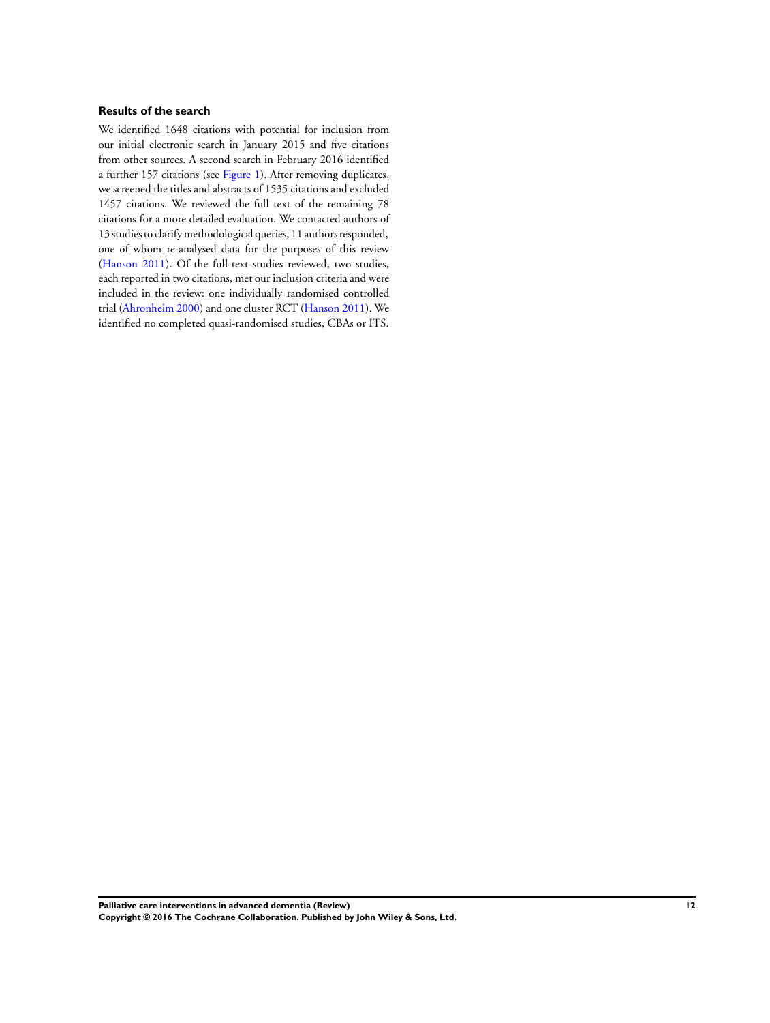# **Results of the search**

We identified 1648 citations with potential for inclusion from our initial electronic search in January 2015 and five citations from other sources. A second search in February 2016 identified a further 157 citations (see [Figure 1](#page-14-0)). After removing duplicates, we screened the titles and abstracts of 1535 citations and excluded 1457 citations. We reviewed the full text of the remaining 78 citations for a more detailed evaluation. We contacted authors of 13 studies to clarify methodological queries, 11 authors responded, one of whom re-analysed data for the purposes of this review [\(Hanson 2011](#page-22-0)). Of the full-text studies reviewed, two studies, each reported in two citations, met our inclusion criteria and were included in the review: one individually randomised controlled trial ([Ahronheim 2000\)](#page-22-0) and one cluster RCT [\(Hanson 2011\)](#page-22-0). We identified no completed quasi-randomised studies, CBAs or ITS.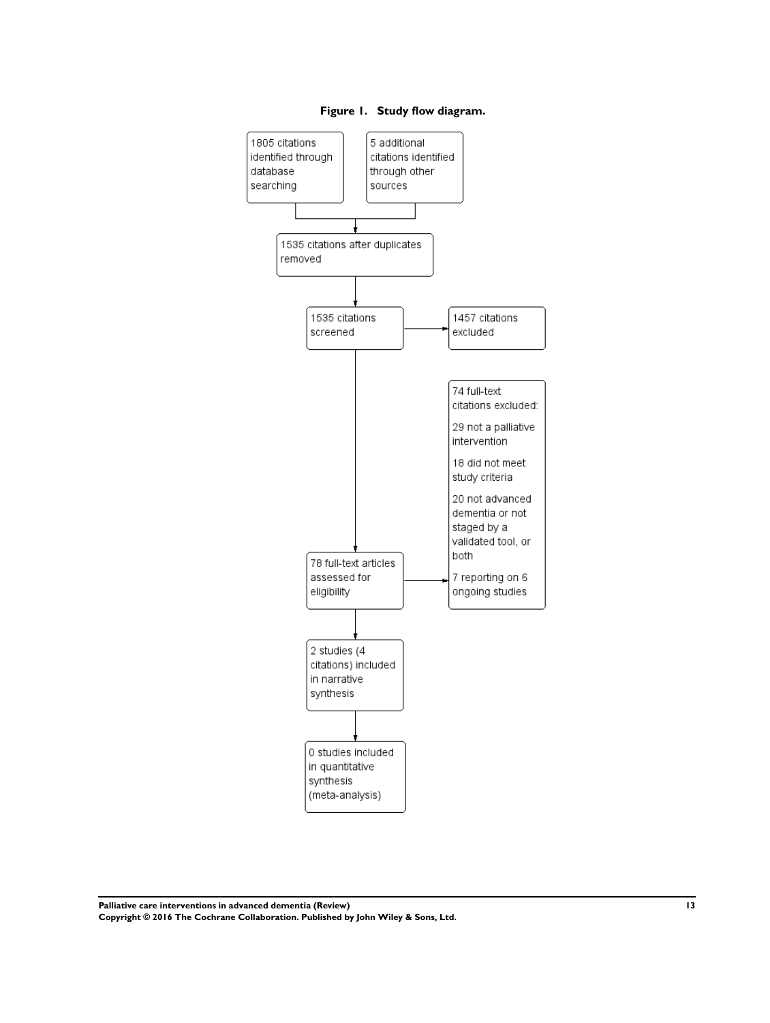<span id="page-14-0"></span>

**Figure 1. Study flow diagram.**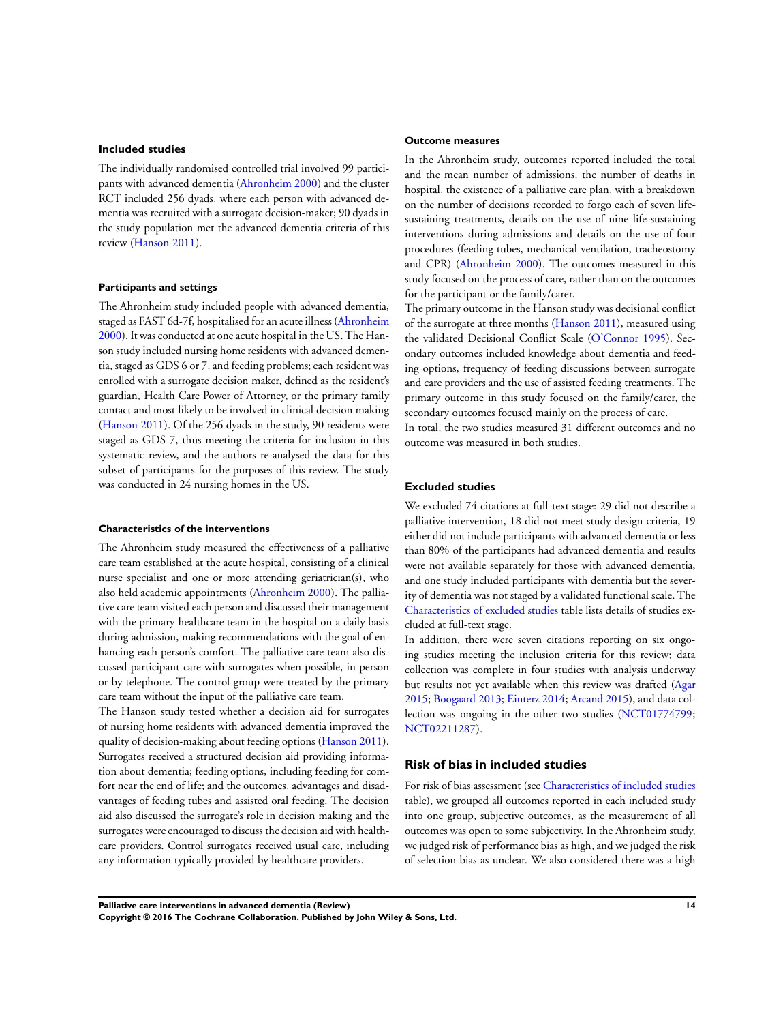### **Included studies**

The individually randomised controlled trial involved 99 participants with advanced dementia ([Ahronheim 2000\)](#page-22-0) and the cluster RCT included 256 dyads, where each person with advanced dementia was recruited with a surrogate decision-maker; 90 dyads in the study population met the advanced dementia criteria of this review ([Hanson 2011](#page-22-0)).

#### **Participants and settings**

The Ahronheim study included people with advanced dementia, staged as FAST 6d-7f, hospitalised for an acute illness [\(Ahronheim](#page-22-0) [2000](#page-22-0)). It was conducted at one acute hospital in the US. The Hanson study included nursing home residents with advanced dementia, staged as GDS 6 or 7, and feeding problems; each resident was enrolled with a surrogate decision maker, defined as the resident's guardian, Health Care Power of Attorney, or the primary family contact and most likely to be involved in clinical decision making [\(Hanson 2011\)](#page-22-0). Of the 256 dyads in the study, 90 residents were staged as GDS 7, thus meeting the criteria for inclusion in this systematic review, and the authors re-analysed the data for this subset of participants for the purposes of this review. The study was conducted in 24 nursing homes in the US.

#### **Characteristics of the interventions**

The Ahronheim study measured the effectiveness of a palliative care team established at the acute hospital, consisting of a clinical nurse specialist and one or more attending geriatrician(s), who also held academic appointments ([Ahronheim 2000](#page-22-0)). The palliative care team visited each person and discussed their management with the primary healthcare team in the hospital on a daily basis during admission, making recommendations with the goal of enhancing each person's comfort. The palliative care team also discussed participant care with surrogates when possible, in person or by telephone. The control group were treated by the primary care team without the input of the palliative care team.

The Hanson study tested whether a decision aid for surrogates of nursing home residents with advanced dementia improved the quality of decision-making about feeding options ([Hanson 2011](#page-22-0)). Surrogates received a structured decision aid providing information about dementia; feeding options, including feeding for comfort near the end of life; and the outcomes, advantages and disadvantages of feeding tubes and assisted oral feeding. The decision aid also discussed the surrogate's role in decision making and the surrogates were encouraged to discuss the decision aid with healthcare providers. Control surrogates received usual care, including any information typically provided by healthcare providers.

#### **Outcome measures**

In the Ahronheim study, outcomes reported included the total and the mean number of admissions, the number of deaths in hospital, the existence of a palliative care plan, with a breakdown on the number of decisions recorded to forgo each of seven lifesustaining treatments, details on the use of nine life-sustaining interventions during admissions and details on the use of four procedures (feeding tubes, mechanical ventilation, tracheostomy and CPR) ([Ahronheim 2000\)](#page-22-0). The outcomes measured in this study focused on the process of care, rather than on the outcomes for the participant or the family/carer.

The primary outcome in the Hanson study was decisional conflict of the surrogate at three months [\(Hanson 2011](#page-22-0)), measured using the validated Decisional Conflict Scale [\(O'Connor 1995](#page-22-0)). Secondary outcomes included knowledge about dementia and feeding options, frequency of feeding discussions between surrogate and care providers and the use of assisted feeding treatments. The primary outcome in this study focused on the family/carer, the secondary outcomes focused mainly on the process of care.

In total, the two studies measured 31 different outcomes and no outcome was measured in both studies.

#### **Excluded studies**

We excluded 74 citations at full-text stage: 29 did not describe a palliative intervention, 18 did not meet study design criteria, 19 either did not include participants with advanced dementia or less than 80% of the participants had advanced dementia and results were not available separately for those with advanced dementia, and one study included participants with dementia but the severity of dementia was not staged by a validated functional scale. The [Characteristics of excluded studies](#page-30-0) table lists details of studies excluded at full-text stage.

In addition, there were seven citations reporting on six ongoing studies meeting the inclusion criteria for this review; data collection was complete in four studies with analysis underway but results not yet available when this review was drafted ([Agar](#page-22-0) [2015](#page-22-0); [Boogaard 2013; Einterz 2014](#page-22-0); [Arcand 2015\)](#page-22-0), and data collection was ongoing in the other two studies ([NCT01774799;](#page-22-0) [NCT02211287](#page-22-0)).

# **Risk of bias in included studies**

For risk of bias assessment (see [Characteristics of included studies](#page-27-0) table), we grouped all outcomes reported in each included study into one group, subjective outcomes, as the measurement of all outcomes was open to some subjectivity. In the Ahronheim study, we judged risk of performance bias as high, and we judged the risk of selection bias as unclear. We also considered there was a high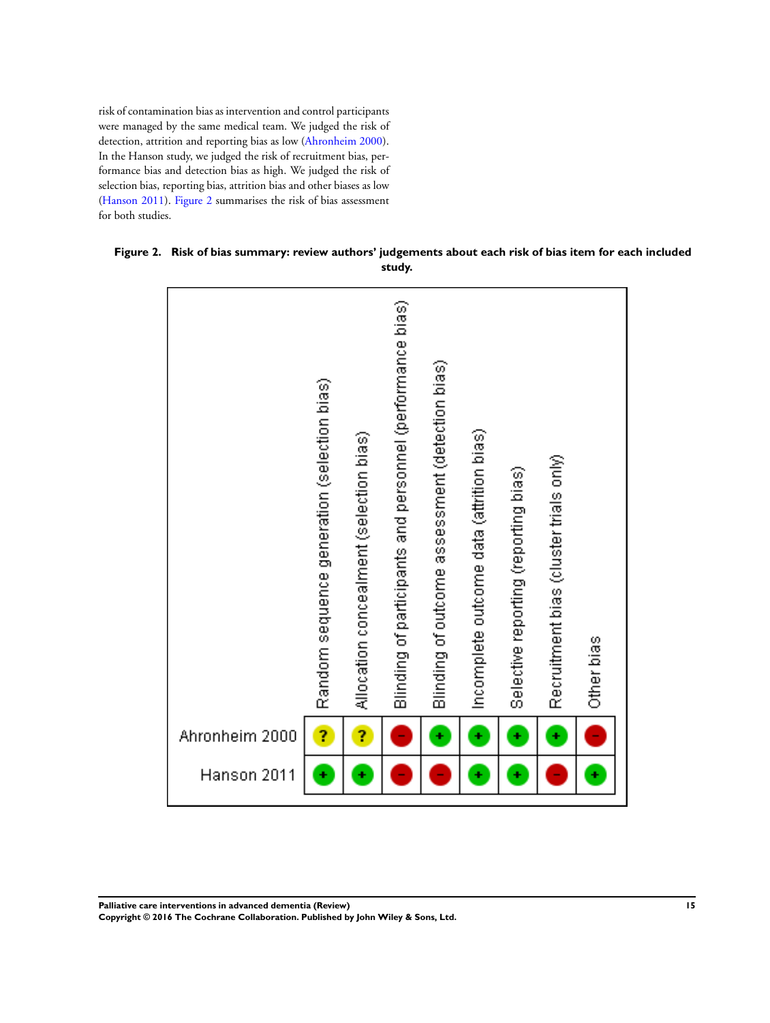risk of contamination bias as intervention and control participants were managed by the same medical team. We judged the risk of detection, attrition and reporting bias as low ([Ahronheim 2000](#page-22-0)). In the Hanson study, we judged the risk of recruitment bias, performance bias and detection bias as high. We judged the risk of selection bias, reporting bias, attrition bias and other biases as low [\(Hanson 2011](#page-22-0)). Figure 2 summarises the risk of bias assessment for both studies.

|  | Figure 2. Risk of bias summary: review authors' judgements about each risk of bias item for each included |
|--|-----------------------------------------------------------------------------------------------------------|
|  | study.                                                                                                    |



**Palliative care interventions in advanced dementia (Review) 15 Copyright © 2016 The Cochrane Collaboration. Published by John Wiley & Sons, Ltd.**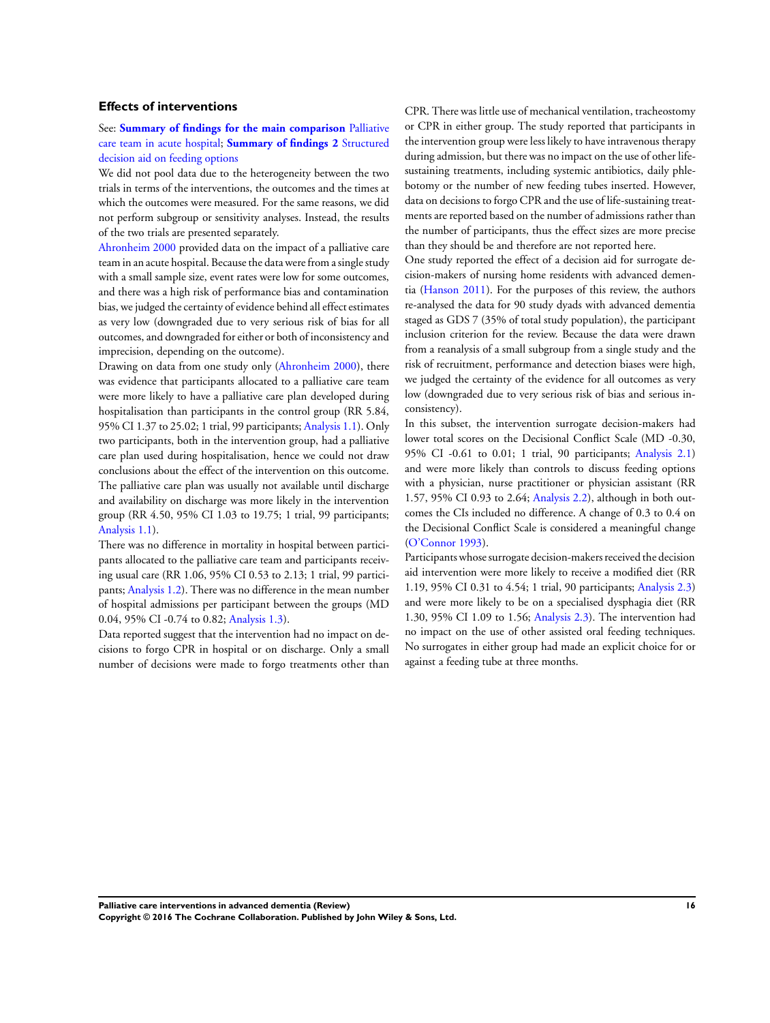### **Effects of interventions**

See: **[Summary of findings for the main comparison](#page-5-0)** [Palliative](#page-5-0) [care team in acute hospital;](#page-5-0) **[Summary of findings 2](#page-18-0)** [Structured](#page-18-0) [decision aid on feeding options](#page-18-0)

We did not pool data due to the heterogeneity between the two trials in terms of the interventions, the outcomes and the times at which the outcomes were measured. For the same reasons, we did not perform subgroup or sensitivity analyses. Instead, the results of the two trials are presented separately.

[Ahronheim 2000](#page-22-0) provided data on the impact of a palliative care team in an acute hospital. Because the data were from a single study with a small sample size, event rates were low for some outcomes, and there was a high risk of performance bias and contamination bias, we judged the certainty of evidence behind all effect estimates as very low (downgraded due to very serious risk of bias for all outcomes, and downgraded for either or both of inconsistency and imprecision, depending on the outcome).

Drawing on data from one study only ([Ahronheim 2000](#page-22-0)), there was evidence that participants allocated to a palliative care team were more likely to have a palliative care plan developed during hospitalisation than participants in the control group (RR 5.84, 95% CI 1.37 to 25.02; 1 trial, 99 participants; [Analysis 1.1](#page-38-0)). Only two participants, both in the intervention group, had a palliative care plan used during hospitalisation, hence we could not draw conclusions about the effect of the intervention on this outcome. The palliative care plan was usually not available until discharge and availability on discharge was more likely in the intervention group (RR 4.50, 95% CI 1.03 to 19.75; 1 trial, 99 participants; [Analysis 1.1\)](#page-38-0).

There was no difference in mortality in hospital between participants allocated to the palliative care team and participants receiving usual care (RR 1.06, 95% CI 0.53 to 2.13; 1 trial, 99 participants; [Analysis 1.2](#page-39-0)). There was no difference in the mean number of hospital admissions per participant between the groups (MD 0.04, 95% CI -0.74 to 0.82; [Analysis 1.3](#page-39-0)).

Data reported suggest that the intervention had no impact on decisions to forgo CPR in hospital or on discharge. Only a small number of decisions were made to forgo treatments other than CPR. There was little use of mechanical ventilation, tracheostomy or CPR in either group. The study reported that participants in the intervention group were less likely to have intravenous therapy during admission, but there was no impact on the use of other lifesustaining treatments, including systemic antibiotics, daily phlebotomy or the number of new feeding tubes inserted. However, data on decisions to forgo CPR and the use of life-sustaining treatments are reported based on the number of admissions rather than the number of participants, thus the effect sizes are more precise than they should be and therefore are not reported here.

One study reported the effect of a decision aid for surrogate decision-makers of nursing home residents with advanced dementia ([Hanson 2011](#page-22-0)). For the purposes of this review, the authors re-analysed the data for 90 study dyads with advanced dementia staged as GDS 7 (35% of total study population), the participant inclusion criterion for the review. Because the data were drawn from a reanalysis of a small subgroup from a single study and the risk of recruitment, performance and detection biases were high, we judged the certainty of the evidence for all outcomes as very low (downgraded due to very serious risk of bias and serious inconsistency).

In this subset, the intervention surrogate decision-makers had lower total scores on the Decisional Conflict Scale (MD -0.30, 95% CI -0.61 to 0.01; 1 trial, 90 participants; [Analysis 2.1](#page-41-0)) and were more likely than controls to discuss feeding options with a physician, nurse practitioner or physician assistant (RR 1.57, 95% CI 0.93 to 2.64; [Analysis 2.2\)](#page-42-0), although in both outcomes the CIs included no difference. A change of 0.3 to 0.4 on the Decisional Conflict Scale is considered a meaningful change [\(O'Connor 1993](#page-22-0)).

Participants whose surrogate decision-makers received the decision aid intervention were more likely to receive a modified diet (RR 1.19, 95% CI 0.31 to 4.54; 1 trial, 90 participants; [Analysis 2.3](#page-42-0)) and were more likely to be on a specialised dysphagia diet (RR 1.30, 95% CI 1.09 to 1.56; [Analysis 2.3](#page-42-0)). The intervention had no impact on the use of other assisted oral feeding techniques. No surrogates in either group had made an explicit choice for or against a feeding tube at three months.

**Palliative care interventions in advanced dementia (Review) 16 Copyright © 2016 The Cochrane Collaboration. Published by John Wiley & Sons, Ltd.**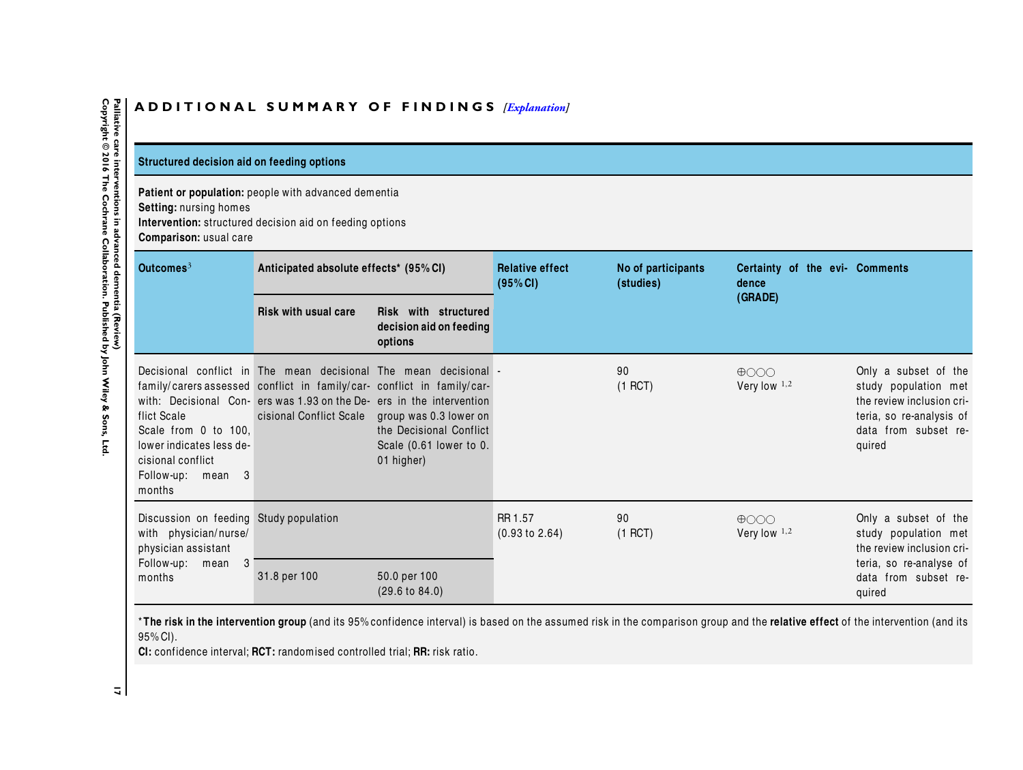# <span id="page-18-0"></span>ADDITIONAL SUMMARY OF FINDINGS *[\[Explanation\]](http://www.thecochranelibrary.com/view/0/SummaryFindings.html)*

## **Structured decision aid on feeding options**

**Patient or population:** people with advanced dementia**Setting:** nursing homes **Intervention:** structured decision aid on feeding options**Comparison:** usual care

**Outcomes**3 **Anticipated absolute effects\* (95% CI) Relative effect (95% CI)No of participants(studies)Certainty of the evi-Commentsdence (GRADE)Risk with usual care Risk with structured decision aid on feedingoptions**Decisional conflict in The mean decisional The mean decisional family/carers assessed conflict in family/car- conflict in family/carwith: Decisional Con-ers was 1.93 on the De-ers in the intervention flict Scale Scale from 0 to 100, lower indicates less decisional conflict Follow-up: mean 3monthscisional Conflict Scale group was 0.3 lower on the Decisional Conflict Scale (0.61 lower to 0. 01 higher)- 90 (1 RCT) $\bigoplus$ Very low  $1,2$ Only <sup>a</sup> subset of the study population met the review inclusion criteria, so re-analysis of data from subset requiredDiscussion on feeding Study population with physician/ nurse/ physician assistant Follow-up: mean 3months RR 1.57 (0.93 to 2.64)90 (1 RCT)⊕∩∩∩ Very low  $1,2$ Only <sup>a</sup> subset of the study population met the review inclusion criteria, so re-analyse of data from subset required $31.8$  per 100  $50.0$  per 100  $(29.6 \text{ to } 84.0)$ 

\***The risk in the intervention group** (and its 95% confidence interval) is based on the assumed risk in the comparison group and the **relative effect** of the intervention (and its 95% CI).

**CI:** confidence interval; **RCT:** randomised controlled trial; **RR:** risk ratio.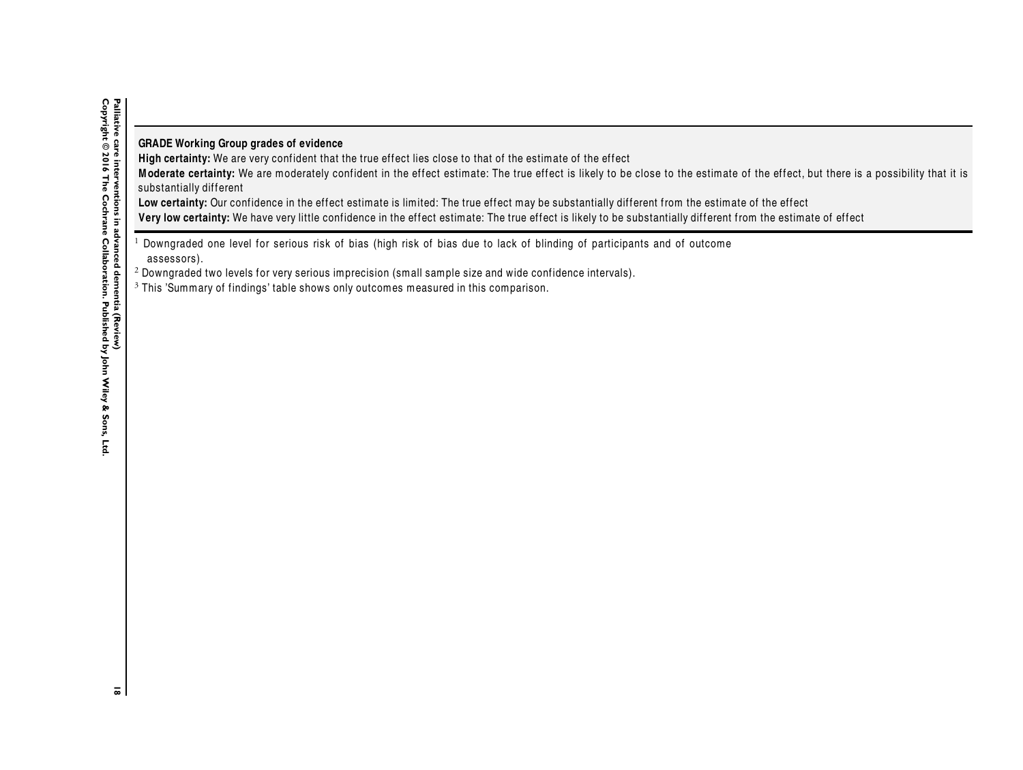# **GRADE Working Group grades of evidence**

**High certainty:** We are very confident that the true effect lies close to that of the estimate of the effect

**M oderate certainty:** We are moderately confident in the effect estimate: The true effect is likely to be close to the estimate of the effect, but there is <sup>a</sup> possibility that it is substantially different

**Low certainty:** Our confidence in the effect estimate is limited: The true effect may be substantially different from the estimate of the effect

**Very low certainty:** We have very little confidence in the effect estimate: The true effect is likely to be substantially different from the estimate of effect

 $^{\rm 1}$  Downgraded one level for serious risk of bias (high risk of bias due to lack of blinding of participants and of outcome assessors).

 $^{\rm 2}$  Downgraded two levels for very serious imprecision (small sample size and wide confidence intervals).

 $^3$  This 'Summary of findings' table shows only outcomes measured in this comparison.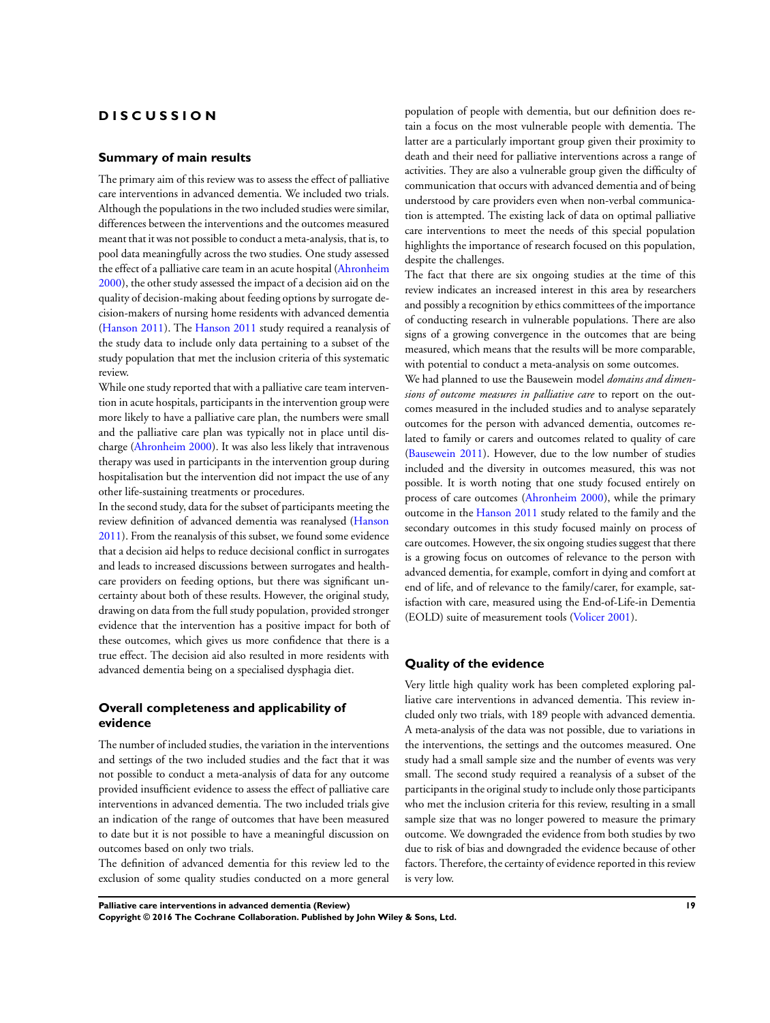# **D I S C U S S I O N**

### **Summary of main results**

The primary aim of this review was to assess the effect of palliative care interventions in advanced dementia. We included two trials. Although the populations in the two included studies were similar, differences between the interventions and the outcomes measured meant that it was not possible to conduct a meta-analysis, that is, to pool data meaningfully across the two studies. One study assessed the effect of a palliative care team in an acute hospital [\(Ahronheim](#page-22-0) [2000](#page-22-0)), the other study assessed the impact of a decision aid on the quality of decision-making about feeding options by surrogate decision-makers of nursing home residents with advanced dementia [\(Hanson 2011\)](#page-22-0). The [Hanson 2011](#page-22-0) study required a reanalysis of the study data to include only data pertaining to a subset of the study population that met the inclusion criteria of this systematic review.

While one study reported that with a palliative care team intervention in acute hospitals, participants in the intervention group were more likely to have a palliative care plan, the numbers were small and the palliative care plan was typically not in place until discharge ([Ahronheim 2000](#page-22-0)). It was also less likely that intravenous therapy was used in participants in the intervention group during hospitalisation but the intervention did not impact the use of any other life-sustaining treatments or procedures.

In the second study, data for the subset of participants meeting the review definition of advanced dementia was reanalysed ([Hanson](#page-22-0) [2011](#page-22-0)). From the reanalysis of this subset, we found some evidence that a decision aid helps to reduce decisional conflict in surrogates and leads to increased discussions between surrogates and healthcare providers on feeding options, but there was significant uncertainty about both of these results. However, the original study, drawing on data from the full study population, provided stronger evidence that the intervention has a positive impact for both of these outcomes, which gives us more confidence that there is a true effect. The decision aid also resulted in more residents with advanced dementia being on a specialised dysphagia diet.

# **Overall completeness and applicability of evidence**

The number of included studies, the variation in the interventions and settings of the two included studies and the fact that it was not possible to conduct a meta-analysis of data for any outcome provided insufficient evidence to assess the effect of palliative care interventions in advanced dementia. The two included trials give an indication of the range of outcomes that have been measured to date but it is not possible to have a meaningful discussion on outcomes based on only two trials.

The definition of advanced dementia for this review led to the exclusion of some quality studies conducted on a more general

population of people with dementia, but our definition does retain a focus on the most vulnerable people with dementia. The latter are a particularly important group given their proximity to death and their need for palliative interventions across a range of activities. They are also a vulnerable group given the difficulty of communication that occurs with advanced dementia and of being understood by care providers even when non-verbal communication is attempted. The existing lack of data on optimal palliative care interventions to meet the needs of this special population highlights the importance of research focused on this population, despite the challenges.

The fact that there are six ongoing studies at the time of this review indicates an increased interest in this area by researchers and possibly a recognition by ethics committees of the importance of conducting research in vulnerable populations. There are also signs of a growing convergence in the outcomes that are being measured, which means that the results will be more comparable, with potential to conduct a meta-analysis on some outcomes.

We had planned to use the Bausewein model *domains and dimensions of outcome measures in palliative care* to report on the outcomes measured in the included studies and to analyse separately outcomes for the person with advanced dementia, outcomes related to family or carers and outcomes related to quality of care [\(Bausewein 2011\)](#page-22-0). However, due to the low number of studies included and the diversity in outcomes measured, this was not possible. It is worth noting that one study focused entirely on process of care outcomes [\(Ahronheim 2000](#page-22-0)), while the primary outcome in the [Hanson 2011](#page-22-0) study related to the family and the secondary outcomes in this study focused mainly on process of care outcomes. However, the six ongoing studies suggest that there is a growing focus on outcomes of relevance to the person with advanced dementia, for example, comfort in dying and comfort at end of life, and of relevance to the family/carer, for example, satisfaction with care, measured using the End-of-Life-in Dementia (EOLD) suite of measurement tools ([Volicer 2001](#page-22-0)).

# **Quality of the evidence**

Very little high quality work has been completed exploring palliative care interventions in advanced dementia. This review included only two trials, with 189 people with advanced dementia. A meta-analysis of the data was not possible, due to variations in the interventions, the settings and the outcomes measured. One study had a small sample size and the number of events was very small. The second study required a reanalysis of a subset of the participants in the original study to include only those participants who met the inclusion criteria for this review, resulting in a small sample size that was no longer powered to measure the primary outcome. We downgraded the evidence from both studies by two due to risk of bias and downgraded the evidence because of other factors. Therefore, the certainty of evidence reported in this review is very low.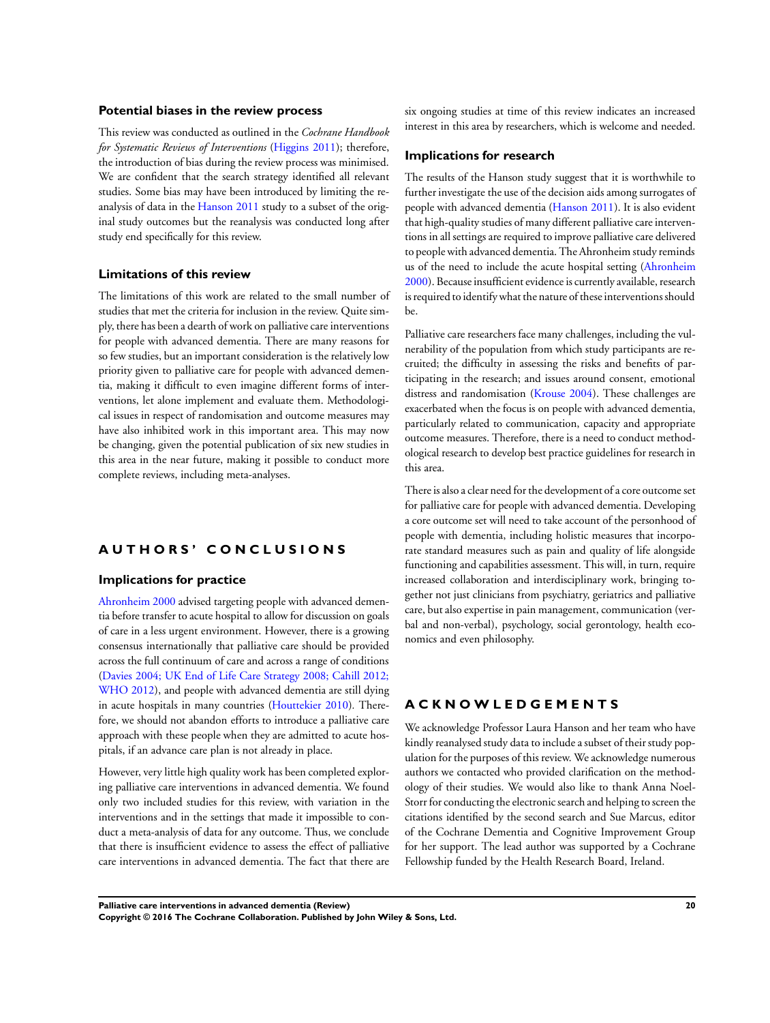# **Potential biases in the review process**

This review was conducted as outlined in the *Cochrane Handbook for Systematic Reviews of Interventions* ([Higgins 2011](#page-22-0)); therefore, the introduction of bias during the review process was minimised. We are confident that the search strategy identified all relevant studies. Some bias may have been introduced by limiting the reanalysis of data in the [Hanson 2011](#page-22-0) study to a subset of the original study outcomes but the reanalysis was conducted long after study end specifically for this review.

# **Limitations of this review**

The limitations of this work are related to the small number of studies that met the criteria for inclusion in the review. Quite simply, there has been a dearth of work on palliative care interventions for people with advanced dementia. There are many reasons for so few studies, but an important consideration is the relatively low priority given to palliative care for people with advanced dementia, making it difficult to even imagine different forms of interventions, let alone implement and evaluate them. Methodological issues in respect of randomisation and outcome measures may have also inhibited work in this important area. This may now be changing, given the potential publication of six new studies in this area in the near future, making it possible to conduct more complete reviews, including meta-analyses.

# **A U T H O R S ' C O N C L U S I O N S**

# **Implications for practice**

[Ahronheim 2000](#page-22-0) advised targeting people with advanced dementia before transfer to acute hospital to allow for discussion on goals of care in a less urgent environment. However, there is a growing consensus internationally that palliative care should be provided across the full continuum of care and across a range of conditions [\(Davies 2004; UK End of Life Care Strategy 2008; Cahill 2012;](#page-22-0) [WHO 2012\)](#page-22-0), and people with advanced dementia are still dying in acute hospitals in many countries [\(Houttekier 2010\)](#page-22-0)*.* Therefore, we should not abandon efforts to introduce a palliative care approach with these people when they are admitted to acute hospitals, if an advance care plan is not already in place.

However, very little high quality work has been completed exploring palliative care interventions in advanced dementia. We found only two included studies for this review, with variation in the interventions and in the settings that made it impossible to conduct a meta-analysis of data for any outcome. Thus, we conclude that there is insufficient evidence to assess the effect of palliative care interventions in advanced dementia. The fact that there are

six ongoing studies at time of this review indicates an increased interest in this area by researchers, which is welcome and needed.

# **Implications for research**

The results of the Hanson study suggest that it is worthwhile to further investigate the use of the decision aids among surrogates of people with advanced dementia [\(Hanson 2011](#page-22-0)). It is also evident that high-quality studies of many different palliative care interventions in all settings are required to improve palliative care delivered to people with advanced dementia. The Ahronheim study reminds us of the need to include the acute hospital setting [\(Ahronheim](#page-22-0) [2000](#page-22-0)). Because insufficient evidence is currently available, research is required to identify what the nature of these interventions should be.

Palliative care researchers face many challenges, including the vulnerability of the population from which study participants are recruited; the difficulty in assessing the risks and benefits of participating in the research; and issues around consent, emotional distress and randomisation [\(Krouse 2004\)](#page-22-0). These challenges are exacerbated when the focus is on people with advanced dementia, particularly related to communication, capacity and appropriate outcome measures. Therefore, there is a need to conduct methodological research to develop best practice guidelines for research in this area.

There is also a clear need for the development of a core outcome set for palliative care for people with advanced dementia. Developing a core outcome set will need to take account of the personhood of people with dementia, including holistic measures that incorporate standard measures such as pain and quality of life alongside functioning and capabilities assessment. This will, in turn, require increased collaboration and interdisciplinary work, bringing together not just clinicians from psychiatry, geriatrics and palliative care, but also expertise in pain management, communication (verbal and non-verbal), psychology, social gerontology, health economics and even philosophy.

# **A C K N O W L E D G E M E N T S**

We acknowledge Professor Laura Hanson and her team who have kindly reanalysed study data to include a subset of their study population for the purposes of this review. We acknowledge numerous authors we contacted who provided clarification on the methodology of their studies. We would also like to thank Anna Noel-Storr for conducting the electronic search and helping to screen the citations identified by the second search and Sue Marcus, editor of the Cochrane Dementia and Cognitive Improvement Group for her support. The lead author was supported by a Cochrane Fellowship funded by the Health Research Board, Ireland.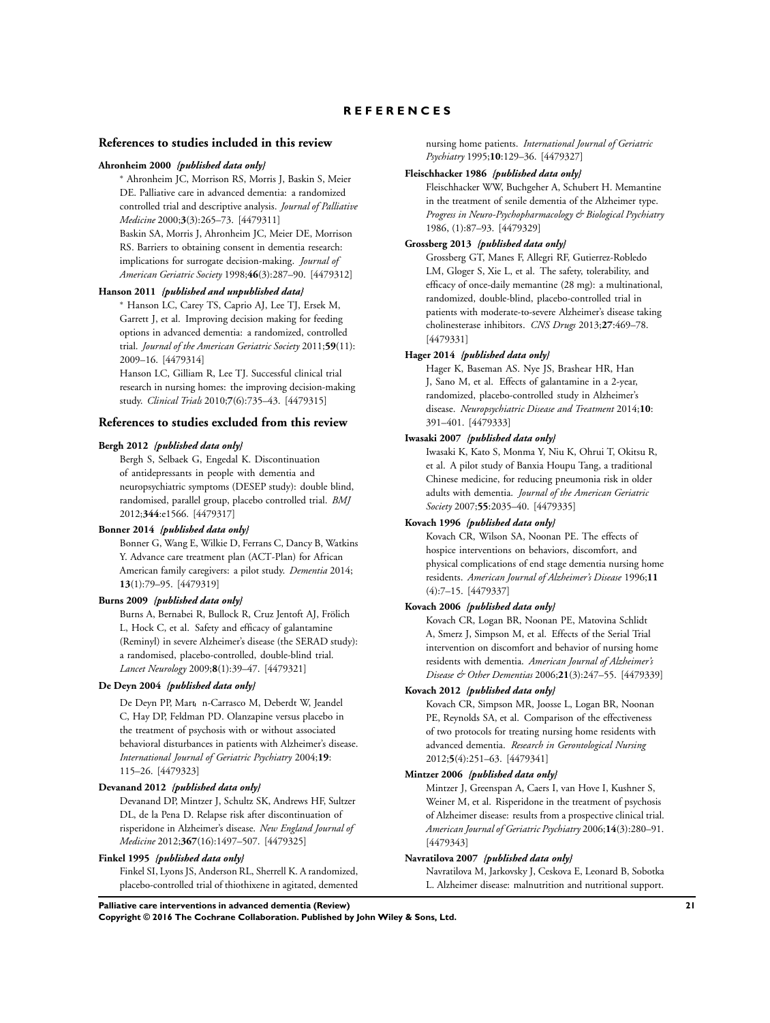# **R E F E R E N C E S**

### <span id="page-22-0"></span>**References to studies included in this review**

#### **Ahronheim 2000** *{published data only}*

<sup>∗</sup> Ahronheim JC, Morrison RS, Morris J, Baskin S, Meier DE. Palliative care in advanced dementia: a randomized controlled trial and descriptive analysis. *Journal of Palliative Medicine* 2000;**3**(3):265–73. [4479311] Baskin SA, Morris J, Ahronheim JC, Meier DE, Morrison

RS. Barriers to obtaining consent in dementia research: implications for surrogate decision-making. *Journal of American Geriatric Society* 1998;**46**(3):287–90. [4479312]

### **Hanson 2011** *{published and unpublished data}*

<sup>∗</sup> Hanson LC, Carey TS, Caprio AJ, Lee TJ, Ersek M, Garrett J, et al. Improving decision making for feeding options in advanced dementia: a randomized, controlled trial. *Journal of the American Geriatric Society* 2011;**59**(11): 2009–16. [4479314]

Hanson LC, Gilliam R, Lee TJ. Successful clinical trial research in nursing homes: the improving decision-making study. *Clinical Trials* 2010;**7**(6):735–43. [4479315]

### **References to studies excluded from this review**

#### **Bergh 2012** *{published data only}*

Bergh S, Selbaek G, Engedal K. Discontinuation of antidepressants in people with dementia and neuropsychiatric symptoms (DESEP study): double blind, randomised, parallel group, placebo controlled trial. *BMJ* 2012;**344**:e1566. [4479317]

# **Bonner 2014** *{published data only}*

Bonner G, Wang E, Wilkie D, Ferrans C, Dancy B, Watkins Y. Advance care treatment plan (ACT-Plan) for African American family caregivers: a pilot study. *Dementia* 2014; **13**(1):79–95. [4479319]

### **Burns 2009** *{published data only}*

Burns A, Bernabei R, Bullock R, Cruz Jentoft AJ, Frölich L, Hock C, et al. Safety and efficacy of galantamine (Reminyl) in severe Alzheimer's disease (the SERAD study): a randomised, placebo-controlled, double-blind trial. *Lancet Neurology* 2009;**8**(1):39–47. [4479321]

### **De Deyn 2004** *{published data only}*

De Deyn PP, Mart n-Carrasco M, Deberdt W, Jeandel C, Hay DP, Feldman PD. Olanzapine versus placebo in the treatment of psychosis with or without associated behavioral disturbances in patients with Alzheimer's disease. *International Journal of Geriatric Psychiatry* 2004;**19**: 115–26. [4479323]

#### **Devanand 2012** *{published data only}*

Devanand DP, Mintzer J, Schultz SK, Andrews HF, Sultzer DL, de la Pena D. Relapse risk after discontinuation of risperidone in Alzheimer's disease. *New England Journal of Medicine* 2012;**367**(16):1497–507. [4479325]

#### **Finkel 1995** *{published data only}*

Finkel SI, Lyons JS, Anderson RL, Sherrell K. A randomized, placebo-controlled trial of thiothixene in agitated, demented nursing home patients. *International Journal of Geriatric Psychiatry* 1995;**10**:129–36. [4479327]

#### **Fleischhacker 1986** *{published data only}*

Fleischhacker WW, Buchgeher A, Schubert H. Memantine in the treatment of senile dementia of the Alzheimer type. *Progress in Neuro-Psychopharmacology & Biological Psychiatry* 1986, (1):87–93. [4479329]

# **Grossberg 2013** *{published data only}*

Grossberg GT, Manes F, Allegri RF, Gutierrez-Robledo LM, Gloger S, Xie L, et al. The safety, tolerability, and efficacy of once-daily memantine (28 mg): a multinational, randomized, double-blind, placebo-controlled trial in patients with moderate-to-severe Alzheimer's disease taking cholinesterase inhibitors. *CNS Drugs* 2013;**27**:469–78. [4479331]

#### **Hager 2014** *{published data only}*

Hager K, Baseman AS. Nye JS, Brashear HR, Han J, Sano M, et al. Effects of galantamine in a 2-year, randomized, placebo-controlled study in Alzheimer's disease. *Neuropsychiatric Disease and Treatment* 2014;**10**: 391–401. [4479333]

#### **Iwasaki 2007** *{published data only}*

Iwasaki K, Kato S, Monma Y, Niu K, Ohrui T, Okitsu R, et al. A pilot study of Banxia Houpu Tang, a traditional Chinese medicine, for reducing pneumonia risk in older adults with dementia. *Journal of the American Geriatric Society* 2007;**55**:2035–40. [4479335]

### **Kovach 1996** *{published data only}*

Kovach CR, Wilson SA, Noonan PE. The effects of hospice interventions on behaviors, discomfort, and physical complications of end stage dementia nursing home residents. *American Journal of Alzheimer's Disease* 1996;**11** (4):7–15. [4479337]

#### **Kovach 2006** *{published data only}*

Kovach CR, Logan BR, Noonan PE, Matovina Schlidt A, Smerz J, Simpson M, et al. Effects of the Serial Trial intervention on discomfort and behavior of nursing home residents with dementia. *American Journal of Alzheimer's Disease & Other Dementias* 2006;**21**(3):247–55. [4479339]

### **Kovach 2012** *{published data only}*

Kovach CR, Simpson MR, Joosse L, Logan BR, Noonan PE, Reynolds SA, et al. Comparison of the effectiveness of two protocols for treating nursing home residents with advanced dementia. *Research in Gerontological Nursing* 2012;**5**(4):251–63. [4479341]

### **Mintzer 2006** *{published data only}*

Mintzer J, Greenspan A, Caers I, van Hove I, Kushner S, Weiner M, et al. Risperidone in the treatment of psychosis of Alzheimer disease: results from a prospective clinical trial. *American Journal of Geriatric Psychiatry* 2006;**14**(3):280–91. [4479343]

#### **Navratilova 2007** *{published data only}*

Navratilova M, Jarkovsky J, Ceskova E, Leonard B, Sobotka L. Alzheimer disease: malnutrition and nutritional support.

**Palliative care interventions in advanced dementia (Review) 21**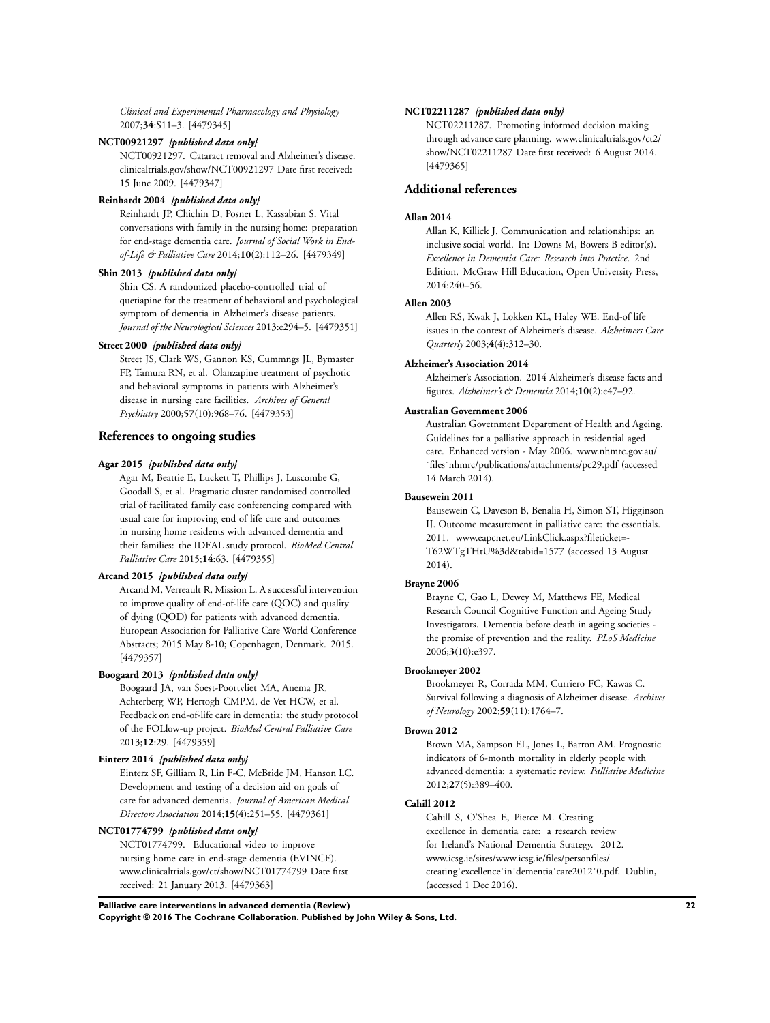*Clinical and Experimental Pharmacology and Physiology* 2007;**34**:S11–3. [4479345]

#### **NCT00921297** *{published data only}*

NCT00921297. Cataract removal and Alzheimer's disease. clinicaltrials.gov/show/NCT00921297 Date first received: 15 June 2009. [4479347]

#### **Reinhardt 2004** *{published data only}*

Reinhardt JP, Chichin D, Posner L, Kassabian S. Vital conversations with family in the nursing home: preparation for end-stage dementia care. *Journal of Social Work in Endof-Life & Palliative Care* 2014;**10**(2):112–26. [4479349]

## **Shin 2013** *{published data only}*

Shin CS. A randomized placebo-controlled trial of quetiapine for the treatment of behavioral and psychological symptom of dementia in Alzheimer's disease patients. *Journal of the Neurological Sciences* 2013:e294–5. [4479351]

### **Street 2000** *{published data only}*

Street JS, Clark WS, Gannon KS, Cummngs JL, Bymaster FP, Tamura RN, et al. Olanzapine treatment of psychotic and behavioral symptoms in patients with Alzheimer's disease in nursing care facilities. *Archives of General Psychiatry* 2000;**57**(10):968–76. [4479353]

# **References to ongoing studies**

#### **Agar 2015** *{published data only}*

Agar M, Beattie E, Luckett T, Phillips J, Luscombe G, Goodall S, et al. Pragmatic cluster randomised controlled trial of facilitated family case conferencing compared with usual care for improving end of life care and outcomes in nursing home residents with advanced dementia and their families: the IDEAL study protocol. *BioMed Central Palliative Care* 2015;**14**:63. [4479355]

### **Arcand 2015** *{published data only}*

Arcand M, Verreault R, Mission L. A successful intervention to improve quality of end-of-life care (QOC) and quality of dying (QOD) for patients with advanced dementia. European Association for Palliative Care World Conference Abstracts; 2015 May 8-10; Copenhagen, Denmark. 2015. [4479357]

#### **Boogaard 2013** *{published data only}*

Boogaard JA, van Soest-Poortvliet MA, Anema JR, Achterberg WP, Hertogh CMPM, de Vet HCW, et al. Feedback on end-of-life care in dementia: the study protocol of the FOLlow-up project. *BioMed Central Palliative Care* 2013;**12**:29. [4479359]

### **Einterz 2014** *{published data only}*

Einterz SF, Gilliam R, Lin F-C, McBride JM, Hanson LC. Development and testing of a decision aid on goals of care for advanced dementia. *Journal of American Medical Directors Association* 2014;**15**(4):251–55. [4479361]

### **NCT01774799** *{published data only}*

NCT01774799. Educational video to improve nursing home care in end-stage dementia (EVINCE). www.clinicaltrials.gov/ct/show/NCT01774799 Date first received: 21 January 2013. [4479363]

#### **NCT02211287** *{published data only}*

NCT02211287. Promoting informed decision making through advance care planning. www.clinicaltrials.gov/ct2/ show/NCT02211287 Date first received: 6 August 2014. [4479365]

# **Additional references**

#### **Allan 2014**

Allan K, Killick J. Communication and relationships: an inclusive social world. In: Downs M, Bowers B editor(s). *Excellence in Dementia Care: Research into Practice*. 2nd Edition. McGraw Hill Education, Open University Press, 2014:240–56.

### **Allen 2003**

Allen RS, Kwak J, Lokken KL, Haley WE. End-of life issues in the context of Alzheimer's disease. *Alzheimers Care Quarterly* 2003;**4**(4):312–30.

#### **Alzheimer's Association 2014**

Alzheimer's Association. 2014 Alzheimer's disease facts and figures. *Alzheimer's & Dementia* 2014;**10**(2):e47–92.

### **Australian Government 2006**

Australian Government Department of Health and Ageing. Guidelines for a palliative approach in residential aged care. Enhanced version - May 2006. www.nhmrc.gov.au/ ˙files˙nhmrc/publications/attachments/pc29.pdf (accessed 14 March 2014).

#### **Bausewein 2011**

Bausewein C, Daveson B, Benalia H, Simon ST, Higginson IJ. Outcome measurement in palliative care: the essentials. 2011. www.eapcnet.eu/LinkClick.aspx?fileticket=- T62WTgTHtU%3d&tabid=1577 (accessed 13 August 2014).

### **Brayne 2006**

Brayne C, Gao L, Dewey M, Matthews FE, Medical Research Council Cognitive Function and Ageing Study Investigators. Dementia before death in ageing societies the promise of prevention and the reality. *PLoS Medicine* 2006;**3**(10):e397.

#### **Brookmeyer 2002**

Brookmeyer R, Corrada MM, Curriero FC, Kawas C. Survival following a diagnosis of Alzheimer disease. *Archives of Neurology* 2002;**59**(11):1764–7.

#### **Brown 2012**

Brown MA, Sampson EL, Jones L, Barron AM. Prognostic indicators of 6-month mortality in elderly people with advanced dementia: a systematic review. *Palliative Medicine* 2012;**27**(5):389–400.

#### **Cahill 2012**

Cahill S, O'Shea E, Pierce M. Creating excellence in dementia care: a research review for Ireland's National Dementia Strategy. 2012. www.icsg.ie/sites/www.icsg.ie/files/personfiles/ creating˙excellence˙in˙dementia˙care2012˙0.pdf. Dublin, (accessed 1 Dec 2016).

**Palliative care interventions in advanced dementia (Review) 22 Copyright © 2016 The Cochrane Collaboration. Published by John Wiley & Sons, Ltd.**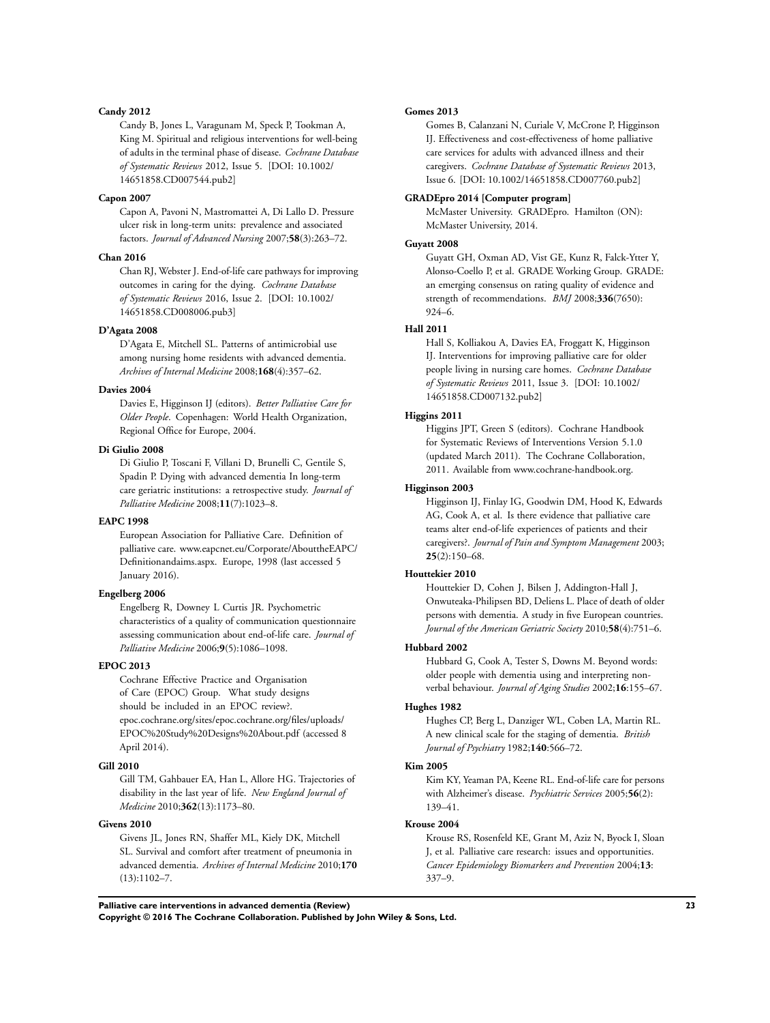### **Candy 2012**

Candy B, Jones L, Varagunam M, Speck P, Tookman A, King M. Spiritual and religious interventions for well-being of adults in the terminal phase of disease. *Cochrane Database of Systematic Reviews* 2012, Issue 5. [DOI: 10.1002/ 14651858.CD007544.pub2]

# **Capon 2007**

Capon A, Pavoni N, Mastromattei A, Di Lallo D. Pressure ulcer risk in long-term units: prevalence and associated factors. *Journal of Advanced Nursing* 2007;**58**(3):263–72.

#### **Chan 2016**

Chan RJ, Webster J. End-of-life care pathways for improving outcomes in caring for the dying. *Cochrane Database of Systematic Reviews* 2016, Issue 2. [DOI: 10.1002/ 14651858.CD008006.pub3]

#### **D'Agata 2008**

D'Agata E, Mitchell SL. Patterns of antimicrobial use among nursing home residents with advanced dementia. *Archives of Internal Medicine* 2008;**168**(4):357–62.

#### **Davies 2004**

Davies E, Higginson IJ (editors). *Better Palliative Care for Older People*. Copenhagen: World Health Organization, Regional Office for Europe, 2004.

#### **Di Giulio 2008**

Di Giulio P, Toscani F, Villani D, Brunelli C, Gentile S, Spadin P. Dying with advanced dementia In long-term care geriatric institutions: a retrospective study. *Journal of Palliative Medicine* 2008;**11**(7):1023–8.

#### **EAPC 1998**

European Association for Palliative Care. Definition of palliative care. www.eapcnet.eu/Corporate/AbouttheEAPC/ Definitionandaims.aspx. Europe, 1998 (last accessed 5 January 2016).

# **Engelberg 2006**

Engelberg R, Downey L Curtis JR. Psychometric characteristics of a quality of communication questionnaire assessing communication about end-of-life care. *Journal of Palliative Medicine* 2006;**9**(5):1086–1098.

#### **EPOC 2013**

Cochrane Effective Practice and Organisation of Care (EPOC) Group. What study designs should be included in an EPOC review?. epoc.cochrane.org/sites/epoc.cochrane.org/files/uploads/ EPOC%20Study%20Designs%20About.pdf (accessed 8 April 2014).

### **Gill 2010**

Gill TM, Gahbauer EA, Han L, Allore HG. Trajectories of disability in the last year of life. *New England Journal of Medicine* 2010;**362**(13):1173–80.

#### **Givens 2010**

Givens JL, Jones RN, Shaffer ML, Kiely DK, Mitchell SL. Survival and comfort after treatment of pneumonia in advanced dementia. *Archives of Internal Medicine* 2010;**170** (13):1102–7.

#### **Gomes 2013**

Gomes B, Calanzani N, Curiale V, McCrone P, Higginson IJ. Effectiveness and cost-effectiveness of home palliative care services for adults with advanced illness and their caregivers. *Cochrane Database of Systematic Reviews* 2013, Issue 6. [DOI: 10.1002/14651858.CD007760.pub2]

# **GRADEpro 2014 [Computer program]**

McMaster University. GRADEpro. Hamilton (ON): McMaster University, 2014.

#### **Guyatt 2008**

Guyatt GH, Oxman AD, Vist GE, Kunz R, Falck-Ytter Y, Alonso-Coello P, et al. GRADE Working Group. GRADE: an emerging consensus on rating quality of evidence and strength of recommendations. *BMJ* 2008;**336**(7650): 924–6.

#### **Hall 2011**

Hall S, Kolliakou A, Davies EA, Froggatt K, Higginson IJ. Interventions for improving palliative care for older people living in nursing care homes. *Cochrane Database of Systematic Reviews* 2011, Issue 3. [DOI: 10.1002/ 14651858.CD007132.pub2]

#### **Higgins 2011**

Higgins JPT, Green S (editors). Cochrane Handbook for Systematic Reviews of Interventions Version 5.1.0 (updated March 2011). The Cochrane Collaboration, 2011. Available from www.cochrane-handbook.org.

# **Higginson 2003**

Higginson IJ, Finlay IG, Goodwin DM, Hood K, Edwards AG, Cook A, et al. Is there evidence that palliative care teams alter end-of-life experiences of patients and their caregivers?. *Journal of Pain and Symptom Management* 2003; **25**(2):150–68.

#### **Houttekier 2010**

Houttekier D, Cohen J, Bilsen J, Addington-Hall J, Onwuteaka-Philipsen BD, Deliens L. Place of death of older persons with dementia. A study in five European countries. *Journal of the American Geriatric Society* 2010;**58**(4):751–6.

#### **Hubbard 2002**

Hubbard G, Cook A, Tester S, Downs M. Beyond words: older people with dementia using and interpreting nonverbal behaviour. *Journal of Aging Studies* 2002;**16**:155–67.

#### **Hughes 1982**

Hughes CP, Berg L, Danziger WL, Coben LA, Martin RL. A new clinical scale for the staging of dementia. *British Journal of Psychiatry* 1982;**140**:566–72.

#### **Kim 2005**

Kim KY, Yeaman PA, Keene RL. End-of-life care for persons with Alzheimer's disease. *Psychiatric Services* 2005;**56**(2): 139–41.

### **Krouse 2004**

Krouse RS, Rosenfeld KE, Grant M, Aziz N, Byock I, Sloan J, et al. Palliative care research: issues and opportunities. *Cancer Epidemiology Biomarkers and Prevention* 2004;**13**: 337–9.

**Palliative care interventions in advanced dementia (Review) 23**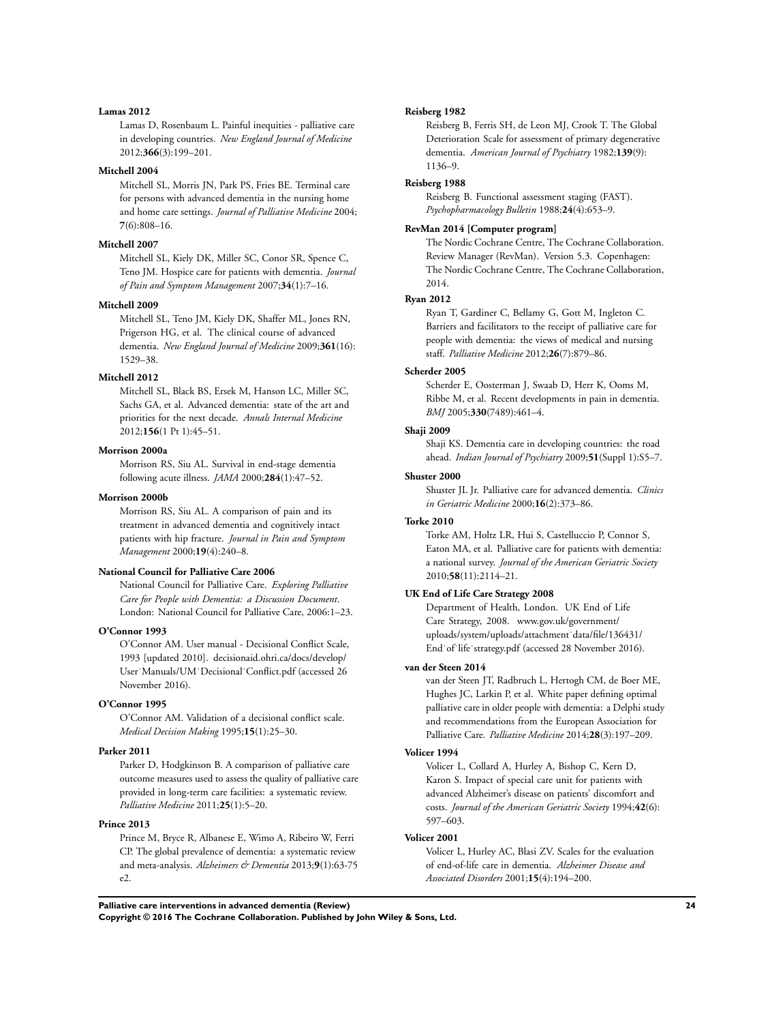### **Lamas 2012**

Lamas D, Rosenbaum L. Painful inequities - palliative care in developing countries. *New England Journal of Medicine* 2012;**366**(3):199–201.

#### **Mitchell 2004**

Mitchell SL, Morris JN, Park PS, Fries BE. Terminal care for persons with advanced dementia in the nursing home and home care settings. *Journal of Palliative Medicine* 2004; **7**(6):808–16.

#### **Mitchell 2007**

Mitchell SL, Kiely DK, Miller SC, Conor SR, Spence C, Teno JM. Hospice care for patients with dementia. *Journal of Pain and Symptom Management* 2007;**34**(1):7–16.

#### **Mitchell 2009**

Mitchell SL, Teno JM, Kiely DK, Shaffer ML, Jones RN, Prigerson HG, et al. The clinical course of advanced dementia. *New England Journal of Medicine* 2009;**361**(16): 1529–38.

#### **Mitchell 2012**

Mitchell SL, Black BS, Ersek M, Hanson LC, Miller SC, Sachs GA, et al. Advanced dementia: state of the art and priorities for the next decade. *Annals Internal Medicine* 2012;**156**(1 Pt 1):45–51.

# **Morrison 2000a**

Morrison RS, Siu AL. Survival in end-stage dementia following acute illness. *JAMA* 2000;**284**(1):47–52.

### **Morrison 2000b**

Morrison RS, Siu AL. A comparison of pain and its treatment in advanced dementia and cognitively intact patients with hip fracture. *Journal in Pain and Symptom Management* 2000;**19**(4):240–8.

### **National Council for Palliative Care 2006**

National Council for Palliative Care. *Exploring Palliative Care for People with Dementia: a Discussion Document*. London: National Council for Palliative Care, 2006:1–23.

#### **O'Connor 1993**

O'Connor AM. User manual - Decisional Conflict Scale, 1993 [updated 2010]. decisionaid.ohri.ca/docs/develop/ User˙Manuals/UM˙Decisional˙Conflict.pdf (accessed 26 November 2016).

#### **O'Connor 1995**

O'Connor AM. Validation of a decisional conflict scale. *Medical Decision Making* 1995;**15**(1):25–30.

#### **Parker 2011**

Parker D, Hodgkinson B. A comparison of palliative care outcome measures used to assess the quality of palliative care provided in long-term care facilities: a systematic review. *Palliative Medicine* 2011;**25**(1):5–20.

### **Prince 2013**

Prince M, Bryce R, Albanese E, Wimo A, Ribeiro W, Ferri CP. The global prevalence of dementia: a systematic review and meta-analysis. *Alzheimers & Dementia* 2013;9(1):63-75 e2.

#### **Reisberg 1982**

Reisberg B, Ferris SH, de Leon MJ, Crook T. The Global Deterioration Scale for assessment of primary degenerative dementia. *American Journal of Psychiatry* 1982;**139**(9): 1136–9.

#### **Reisberg 1988**

Reisberg B. Functional assessment staging (FAST). *Psychopharmacology Bulletin* 1988;**24**(4):653–9.

#### **RevMan 2014 [Computer program]**

The Nordic Cochrane Centre, The Cochrane Collaboration. Review Manager (RevMan). Version 5.3. Copenhagen: The Nordic Cochrane Centre, The Cochrane Collaboration, 2014.

#### **Ryan 2012**

Ryan T, Gardiner C, Bellamy G, Gott M, Ingleton C. Barriers and facilitators to the receipt of palliative care for people with dementia: the views of medical and nursing staff. *Palliative Medicine* 2012;**26**(7):879–86.

#### **Scherder 2005**

Scherder E, Oosterman J, Swaab D, Herr K, Ooms M, Ribbe M, et al. Recent developments in pain in dementia. *BMJ* 2005;**330**(7489):461–4.

#### **Shaji 2009**

Shaji KS. Dementia care in developing countries: the road ahead. *Indian Journal of Psychiatry* 2009;**51**(Suppl 1):S5–7.

# **Shuster 2000**

Shuster JL Jr. Palliative care for advanced dementia. *Clinics in Geriatric Medicine* 2000;**16**(2):373–86.

#### **Torke 2010**

Torke AM, Holtz LR, Hui S, Castelluccio P, Connor S, Eaton MA, et al. Palliative care for patients with dementia: a national survey. *Journal of the American Geriatric Society* 2010;**58**(11):2114–21.

### **UK End of Life Care Strategy 2008**

Department of Health, London. UK End of Life Care Strategy, 2008. www.gov.uk/government/ uploads/system/uploads/attachment˙data/file/136431/ End˙of˙life˙strategy.pdf (accessed 28 November 2016).

# **van der Steen 2014**

van der Steen JT, Radbruch L, Hertogh CM, de Boer ME, Hughes JC, Larkin P, et al. White paper defining optimal palliative care in older people with dementia: a Delphi study and recommendations from the European Association for Palliative Care. *Palliative Medicine* 2014;**28**(3):197–209.

#### **Volicer 1994**

Volicer L, Collard A, Hurley A, Bishop C, Kern D, Karon S. Impact of special care unit for patients with advanced Alzheimer's disease on patients' discomfort and costs. *Journal of the American Geriatric Society* 1994;**42**(6): 597–603.

### **Volicer 2001**

Volicer L, Hurley AC, Blasi ZV. Scales for the evaluation of end-of-life care in dementia. *Alzheimer Disease and Associated Disorders* 2001;**15**(4):194–200.

**Palliative care interventions in advanced dementia (Review) 24**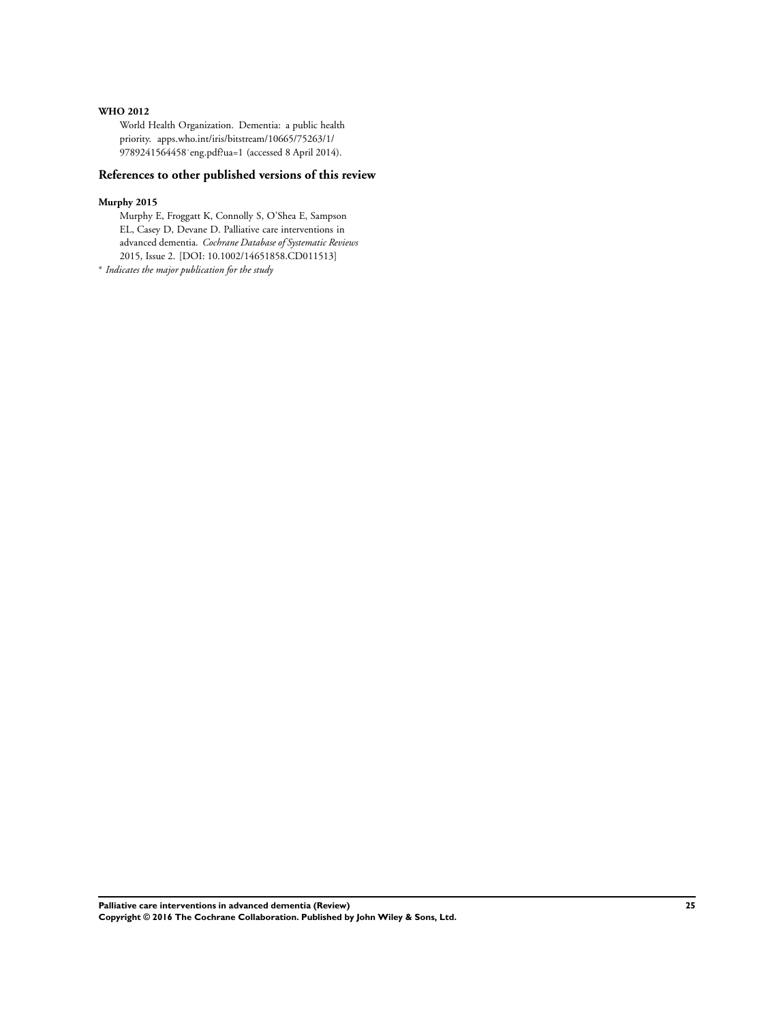## **WHO 2012**

World Health Organization. Dementia: a public health priority. apps.who.int/iris/bitstream/10665/75263/1/ 9789241564458˙eng.pdf?ua=1 (accessed 8 April 2014).

# **References to other published versions of this review**

# **Murphy 2015**

Murphy E, Froggatt K, Connolly S, O'Shea E, Sampson EL, Casey D, Devane D. Palliative care interventions in advanced dementia. *Cochrane Database of Systematic Reviews* 2015, Issue 2. [DOI: 10.1002/14651858.CD011513]

∗ *Indicates the major publication for the study*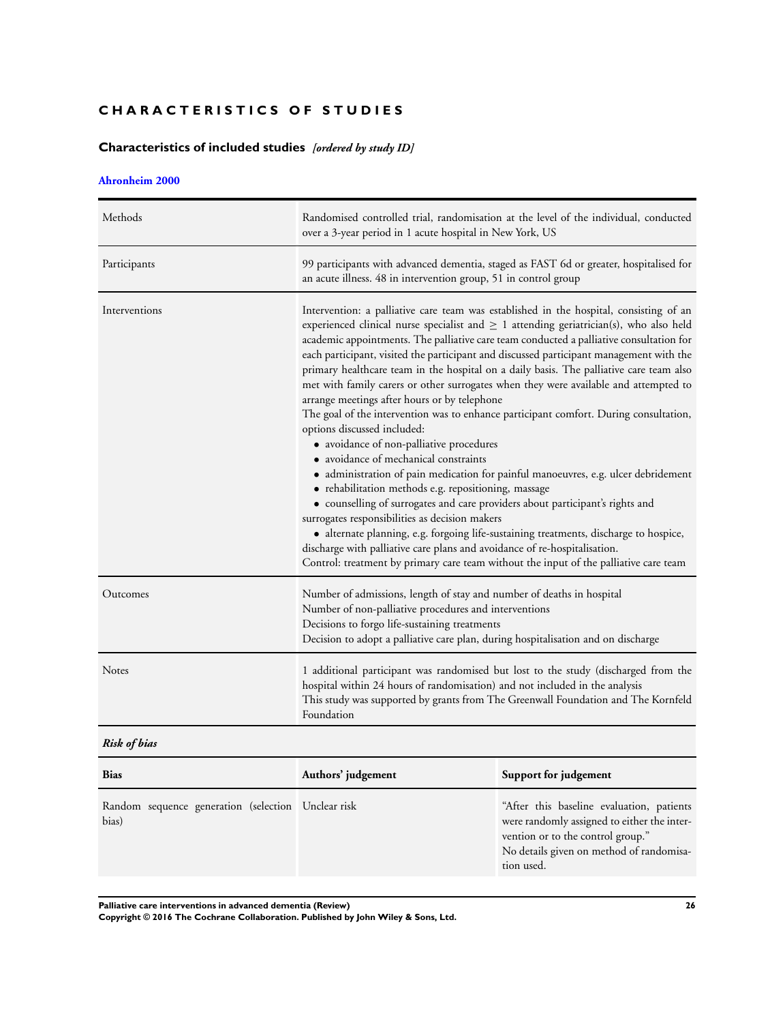# <span id="page-27-0"></span>**CHARACTERISTICS OF STUDIES**

# **Characteristics of included studies** *[ordered by study ID]*

# **[Ahronheim 2000](#page-22-0)**

| Methods       | Randomised controlled trial, randomisation at the level of the individual, conducted<br>over a 3-year period in 1 acute hospital in New York, US                                                                                                                                                                                                                                                                                                                                                                                                                                                                                                                                                                                                                                                                                                                                                                                                                                                                                                                                                                                                                                                                                                                                                                                                                            |
|---------------|-----------------------------------------------------------------------------------------------------------------------------------------------------------------------------------------------------------------------------------------------------------------------------------------------------------------------------------------------------------------------------------------------------------------------------------------------------------------------------------------------------------------------------------------------------------------------------------------------------------------------------------------------------------------------------------------------------------------------------------------------------------------------------------------------------------------------------------------------------------------------------------------------------------------------------------------------------------------------------------------------------------------------------------------------------------------------------------------------------------------------------------------------------------------------------------------------------------------------------------------------------------------------------------------------------------------------------------------------------------------------------|
| Participants  | 99 participants with advanced dementia, staged as FAST 6d or greater, hospitalised for<br>an acute illness. 48 in intervention group, 51 in control group                                                                                                                                                                                                                                                                                                                                                                                                                                                                                                                                                                                                                                                                                                                                                                                                                                                                                                                                                                                                                                                                                                                                                                                                                   |
| Interventions | Intervention: a palliative care team was established in the hospital, consisting of an<br>experienced clinical nurse specialist and $\geq 1$ attending geriatrician(s), who also held<br>academic appointments. The palliative care team conducted a palliative consultation for<br>each participant, visited the participant and discussed participant management with the<br>primary healthcare team in the hospital on a daily basis. The palliative care team also<br>met with family carers or other surrogates when they were available and attempted to<br>arrange meetings after hours or by telephone<br>The goal of the intervention was to enhance participant comfort. During consultation,<br>options discussed included:<br>• avoidance of non-palliative procedures<br>· avoidance of mechanical constraints<br>· administration of pain medication for painful manoeuvres, e.g. ulcer debridement<br>· rehabilitation methods e.g. repositioning, massage<br>• counselling of surrogates and care providers about participant's rights and<br>surrogates responsibilities as decision makers<br>• alternate planning, e.g. forgoing life-sustaining treatments, discharge to hospice,<br>discharge with palliative care plans and avoidance of re-hospitalisation.<br>Control: treatment by primary care team without the input of the palliative care team |
| Outcomes      | Number of admissions, length of stay and number of deaths in hospital<br>Number of non-palliative procedures and interventions<br>Decisions to forgo life-sustaining treatments<br>Decision to adopt a palliative care plan, during hospitalisation and on discharge                                                                                                                                                                                                                                                                                                                                                                                                                                                                                                                                                                                                                                                                                                                                                                                                                                                                                                                                                                                                                                                                                                        |
| <b>Notes</b>  | 1 additional participant was randomised but lost to the study (discharged from the<br>hospital within 24 hours of randomisation) and not included in the analysis<br>This study was supported by grants from The Greenwall Foundation and The Kornfeld<br>Foundation                                                                                                                                                                                                                                                                                                                                                                                                                                                                                                                                                                                                                                                                                                                                                                                                                                                                                                                                                                                                                                                                                                        |

# *Risk of bias*

| <b>Bias</b>                                                 | Authors' judgement | Support for judgement                                                                                                                                                                   |
|-------------------------------------------------------------|--------------------|-----------------------------------------------------------------------------------------------------------------------------------------------------------------------------------------|
| Random sequence generation (selection Unclear risk<br>bias) |                    | "After this baseline evaluation, patients<br>were randomly assigned to either the inter-<br>vention or to the control group."<br>No details given on method of randomisa-<br>tion used. |

**Palliative care interventions in advanced dementia (Review) 26**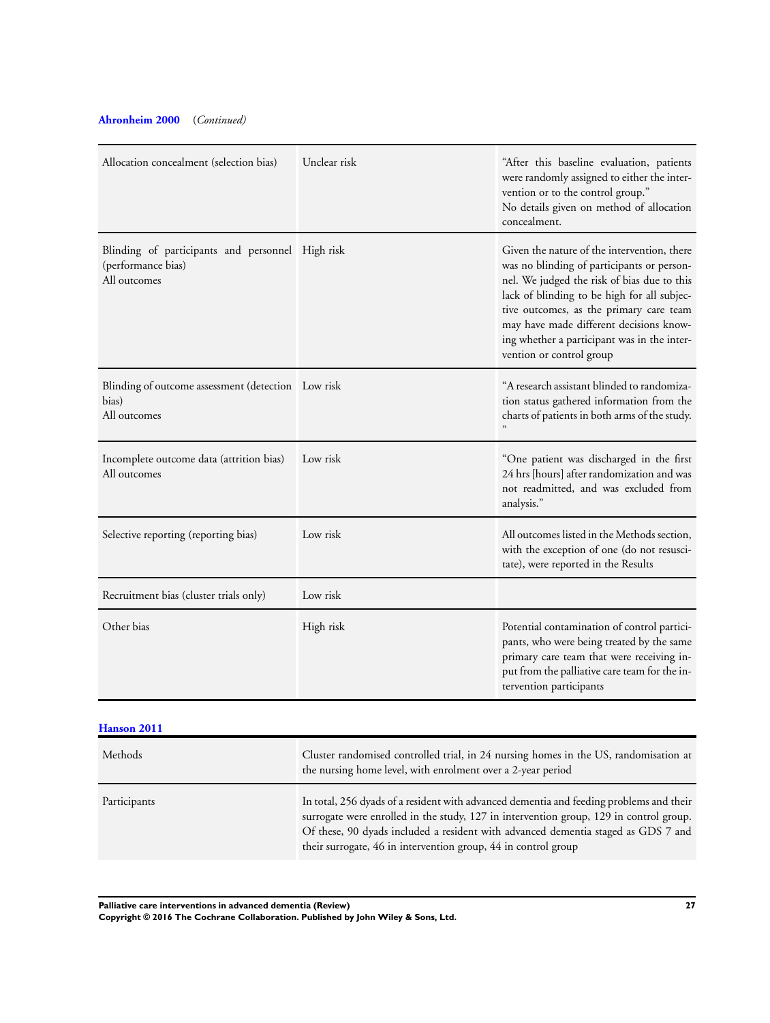# **[Ahronheim 2000](#page-22-0)** (*Continued)*

| Allocation concealment (selection bias)                                                | Unclear risk | "After this baseline evaluation, patients<br>were randomly assigned to either the inter-<br>vention or to the control group."<br>No details given on method of allocation<br>concealment.                                                                                                                                                                |
|----------------------------------------------------------------------------------------|--------------|----------------------------------------------------------------------------------------------------------------------------------------------------------------------------------------------------------------------------------------------------------------------------------------------------------------------------------------------------------|
| Blinding of participants and personnel High risk<br>(performance bias)<br>All outcomes |              | Given the nature of the intervention, there<br>was no blinding of participants or person-<br>nel. We judged the risk of bias due to this<br>lack of blinding to be high for all subjec-<br>tive outcomes, as the primary care team<br>may have made different decisions know-<br>ing whether a participant was in the inter-<br>vention or control group |
| Blinding of outcome assessment (detection Low risk<br>bias)<br>All outcomes            |              | "A research assistant blinded to randomiza-<br>tion status gathered information from the<br>charts of patients in both arms of the study.                                                                                                                                                                                                                |
| Incomplete outcome data (attrition bias)<br>All outcomes                               | Low risk     | "One patient was discharged in the first<br>24 hrs [hours] after randomization and was<br>not readmitted, and was excluded from<br>analysis."                                                                                                                                                                                                            |
| Selective reporting (reporting bias)                                                   | Low risk     | All outcomes listed in the Methods section,<br>with the exception of one (do not resusci-<br>tate), were reported in the Results                                                                                                                                                                                                                         |
| Recruitment bias (cluster trials only)                                                 | Low risk     |                                                                                                                                                                                                                                                                                                                                                          |
| Other bias                                                                             | High risk    | Potential contamination of control partici-<br>pants, who were being treated by the same<br>primary care team that were receiving in-<br>put from the palliative care team for the in-<br>tervention participants                                                                                                                                        |
| Hanson 2011                                                                            |              |                                                                                                                                                                                                                                                                                                                                                          |

| Methods      | Cluster randomised controlled trial, in 24 nursing homes in the US, randomisation at<br>the nursing home level, with enrolment over a 2-year period                                                                                                                                                                                      |
|--------------|------------------------------------------------------------------------------------------------------------------------------------------------------------------------------------------------------------------------------------------------------------------------------------------------------------------------------------------|
| Participants | In total, 256 dyads of a resident with advanced dementia and feeding problems and their<br>surrogate were enrolled in the study, 127 in intervention group, 129 in control group.<br>Of these, 90 dyads included a resident with advanced dementia staged as GDS 7 and<br>their surrogate, 46 in intervention group, 44 in control group |

**Palliative care interventions in advanced dementia (Review) 27**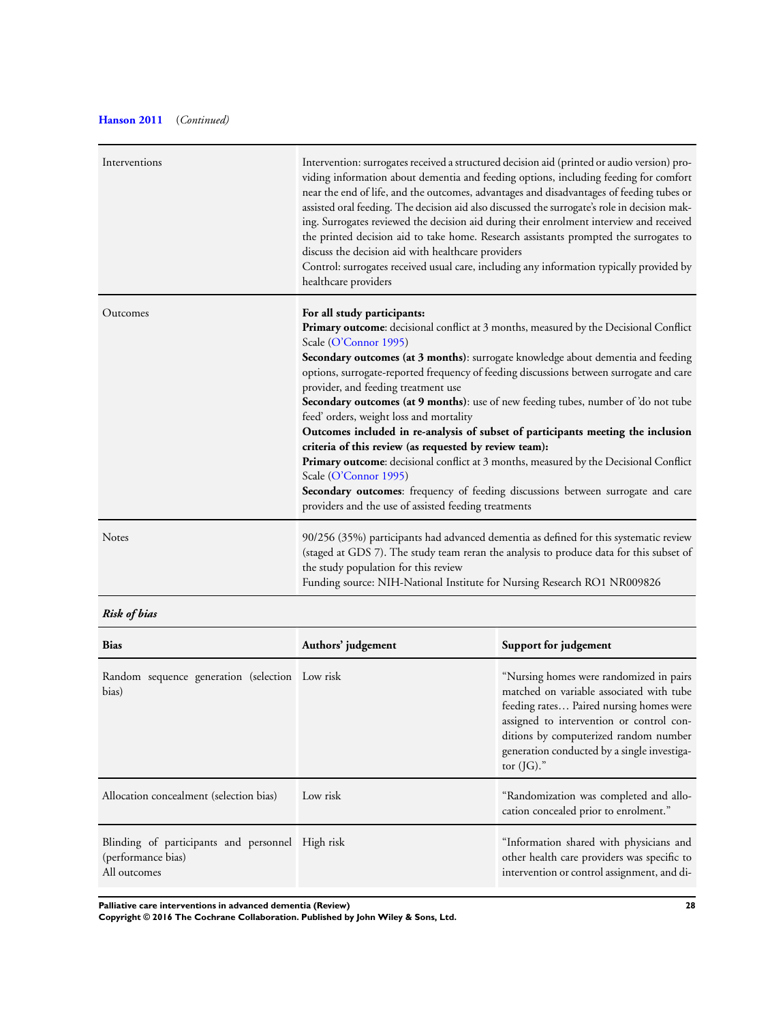# **[Hanson 2011](#page-22-0)** (*Continued)*

| Interventions | Intervention: surrogates received a structured decision aid (printed or audio version) pro-<br>viding information about dementia and feeding options, including feeding for comfort<br>near the end of life, and the outcomes, advantages and disadvantages of feeding tubes or<br>assisted oral feeding. The decision aid also discussed the surrogate's role in decision mak-<br>ing. Surrogates reviewed the decision aid during their enrolment interview and received<br>the printed decision aid to take home. Research assistants prompted the surrogates to<br>discuss the decision aid with healthcare providers<br>Control: surrogates received usual care, including any information typically provided by<br>healthcare providers                                                                                                                                                                                               |
|---------------|---------------------------------------------------------------------------------------------------------------------------------------------------------------------------------------------------------------------------------------------------------------------------------------------------------------------------------------------------------------------------------------------------------------------------------------------------------------------------------------------------------------------------------------------------------------------------------------------------------------------------------------------------------------------------------------------------------------------------------------------------------------------------------------------------------------------------------------------------------------------------------------------------------------------------------------------|
| Outcomes      | For all study participants:<br><b>Primary outcome:</b> decisional conflict at 3 months, measured by the Decisional Conflict<br>Scale (O'Connor 1995)<br>Secondary outcomes (at 3 months): surrogate knowledge about dementia and feeding<br>options, surrogate-reported frequency of feeding discussions between surrogate and care<br>provider, and feeding treatment use<br><b>Secondary outcomes (at 9 months)</b> : use of new feeding tubes, number of do not tube<br>feed' orders, weight loss and mortality<br>Outcomes included in re-analysis of subset of participants meeting the inclusion<br>criteria of this review (as requested by review team):<br><b>Primary outcome:</b> decisional conflict at 3 months, measured by the Decisional Conflict<br>Scale (O'Connor 1995)<br><b>Secondary outcomes:</b> frequency of feeding discussions between surrogate and care<br>providers and the use of assisted feeding treatments |
| Notes         | 90/256 (35%) participants had advanced dementia as defined for this systematic review<br>(staged at GDS 7). The study team reran the analysis to produce data for this subset of<br>the study population for this review<br>Funding source: NIH-National Institute for Nursing Research RO1 NR009826                                                                                                                                                                                                                                                                                                                                                                                                                                                                                                                                                                                                                                        |

# *Risk of bias*

| <b>Bias</b>                                                                            | Authors' judgement | Support for judgement                                                                                                                                                                                                                                                                        |
|----------------------------------------------------------------------------------------|--------------------|----------------------------------------------------------------------------------------------------------------------------------------------------------------------------------------------------------------------------------------------------------------------------------------------|
| Random sequence generation (selection Low risk<br>bias)                                |                    | "Nursing homes were randomized in pairs<br>matched on variable associated with tube<br>feeding rates Paired nursing homes were<br>assigned to intervention or control con-<br>ditions by computerized random number<br>generation conducted by a single investiga-<br>tor $(\mathcal{G})$ ." |
| Allocation concealment (selection bias)                                                | Low risk           | "Randomization was completed and allo-<br>cation concealed prior to enrolment."                                                                                                                                                                                                              |
| Blinding of participants and personnel High risk<br>(performance bias)<br>All outcomes |                    | "Information shared with physicians and<br>other health care providers was specific to<br>intervention or control assignment, and di-                                                                                                                                                        |

**Palliative care interventions in advanced dementia (Review) 28**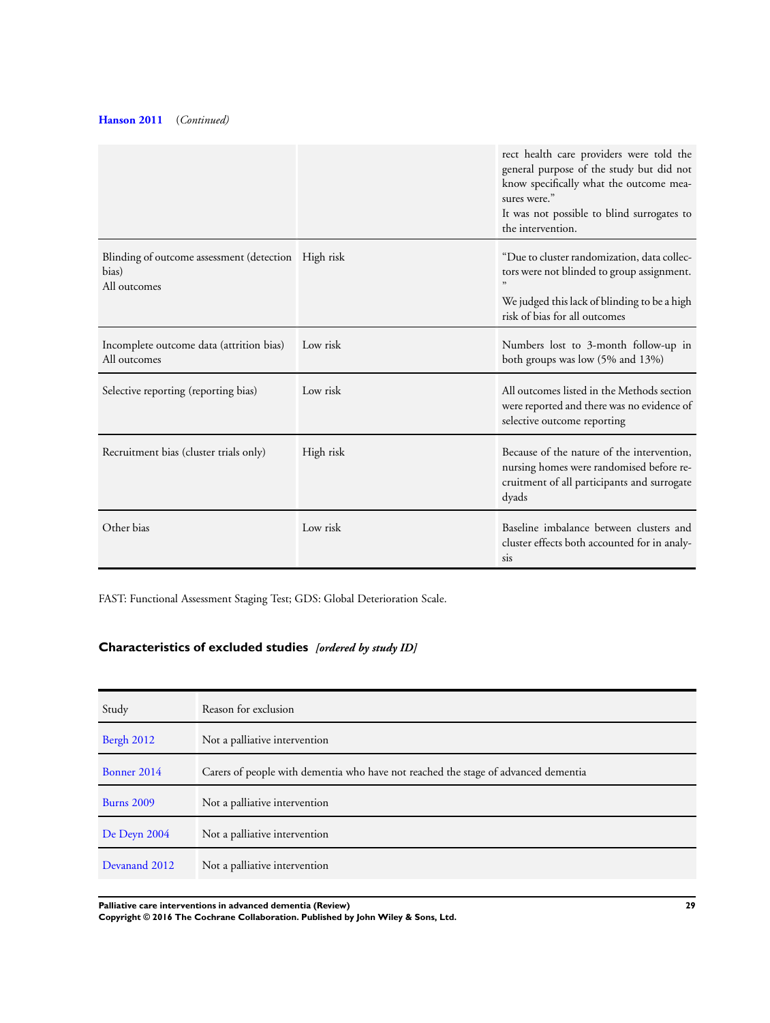# <span id="page-30-0"></span>**[Hanson 2011](#page-22-0)** (*Continued)*

|                                                                              |           | rect health care providers were told the<br>general purpose of the study but did not<br>know specifically what the outcome mea-<br>sures were."<br>It was not possible to blind surrogates to<br>the intervention. |
|------------------------------------------------------------------------------|-----------|--------------------------------------------------------------------------------------------------------------------------------------------------------------------------------------------------------------------|
| Blinding of outcome assessment (detection High risk<br>bias)<br>All outcomes |           | "Due to cluster randomization, data collec-<br>tors were not blinded to group assignment.<br>We judged this lack of blinding to be a high<br>risk of bias for all outcomes                                         |
| Incomplete outcome data (attrition bias)<br>All outcomes                     | Low risk  | Numbers lost to 3-month follow-up in<br>both groups was low (5% and 13%)                                                                                                                                           |
| Selective reporting (reporting bias)                                         | Low risk  | All outcomes listed in the Methods section<br>were reported and there was no evidence of<br>selective outcome reporting                                                                                            |
| Recruitment bias (cluster trials only)                                       | High risk | Because of the nature of the intervention,<br>nursing homes were randomised before re-<br>cruitment of all participants and surrogate<br>dyads                                                                     |
| Other bias                                                                   | Low risk  | Baseline imbalance between clusters and<br>cluster effects both accounted for in analy-<br>sis                                                                                                                     |

FAST: Functional Assessment Staging Test; GDS: Global Deterioration Scale.

# **Characteristics of excluded studies** *[ordered by study ID]*

| Study             | Reason for exclusion                                                               |
|-------------------|------------------------------------------------------------------------------------|
| Bergh 2012        | Not a palliative intervention                                                      |
| Bonner 2014       | Carers of people with dementia who have not reached the stage of advanced dementia |
| <b>Burns</b> 2009 | Not a palliative intervention                                                      |
| De Deyn 2004      | Not a palliative intervention                                                      |
| Devanand 2012     | Not a palliative intervention                                                      |

**Palliative care interventions in advanced dementia (Review) 29**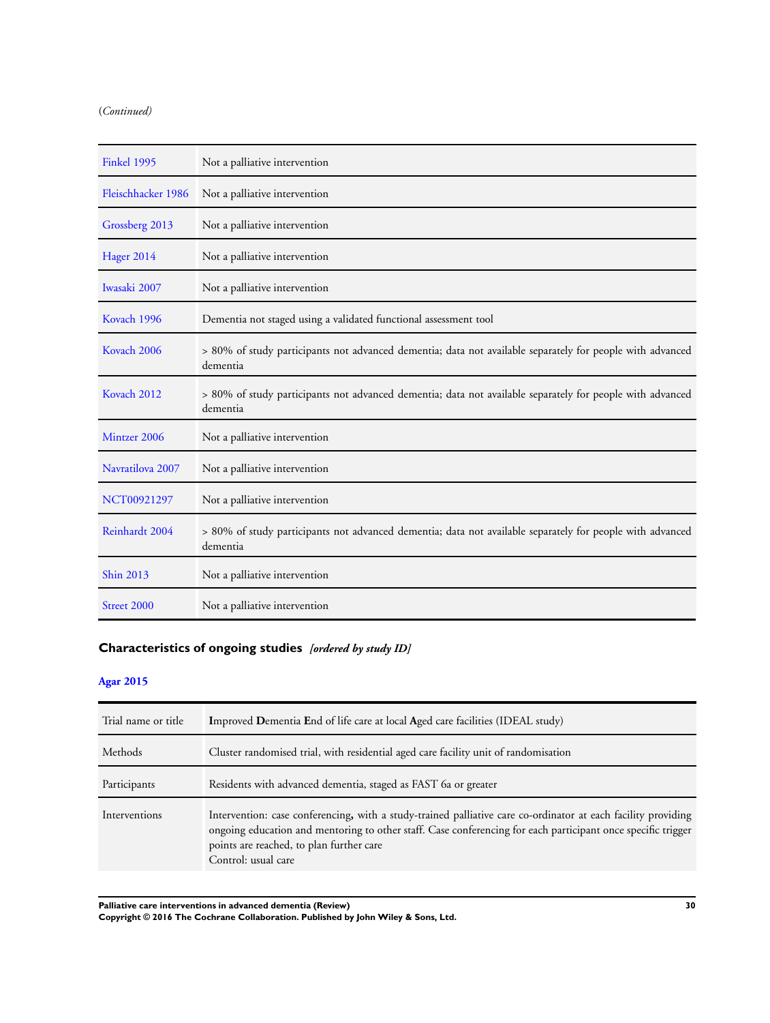<span id="page-31-0"></span>

| Finkel 1995        | Not a palliative intervention                                                                                         |
|--------------------|-----------------------------------------------------------------------------------------------------------------------|
| Fleischhacker 1986 | Not a palliative intervention                                                                                         |
| Grossberg 2013     | Not a palliative intervention                                                                                         |
| Hager 2014         | Not a palliative intervention                                                                                         |
| Iwasaki 2007       | Not a palliative intervention                                                                                         |
| Kovach 1996        | Dementia not staged using a validated functional assessment tool                                                      |
| Kovach 2006        | > 80% of study participants not advanced dementia; data not available separately for people with advanced<br>dementia |
| Kovach 2012        | > 80% of study participants not advanced dementia; data not available separately for people with advanced<br>dementia |
| Mintzer 2006       | Not a palliative intervention                                                                                         |
| Navratilova 2007   | Not a palliative intervention                                                                                         |
| NCT00921297        | Not a palliative intervention                                                                                         |
| Reinhardt 2004     | > 80% of study participants not advanced dementia; data not available separately for people with advanced<br>dementia |
| Shin 2013          | Not a palliative intervention                                                                                         |
| Street 2000        | Not a palliative intervention                                                                                         |

# **Characteristics of ongoing studies** *[ordered by study ID]*

# **[Agar 2015](#page-22-0)**

| Trial name or title | Improved Dementia End of life care at local Aged care facilities (IDEAL study)                                                                                                                                                                                                                   |
|---------------------|--------------------------------------------------------------------------------------------------------------------------------------------------------------------------------------------------------------------------------------------------------------------------------------------------|
| Methods             | Cluster randomised trial, with residential aged care facility unit of randomisation                                                                                                                                                                                                              |
| Participants        | Residents with advanced dementia, staged as FAST 6a or greater                                                                                                                                                                                                                                   |
| Interventions       | Intervention: case conferencing, with a study-trained palliative care co-ordinator at each facility providing<br>ongoing education and mentoring to other staff. Case conferencing for each participant once specific trigger<br>points are reached, to plan further care<br>Control: usual care |

**Palliative care interventions in advanced dementia (Review) 30**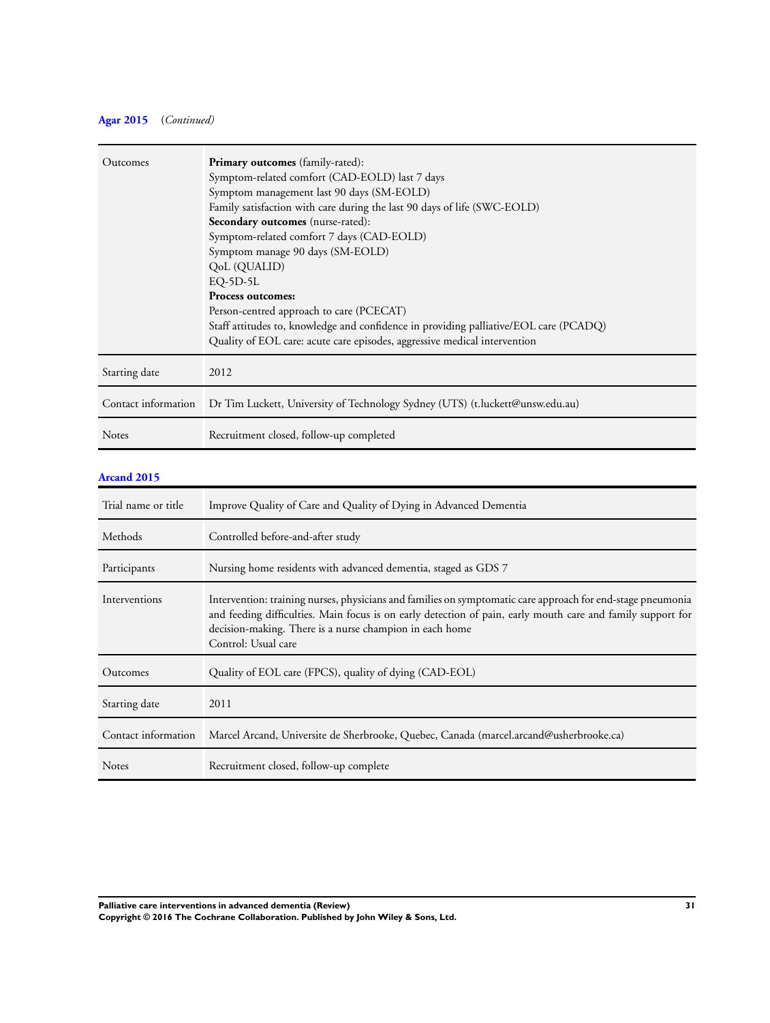# **[Agar 2015](#page-22-0)** (*Continued)*

Starting date 2011

| Outcomes            | Primary outcomes (family-rated):<br>Symptom-related comfort (CAD-EOLD) last 7 days<br>Symptom management last 90 days (SM-EOLD)<br>Family satisfaction with care during the last 90 days of life (SWC-EOLD)<br>Secondary outcomes (nurse-rated):<br>Symptom-related comfort 7 days (CAD-EOLD)<br>Symptom manage 90 days (SM-EOLD)<br>QoL (QUALID)<br>EQ-5D-5L<br>Process outcomes:<br>Person-centred approach to care (PCECAT)<br>Staff attitudes to, knowledge and confidence in providing palliative/EOL care (PCADQ)<br>Quality of EOL care: acute care episodes, aggressive medical intervention |
|---------------------|------------------------------------------------------------------------------------------------------------------------------------------------------------------------------------------------------------------------------------------------------------------------------------------------------------------------------------------------------------------------------------------------------------------------------------------------------------------------------------------------------------------------------------------------------------------------------------------------------|
| Starting date       | 2012                                                                                                                                                                                                                                                                                                                                                                                                                                                                                                                                                                                                 |
| Contact information | Dr Tim Luckett, University of Technology Sydney (UTS) (t.luckett@unsw.edu.au)                                                                                                                                                                                                                                                                                                                                                                                                                                                                                                                        |
| <b>Notes</b>        | Recruitment closed, follow-up completed                                                                                                                                                                                                                                                                                                                                                                                                                                                                                                                                                              |
| <b>Arcand 2015</b>  |                                                                                                                                                                                                                                                                                                                                                                                                                                                                                                                                                                                                      |
| Trial name or title | Improve Quality of Care and Quality of Dying in Advanced Dementia                                                                                                                                                                                                                                                                                                                                                                                                                                                                                                                                    |
| Methods             | Controlled before-and-after study                                                                                                                                                                                                                                                                                                                                                                                                                                                                                                                                                                    |
| Participants        | Nursing home residents with advanced dementia, staged as GDS 7                                                                                                                                                                                                                                                                                                                                                                                                                                                                                                                                       |
| Interventions       | Intervention: training nurses, physicians and families on symptomatic care approach for end-stage pneumonia<br>and feeding difficulties. Main focus is on early detection of pain, early mouth care and family support for<br>decision-making. There is a nurse champion in each home<br>Control: Usual care                                                                                                                                                                                                                                                                                         |
| Outcomes            | Quality of EOL care (FPCS), quality of dying (CAD-EOL)                                                                                                                                                                                                                                                                                                                                                                                                                                                                                                                                               |

Contact information Marcel Arcand, Universite de Sherbrooke, Quebec, Canada (marcel.arcand@usherbrooke.ca)

**Palliative care interventions in advanced dementia (Review) 31 Copyright © 2016 The Cochrane Collaboration. Published by John Wiley & Sons, Ltd.**

Notes Recruitment closed, follow-up complete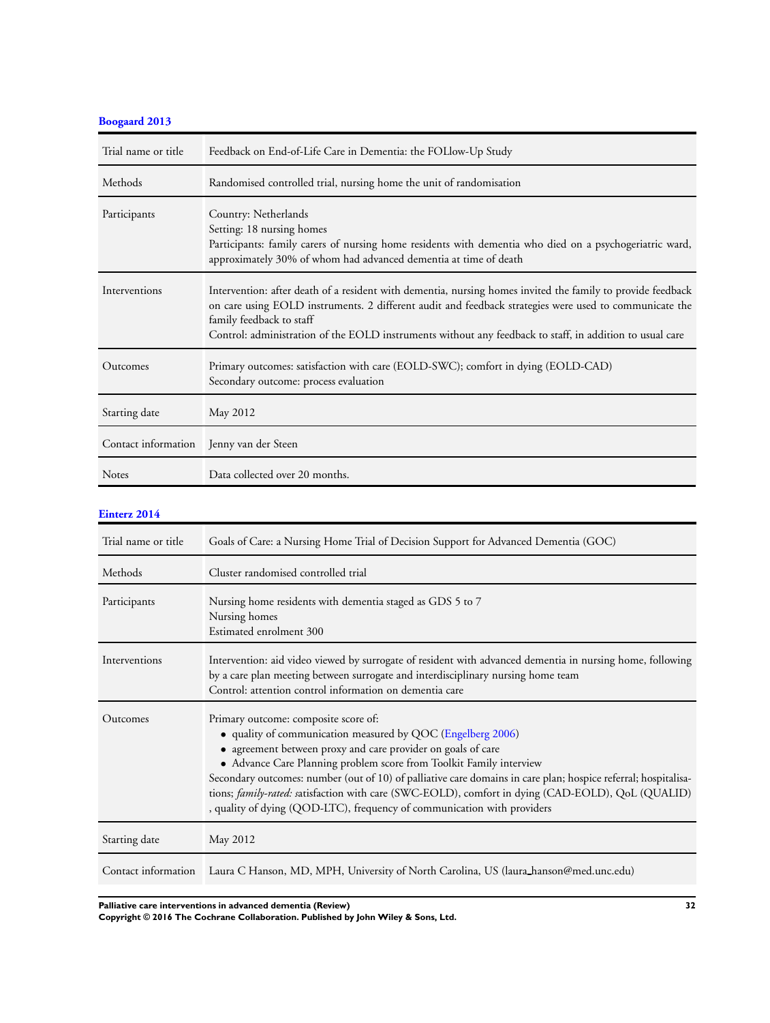# **[Boogaard 2013](#page-22-0)**

| Trial name or title                     | Feedback on End-of-Life Care in Dementia: the FOLlow-Up Study                                                                                                                                                                                                                                                                                                 |
|-----------------------------------------|---------------------------------------------------------------------------------------------------------------------------------------------------------------------------------------------------------------------------------------------------------------------------------------------------------------------------------------------------------------|
| Methods                                 | Randomised controlled trial, nursing home the unit of randomisation                                                                                                                                                                                                                                                                                           |
| Participants                            | Country: Netherlands<br>Setting: 18 nursing homes<br>Participants: family carers of nursing home residents with dementia who died on a psychogeriatric ward,<br>approximately 30% of whom had advanced dementia at time of death                                                                                                                              |
| Interventions                           | Intervention: after death of a resident with dementia, nursing homes invited the family to provide feedback<br>on care using EOLD instruments. 2 different audit and feedback strategies were used to communicate the<br>family feedback to staff<br>Control: administration of the EOLD instruments without any feedback to staff, in addition to usual care |
| Outcomes                                | Primary outcomes: satisfaction with care (EOLD-SWC); comfort in dying (EOLD-CAD)<br>Secondary outcome: process evaluation                                                                                                                                                                                                                                     |
| Starting date                           | May 2012                                                                                                                                                                                                                                                                                                                                                      |
| Contact information Jenny van der Steen |                                                                                                                                                                                                                                                                                                                                                               |
| <b>Notes</b>                            | Data collected over 20 months.                                                                                                                                                                                                                                                                                                                                |

# **[Einterz 2014](#page-22-0)**

| Trial name or title | Goals of Care: a Nursing Home Trial of Decision Support for Advanced Dementia (GOC)                                                                                                                                                                                                                                                                                                                                                                                                                                                          |
|---------------------|----------------------------------------------------------------------------------------------------------------------------------------------------------------------------------------------------------------------------------------------------------------------------------------------------------------------------------------------------------------------------------------------------------------------------------------------------------------------------------------------------------------------------------------------|
| Methods             | Cluster randomised controlled trial                                                                                                                                                                                                                                                                                                                                                                                                                                                                                                          |
| Participants        | Nursing home residents with dementia staged as GDS 5 to 7<br>Nursing homes<br>Estimated enrolment 300                                                                                                                                                                                                                                                                                                                                                                                                                                        |
| Interventions       | Intervention: aid video viewed by surrogate of resident with advanced dementia in nursing home, following<br>by a care plan meeting between surrogate and interdisciplinary nursing home team<br>Control: attention control information on dementia care                                                                                                                                                                                                                                                                                     |
| Outcomes            | Primary outcome: composite score of:<br>· quality of communication measured by QOC (Engelberg 2006)<br>• agreement between proxy and care provider on goals of care<br>• Advance Care Planning problem score from Toolkit Family interview<br>Secondary outcomes: number (out of 10) of palliative care domains in care plan; hospice referral; hospitalisa-<br>tions; family-rated: satisfaction with care (SWC-EOLD), comfort in dying (CAD-EOLD), QoL (QUALID)<br>, quality of dying (QOD-LTC), frequency of communication with providers |
| Starting date       | May 2012                                                                                                                                                                                                                                                                                                                                                                                                                                                                                                                                     |
| Contact information | Laura C Hanson, MD, MPH, University of North Carolina, US (laura_hanson@med.unc.edu)                                                                                                                                                                                                                                                                                                                                                                                                                                                         |

**Palliative care interventions in advanced dementia (Review) 32**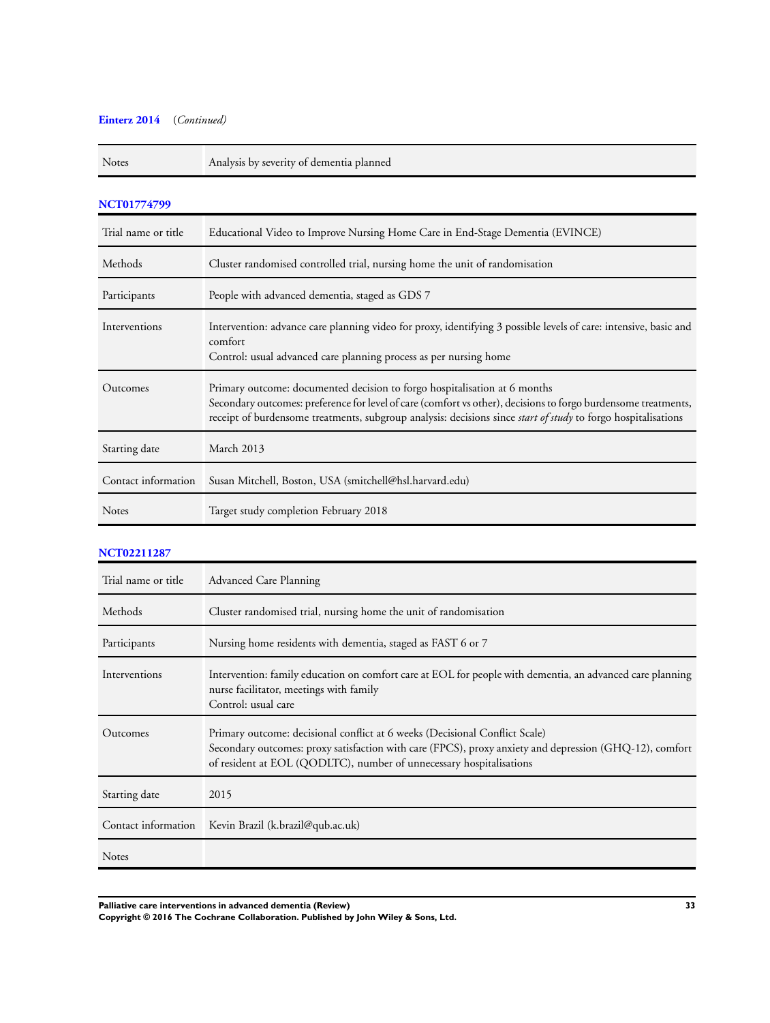# **[Einterz 2014](#page-22-0)** (*Continued)*

| <b>Notes</b>        | Analysis by severity of dementia planned                                                                                                                                                                                                                                                                            |  |  |  |  |  |
|---------------------|---------------------------------------------------------------------------------------------------------------------------------------------------------------------------------------------------------------------------------------------------------------------------------------------------------------------|--|--|--|--|--|
| NCT01774799         |                                                                                                                                                                                                                                                                                                                     |  |  |  |  |  |
| Trial name or title | Educational Video to Improve Nursing Home Care in End-Stage Dementia (EVINCE)                                                                                                                                                                                                                                       |  |  |  |  |  |
| Methods             | Cluster randomised controlled trial, nursing home the unit of randomisation                                                                                                                                                                                                                                         |  |  |  |  |  |
| Participants        | People with advanced dementia, staged as GDS 7                                                                                                                                                                                                                                                                      |  |  |  |  |  |
| Interventions       | Intervention: advance care planning video for proxy, identifying 3 possible levels of care: intensive, basic and<br>comfort<br>Control: usual advanced care planning process as per nursing home                                                                                                                    |  |  |  |  |  |
| Outcomes            | Primary outcome: documented decision to forgo hospitalisation at 6 months<br>Secondary outcomes: preference for level of care (comfort vs other), decisions to forgo burdensome treatments,<br>receipt of burdensome treatments, subgroup analysis: decisions since <i>start of study</i> to forgo hospitalisations |  |  |  |  |  |
| Starting date       | March 2013                                                                                                                                                                                                                                                                                                          |  |  |  |  |  |
| Contact information | Susan Mitchell, Boston, USA (smitchell@hsl.harvard.edu)                                                                                                                                                                                                                                                             |  |  |  |  |  |
| <b>Notes</b>        | Target study completion February 2018                                                                                                                                                                                                                                                                               |  |  |  |  |  |

# **[NCT02211287](#page-22-0)**

| Trial name or title | Advanced Care Planning                                                                                                                                                                                                                                        |
|---------------------|---------------------------------------------------------------------------------------------------------------------------------------------------------------------------------------------------------------------------------------------------------------|
| Methods             | Cluster randomised trial, nursing home the unit of randomisation                                                                                                                                                                                              |
| Participants        | Nursing home residents with dementia, staged as FAST 6 or 7                                                                                                                                                                                                   |
| Interventions       | Intervention: family education on comfort care at EOL for people with dementia, an advanced care planning<br>nurse facilitator, meetings with family<br>Control: usual care                                                                                   |
| Outcomes            | Primary outcome: decisional conflict at 6 weeks (Decisional Conflict Scale)<br>Secondary outcomes: proxy satisfaction with care (FPCS), proxy anxiety and depression (GHQ-12), comfort<br>of resident at EOL (QODLTC), number of unnecessary hospitalisations |
| Starting date       | 2015                                                                                                                                                                                                                                                          |
| Contact information | Kevin Brazil (k.brazil@qub.ac.uk)                                                                                                                                                                                                                             |
| <b>Notes</b>        |                                                                                                                                                                                                                                                               |

**Palliative care interventions in advanced dementia (Review) 33**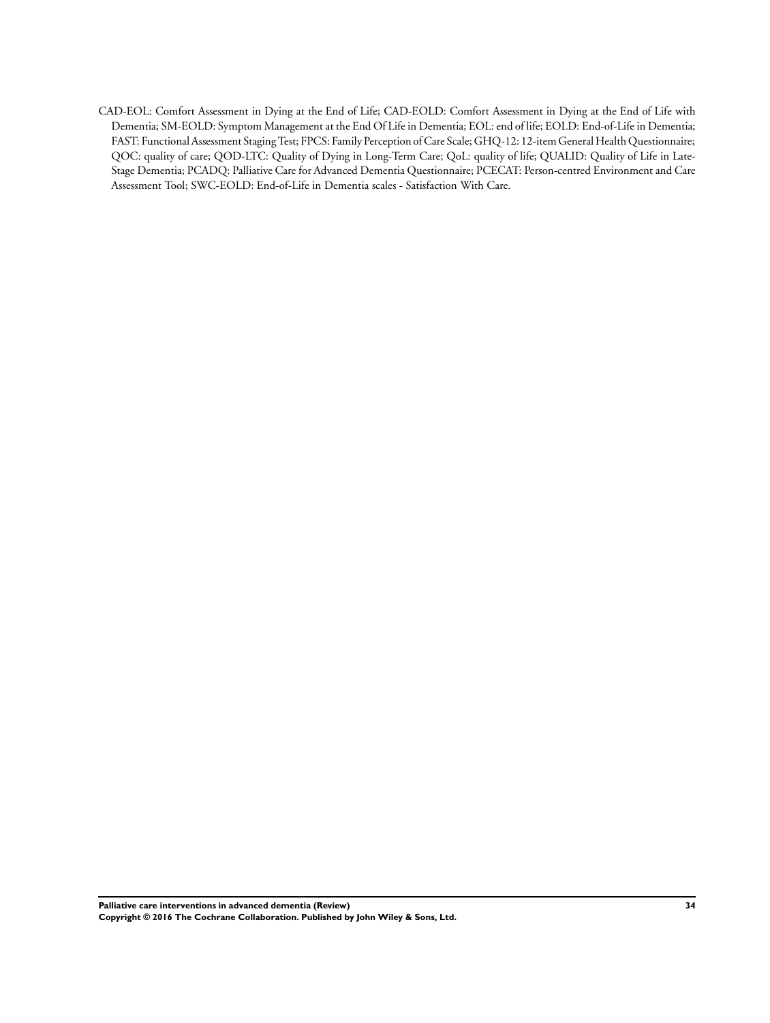CAD-EOL: Comfort Assessment in Dying at the End of Life; CAD-EOLD: Comfort Assessment in Dying at the End of Life with Dementia; SM-EOLD: Symptom Management at the End Of Life in Dementia; EOL: end of life; EOLD: End-of-Life in Dementia; FAST: Functional Assessment Staging Test; FPCS: Family Perception of Care Scale; GHQ-12: 12-item General Health Questionnaire; QOC: quality of care; QOD-LTC: Quality of Dying in Long-Term Care; QoL: quality of life; QUALID: Quality of Life in Late-Stage Dementia; PCADQ: Palliative Care for Advanced Dementia Questionnaire; PCECAT: Person-centred Environment and Care Assessment Tool; SWC-EOLD: End-of-Life in Dementia scales - Satisfaction With Care.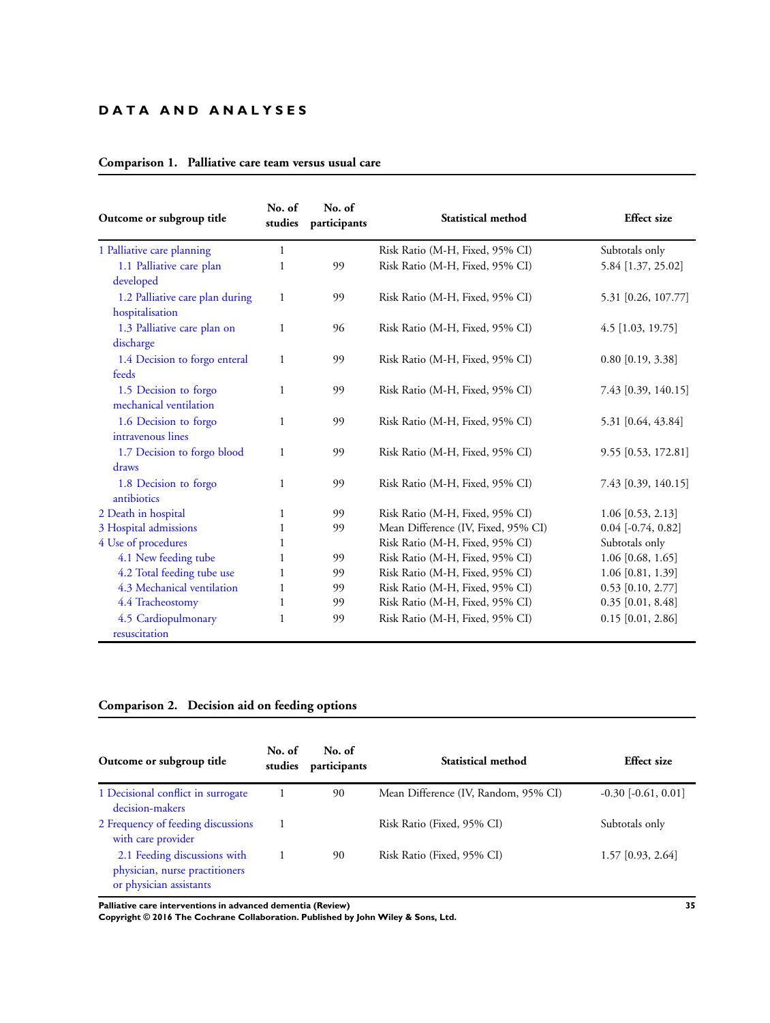# **D A T A A N D A N A L Y S E S**

# **Comparison 1. Palliative care team versus usual care**

| Outcome or subgroup title                          | No. of<br>studies | No. of<br>participants | <b>Statistical method</b>           | <b>Effect</b> size   |
|----------------------------------------------------|-------------------|------------------------|-------------------------------------|----------------------|
| 1 Palliative care planning                         | $\mathbf{1}$      |                        | Risk Ratio (M-H, Fixed, 95% CI)     | Subtotals only       |
| 1.1 Palliative care plan<br>developed              | $\mathbf{1}$      | 99                     | Risk Ratio (M-H, Fixed, 95% CI)     | 5.84 [1.37, 25.02]   |
| 1.2 Palliative care plan during<br>hospitalisation | $\mathbf{1}$      | 99                     | Risk Ratio (M-H, Fixed, 95% CI)     | 5.31 [0.26, 107.77]  |
| 1.3 Palliative care plan on<br>discharge           | 1                 | 96                     | Risk Ratio (M-H, Fixed, 95% CI)     | $4.5$ [1.03, 19.75]  |
| 1.4 Decision to forgo enteral<br>feeds             | 1                 | 99                     | Risk Ratio (M-H, Fixed, 95% CI)     | $0.80$ [0.19, 3.38]  |
| 1.5 Decision to forgo<br>mechanical ventilation    | 1                 | 99                     | Risk Ratio (M-H, Fixed, 95% CI)     | 7.43 [0.39, 140.15]  |
| 1.6 Decision to forgo<br>intravenous lines         | 1                 | 99                     | Risk Ratio (M-H, Fixed, 95% CI)     | 5.31 [0.64, 43.84]   |
| 1.7 Decision to forgo blood<br>draws               | 1                 | 99                     | Risk Ratio (M-H, Fixed, 95% CI)     | 9.55 [0.53, 172.81]  |
| 1.8 Decision to forgo<br>antibiotics               | 1                 | 99                     | Risk Ratio (M-H, Fixed, 95% CI)     | 7.43 [0.39, 140.15]  |
| 2 Death in hospital                                | 1                 | 99                     | Risk Ratio (M-H, Fixed, 95% CI)     | $1.06$ [0.53, 2.13]  |
| 3 Hospital admissions                              | 1                 | 99                     | Mean Difference (IV, Fixed, 95% CI) | $0.04$ [-0.74, 0.82] |
| 4 Use of procedures                                | 1                 |                        | Risk Ratio (M-H, Fixed, 95% CI)     | Subtotals only       |
| 4.1 New feeding tube                               | 1                 | 99                     | Risk Ratio (M-H, Fixed, 95% CI)     | $1.06$ [0.68, 1.65]  |
| 4.2 Total feeding tube use                         | 1                 | 99                     | Risk Ratio (M-H, Fixed, 95% CI)     | $1.06$ [0.81, 1.39]  |
| 4.3 Mechanical ventilation                         | $\mathbf{1}$      | 99                     | Risk Ratio (M-H, Fixed, 95% CI)     | $0.53$ [0.10, 2.77]  |
| 4.4 Tracheostomy                                   | $\mathbf{1}$      | 99                     | Risk Ratio (M-H, Fixed, 95% CI)     | $0.35$ [0.01, 8.48]  |
| 4.5 Cardiopulmonary<br>resuscitation               | 1                 | 99                     | Risk Ratio (M-H, Fixed, 95% CI)     | $0.15$ [0.01, 2.86]  |

# **Comparison 2. Decision aid on feeding options**

| Outcome or subgroup title                                                                 | No. of<br>studies | No. of<br>participants | Statistical method                   | <b>Effect size</b>      |
|-------------------------------------------------------------------------------------------|-------------------|------------------------|--------------------------------------|-------------------------|
| 1 Decisional conflict in surrogate<br>decision-makers                                     |                   | 90                     | Mean Difference (IV, Random, 95% CI) | $-0.30$ $[-0.61, 0.01]$ |
| 2 Frequency of feeding discussions<br>with care provider                                  |                   |                        | Risk Ratio (Fixed, 95% CI)           | Subtotals only          |
| 2.1 Feeding discussions with<br>physician, nurse practitioners<br>or physician assistants |                   | 90                     | Risk Ratio (Fixed, 95% CI)           | $1.57$ [0.93, 2.64]     |

**Palliative care interventions in advanced dementia (Review) 35**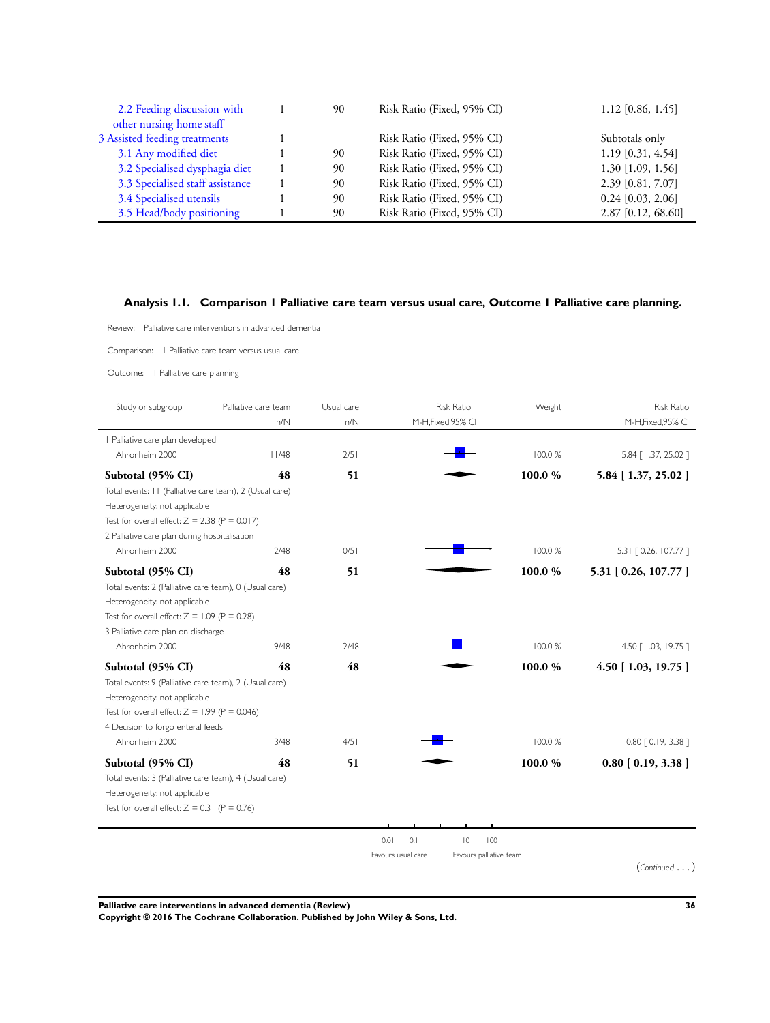| 2.2 Feeding discussion with      | 90 | Risk Ratio (Fixed, 95% CI) | $1.12$ [0.86, 1.45] |
|----------------------------------|----|----------------------------|---------------------|
| other nursing home staff         |    |                            |                     |
| 3 Assisted feeding treatments    |    | Risk Ratio (Fixed, 95% CI) | Subtotals only      |
| 3.1 Any modified diet            | 90 | Risk Ratio (Fixed, 95% CI) | $1.19$ [0.31, 4.54] |
| 3.2 Specialised dysphagia diet   | 90 | Risk Ratio (Fixed, 95% CI) | $1.30$ [1.09, 1.56] |
| 3.3 Specialised staff assistance | 90 | Risk Ratio (Fixed, 95% CI) | 2.39 [0.81, 7.07]   |
| 3.4 Specialised utensils         | 90 | Risk Ratio (Fixed, 95% CI) | $0.24$ [0.03, 2.06] |
| 3.5 Head/body positioning        | 90 | Risk Ratio (Fixed, 95% CI) | 2.87 [0.12, 68.60]  |

# **Analysis 1.1. Comparison 1 Palliative care team versus usual care, Outcome 1 Palliative care planning.**

Review: Palliative care interventions in advanced dementia

Comparison: 1 Palliative care team versus usual care

Outcome: 1 Palliative care planning

| Study or subgroup                                       | Palliative care team | Usual care | <b>Risk Ratio</b>                             | Weight  | <b>Risk Ratio</b>     |
|---------------------------------------------------------|----------------------|------------|-----------------------------------------------|---------|-----------------------|
|                                                         | n/N                  | n/N        | M-H,Fixed,95% CI                              |         | M-H, Fixed, 95% CI    |
| I Palliative care plan developed                        |                      |            |                                               |         |                       |
| Ahronheim 2000                                          | 11/48                | 2/5        |                                               | 100.0 % | 5.84 [ 1.37, 25.02 ]  |
| Subtotal (95% CI)                                       | 48                   | 51         |                                               | 100.0%  | 5.84 [1.37, 25.02]    |
| Total events: 11 (Palliative care team), 2 (Usual care) |                      |            |                                               |         |                       |
| Heterogeneity: not applicable                           |                      |            |                                               |         |                       |
| Test for overall effect: $Z = 2.38$ (P = 0.017)         |                      |            |                                               |         |                       |
| 2 Palliative care plan during hospitalisation           |                      |            |                                               |         |                       |
| Ahronheim 2000                                          | 2/48                 | 0/5        |                                               | 100.0 % | 5.31 [ 0.26, 107.77 ] |
| Subtotal (95% CI)                                       | 48                   | 51         |                                               | 100.0%  | 5.31 [0.26, 107.77]   |
| Total events: 2 (Palliative care team), 0 (Usual care)  |                      |            |                                               |         |                       |
| Heterogeneity: not applicable                           |                      |            |                                               |         |                       |
| Test for overall effect: $Z = 1.09$ (P = 0.28)          |                      |            |                                               |         |                       |
| 3 Palliative care plan on discharge                     |                      |            |                                               |         |                       |
| Ahronheim 2000                                          | 9/48                 | 2/48       |                                               | 100.0 % | 4.50 [ 1.03, 19.75 ]  |
| Subtotal (95% CI)                                       | 48                   | 48         |                                               | 100.0%  | 4.50 [1.03, 19.75]    |
| Total events: 9 (Palliative care team), 2 (Usual care)  |                      |            |                                               |         |                       |
| Heterogeneity: not applicable                           |                      |            |                                               |         |                       |
| Test for overall effect: $Z = 1.99$ (P = 0.046)         |                      |            |                                               |         |                       |
| 4 Decision to forgo enteral feeds                       |                      |            |                                               |         |                       |
| Ahronheim 2000                                          | 3/48                 | 4/51       |                                               | 100.0 % | $0.80$ $[0.19, 3.38]$ |
| Subtotal (95% CI)                                       | 48                   | 51         |                                               | 100.0%  | $0.80$ [ 0.19, 3.38 ] |
| Total events: 3 (Palliative care team), 4 (Usual care)  |                      |            |                                               |         |                       |
| Heterogeneity: not applicable                           |                      |            |                                               |         |                       |
| Test for overall effect: $Z = 0.31$ (P = 0.76)          |                      |            |                                               |         |                       |
|                                                         |                      |            |                                               |         |                       |
|                                                         |                      |            | 0.1<br>$\overline{0}$<br>100<br>0.01          |         |                       |
|                                                         |                      |            | Favours palliative team<br>Favours usual care |         | $(Continued \dots)$   |
|                                                         |                      |            |                                               |         |                       |

**Palliative care interventions in advanced dementia (Review) 36**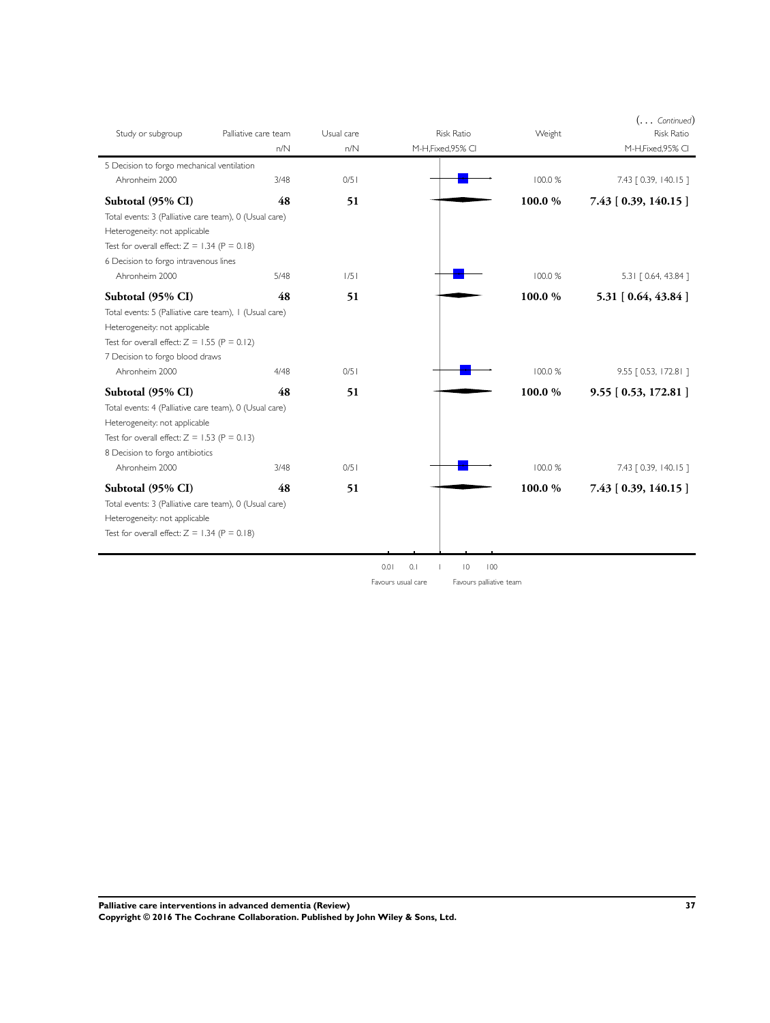<span id="page-38-0"></span>

| Study or subgroup                                      | Palliative care team<br>n/N | Usual care<br>n/N | <b>Risk Ratio</b><br>M-H,Fixed,95% CI | Weight  | $(\ldots \hbox{\ \it Continued})$<br><b>Risk Ratio</b><br>M-H, Fixed, 95% CI |
|--------------------------------------------------------|-----------------------------|-------------------|---------------------------------------|---------|------------------------------------------------------------------------------|
| 5 Decision to forgo mechanical ventilation             |                             |                   |                                       |         |                                                                              |
| Ahronheim 2000                                         | 3/48                        | 0/5               |                                       | 100.0 % | 7.43 [ 0.39, 140.15 ]                                                        |
| Subtotal (95% CI)                                      | 48                          | 51                |                                       | 100.0%  | $7.43$ [ 0.39, 140.15 ]                                                      |
| Total events: 3 (Palliative care team), 0 (Usual care) |                             |                   |                                       |         |                                                                              |
| Heterogeneity: not applicable                          |                             |                   |                                       |         |                                                                              |
| Test for overall effect: $Z = 1.34$ (P = 0.18)         |                             |                   |                                       |         |                                                                              |
| 6 Decision to forgo intravenous lines                  |                             |                   |                                       |         |                                                                              |
| Ahronheim 2000                                         | 5/48                        | 1/5               |                                       | 100.0 % | 5.31   0.64, 43.84 ]                                                         |
| Subtotal (95% CI)                                      | 48                          | 51                |                                       | 100.0%  | $5.31 \mid 0.64, 43.84 \mid$                                                 |
| Total events: 5 (Palliative care team), 1 (Usual care) |                             |                   |                                       |         |                                                                              |
| Heterogeneity: not applicable                          |                             |                   |                                       |         |                                                                              |
| Test for overall effect: $Z = 1.55$ (P = 0.12)         |                             |                   |                                       |         |                                                                              |
| 7 Decision to forgo blood draws                        |                             |                   |                                       |         |                                                                              |
| Ahronheim 2000                                         | 4/48                        | 0/5               |                                       | 100.0 % | 9.55 [ 0.53, 172.81 ]                                                        |
| Subtotal (95% CI)                                      | 48                          | 51                |                                       | 100.0%  | $9.55$ [ 0.53, 172.81 ]                                                      |
| Total events: 4 (Palliative care team), 0 (Usual care) |                             |                   |                                       |         |                                                                              |
| Heterogeneity: not applicable                          |                             |                   |                                       |         |                                                                              |
| Test for overall effect: $Z = 1.53$ (P = 0.13)         |                             |                   |                                       |         |                                                                              |
| 8 Decision to forgo antibiotics                        |                             |                   |                                       |         |                                                                              |
| Ahronheim 2000                                         | 3/48                        | 0/5               |                                       | 100.0 % | 7.43 [ 0.39, 140.15 ]                                                        |
| Subtotal (95% CI)                                      | 48                          | 51                |                                       | 100.0%  | $7.43$ [ 0.39, 140.15 ]                                                      |
| Total events: 3 (Palliative care team), 0 (Usual care) |                             |                   |                                       |         |                                                                              |
| Heterogeneity: not applicable                          |                             |                   |                                       |         |                                                                              |
| Test for overall effect: $Z = 1.34$ (P = 0.18)         |                             |                   |                                       |         |                                                                              |
|                                                        |                             |                   |                                       |         |                                                                              |

0.01 0.1 1 10 100

Favours usual care Favours palliative team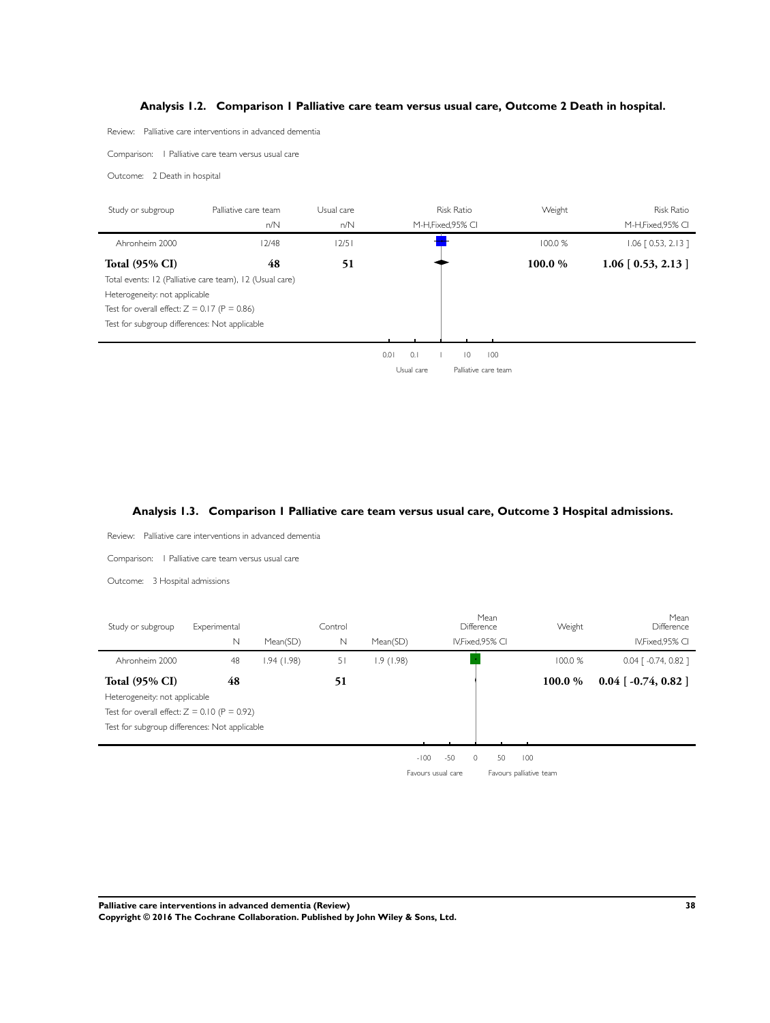# **Analysis 1.2. Comparison 1 Palliative care team versus usual care, Outcome 2 Death in hospital.**

<span id="page-39-0"></span>Review: Palliative care interventions in advanced dementia

Comparison: 1 Palliative care team versus usual care

Outcome: 2 Death in hospital

| Study or subgroup                              | Palliative care team                                     | Usual care | <b>Risk Ratio</b>                    | Weight | <b>Risk Ratio</b>     |
|------------------------------------------------|----------------------------------------------------------|------------|--------------------------------------|--------|-----------------------|
|                                                | n/N                                                      | n/N        | M-H, Fixed, 95% CI                   |        | M-H, Fixed, 95% CI    |
| Ahronheim 2000                                 | 12/48                                                    | 12/51      |                                      | 100.0% | $1.06$ $[0.53, 2.13]$ |
| <b>Total (95% CI)</b>                          | 48                                                       | 51         |                                      | 100.0% | $1.06$ [ 0.53, 2.13 ] |
|                                                | Total events: 12 (Palliative care team), 12 (Usual care) |            |                                      |        |                       |
| Heterogeneity: not applicable                  |                                                          |            |                                      |        |                       |
| Test for overall effect: $Z = 0.17$ (P = 0.86) |                                                          |            |                                      |        |                       |
| Test for subgroup differences: Not applicable  |                                                          |            |                                      |        |                       |
|                                                |                                                          |            |                                      |        |                       |
|                                                |                                                          |            | 0.1<br>0.01<br>$\overline{0}$<br>100 |        |                       |
|                                                |                                                          |            | Usual care<br>Palliative care team   |        |                       |

# **Analysis 1.3. Comparison 1 Palliative care team versus usual care, Outcome 3 Hospital admissions.**

Review: Palliative care interventions in advanced dementia

Comparison: 1 Palliative care team versus usual care

Outcome: 3 Hospital admissions

| Study or subgroup                              | Experimental |            | Control |           |                    | Mean<br>Difference | Weight                  | Mean<br>Difference                 |
|------------------------------------------------|--------------|------------|---------|-----------|--------------------|--------------------|-------------------------|------------------------------------|
|                                                | $\mathbb N$  | Mean(SD)   | N       | Mean(SD)  |                    | IV, Fixed, 95% CI  |                         | IV, Fixed, 95% CI                  |
| Ahronheim 2000                                 | 48           | 1.94(1.98) | 51      | 1.9(1.98) |                    |                    | 100.0%                  | $0.04$ $\lceil -0.74, 0.82 \rceil$ |
| <b>Total (95% CI)</b>                          | 48           |            | 51      |           |                    |                    | 100.0 %                 | $0.04$ [ -0.74, 0.82 ]             |
| Heterogeneity: not applicable                  |              |            |         |           |                    |                    |                         |                                    |
| Test for overall effect: $Z = 0.10$ (P = 0.92) |              |            |         |           |                    |                    |                         |                                    |
| Test for subgroup differences: Not applicable  |              |            |         |           |                    |                    |                         |                                    |
|                                                |              |            |         |           |                    |                    |                         |                                    |
|                                                |              |            |         |           | $-50$<br>$-100$    | 50<br>$\Omega$     | 100                     |                                    |
|                                                |              |            |         |           | Favours usual care |                    | Favours palliative team |                                    |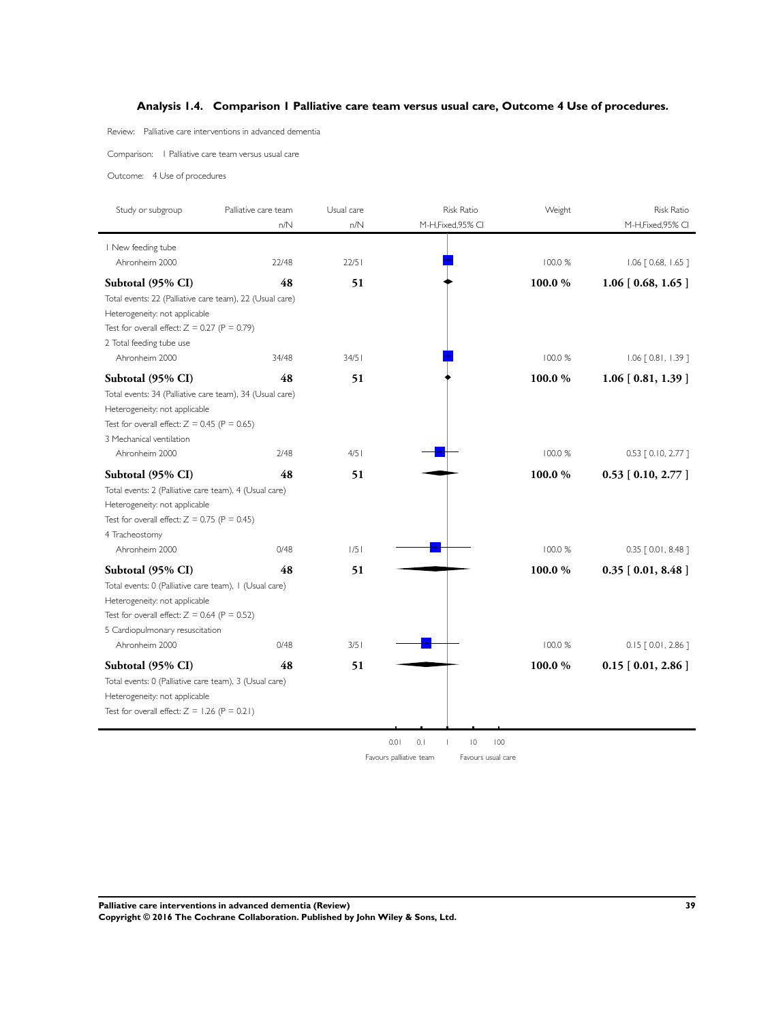# **Analysis 1.4. Comparison 1 Palliative care team versus usual care, Outcome 4 Use of procedures.**

<span id="page-40-0"></span>Review: Palliative care interventions in advanced dementia

Comparison: 1 Palliative care team versus usual care

Outcome: 4 Use of procedures

| Study or subgroup                                        | Palliative care team | Usual care | <b>Risk Ratio</b>                    | Weight  | <b>Risk Ratio</b>        |
|----------------------------------------------------------|----------------------|------------|--------------------------------------|---------|--------------------------|
|                                                          | n/N                  | n/N        | M-H, Fixed, 95% CI                   |         | M-H,Fixed,95% CI         |
| I New feeding tube                                       |                      |            |                                      |         |                          |
| Ahronheim 2000                                           | 22/48                | 22/51      |                                      | 100.0 % | $1.06$ $[0.68, 1.65]$    |
| Subtotal (95% CI)                                        | 48                   | 51         |                                      | 100.0%  | $1.06$ [ 0.68, 1.65 ]    |
| Total events: 22 (Palliative care team), 22 (Usual care) |                      |            |                                      |         |                          |
| Heterogeneity: not applicable                            |                      |            |                                      |         |                          |
| Test for overall effect: $Z = 0.27$ (P = 0.79)           |                      |            |                                      |         |                          |
| 2 Total feeding tube use                                 |                      |            |                                      |         |                          |
| Ahronheim 2000                                           | 34/48                | 34/51      |                                      | 100.0 % | $1.06$ [ 0.81, 1.39 ]    |
| Subtotal (95% CI)                                        | 48                   | 51         |                                      | 100.0%  | $1.06$ [ 0.81, 1.39 ]    |
| Total events: 34 (Palliative care team), 34 (Usual care) |                      |            |                                      |         |                          |
| Heterogeneity: not applicable                            |                      |            |                                      |         |                          |
| Test for overall effect: $Z = 0.45$ (P = 0.65)           |                      |            |                                      |         |                          |
| 3 Mechanical ventilation                                 |                      |            |                                      |         |                          |
| Ahronheim 2000                                           | 2/48                 | 4/5        |                                      | 100.0 % | 0.53 [ 0.10, 2.77 ]      |
| Subtotal (95% CI)                                        | 48                   | 51         |                                      | 100.0%  | $0.53$ [ $0.10, 2.77$ ]  |
| Total events: 2 (Palliative care team), 4 (Usual care)   |                      |            |                                      |         |                          |
| Heterogeneity: not applicable                            |                      |            |                                      |         |                          |
| Test for overall effect: $Z = 0.75$ (P = 0.45)           |                      |            |                                      |         |                          |
| 4 Tracheostomy                                           |                      |            |                                      |         |                          |
| Ahronheim 2000                                           | 0/48                 | 1/51       |                                      | 100.0 % | $0.35$ $[0.01, 8.48]$    |
| Subtotal (95% CI)                                        | 48                   | 51         |                                      | 100.0%  | $0.35$ [ $0.01, 8.48$ ]  |
| Total events: 0 (Palliative care team), 1 (Usual care)   |                      |            |                                      |         |                          |
| Heterogeneity: not applicable                            |                      |            |                                      |         |                          |
| Test for overall effect: $Z = 0.64$ (P = 0.52)           |                      |            |                                      |         |                          |
| 5 Cardiopulmonary resuscitation                          |                      |            |                                      |         |                          |
| Ahronheim 2000                                           | 0/48                 | 3/51       |                                      | 100.0 % | $0.15$ [ $0.01$ , 2.86 ] |
| Subtotal (95% CI)                                        | 48                   | 51         |                                      | 100.0%  | $0.15$ [ $0.01, 2.86$ ]  |
| Total events: 0 (Palliative care team), 3 (Usual care)   |                      |            |                                      |         |                          |
| Heterogeneity: not applicable                            |                      |            |                                      |         |                          |
| Test for overall effect: $Z = 1.26$ (P = 0.21)           |                      |            |                                      |         |                          |
|                                                          |                      |            |                                      |         |                          |
|                                                          |                      |            | 0.01<br>0.1<br>$\overline{0}$<br>100 |         |                          |

Favours palliative team Favours usual care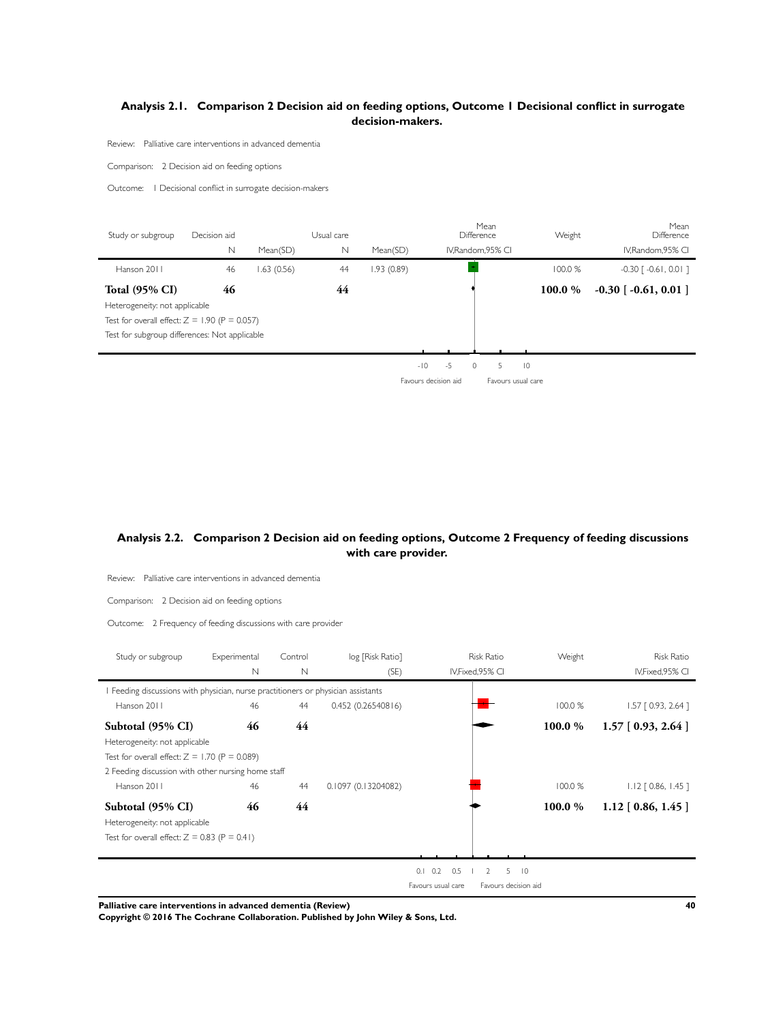# <span id="page-41-0"></span>**Analysis 2.1. Comparison 2 Decision aid on feeding options, Outcome 1 Decisional conflict in surrogate decision-makers.**

Review: Palliative care interventions in advanced dementia

Comparison: 2 Decision aid on feeding options

j.

Outcome: 1 Decisional conflict in surrogate decision-makers

| Study or subgroup                               | Decision aid |            | Usual care |            |                      | Mean<br>Difference | Weight      | Mean<br>Difference                  |
|-------------------------------------------------|--------------|------------|------------|------------|----------------------|--------------------|-------------|-------------------------------------|
|                                                 | N            | Mean(SD)   | N          | Mean(SD)   |                      | IV, Random, 95% CI |             | IV, Random, 95% CI                  |
| Hanson 2011                                     | 46           | 1.63(0.56) | 44         | 1.93(0.89) |                      |                    | 100.0%      | $-0.30$ $\lceil -0.61, 0.01 \rceil$ |
| <b>Total (95% CI)</b>                           | 46           |            | 44         |            |                      |                    | 100.0 %     | $-0.30$ [ $-0.61$ , 0.01 ]          |
| Heterogeneity: not applicable                   |              |            |            |            |                      |                    |             |                                     |
| Test for overall effect: $Z = 1.90$ (P = 0.057) |              |            |            |            |                      |                    |             |                                     |
| Test for subgroup differences: Not applicable   |              |            |            |            |                      |                    |             |                                     |
|                                                 |              |            |            |            |                      |                    |             |                                     |
|                                                 |              |            |            |            | $-5$<br>$-10$        | 5.<br>$\Omega$     | $ 0\rangle$ |                                     |
|                                                 |              |            |            |            | Favours decision aid | Favours usual care |             |                                     |

# **Analysis 2.2. Comparison 2 Decision aid on feeding options, Outcome 2 Frequency of feeding discussions with care provider.**

Review: Palliative care interventions in advanced dementia

Comparison: 2 Decision aid on feeding options

Outcome: 2 Frequency of feeding discussions with care provider

| Study or subgroup                                                               | Experimental | Control      | log [Risk Ratio]    |                    | <b>Risk Ratio</b>                      | Weight  | <b>Risk Ratio</b>     |
|---------------------------------------------------------------------------------|--------------|--------------|---------------------|--------------------|----------------------------------------|---------|-----------------------|
|                                                                                 | N            | $\mathsf{N}$ | (SE)                |                    | IV, Fixed, 95% CI                      |         | IV, Fixed, 95% CI     |
| Feeding discussions with physician, nurse practitioners or physician assistants |              |              |                     |                    |                                        |         |                       |
| Hanson 2011                                                                     | 46           | 44           | 0.452 (0.26540816)  |                    |                                        | 100.0 % | $1.57$ $[0.93, 2.64]$ |
| Subtotal (95% CI)                                                               | 46           | 44           |                     |                    |                                        | 100.0 % | $1.57$ [ 0.93, 2.64 ] |
| Heterogeneity: not applicable                                                   |              |              |                     |                    |                                        |         |                       |
| Test for overall effect: $Z = 1.70$ (P = 0.089)                                 |              |              |                     |                    |                                        |         |                       |
| 2 Feeding discussion with other nursing home staff                              |              |              |                     |                    |                                        |         |                       |
| Hanson 2011                                                                     | 46           | 44           | 0.1097 (0.13204082) |                    |                                        | 100.0%  | $1.12$ [ 0.86, 1.45 ] |
| Subtotal (95% CI)                                                               | 46           | 44           |                     |                    |                                        | 100.0%  | $1.12$ [ 0.86, 1.45 ] |
| Heterogeneity: not applicable                                                   |              |              |                     |                    |                                        |         |                       |
| Test for overall effect: $Z = 0.83$ (P = 0.41)                                  |              |              |                     |                    |                                        |         |                       |
|                                                                                 |              |              |                     |                    |                                        |         |                       |
|                                                                                 |              |              |                     | 0.1<br>0.2<br>0.5  | $\overline{10}$<br>5.<br>$\mathcal{L}$ |         |                       |
|                                                                                 |              |              |                     | Favours usual care | Favours decision aid                   |         |                       |

**Palliative care interventions in advanced dementia (Review) 40**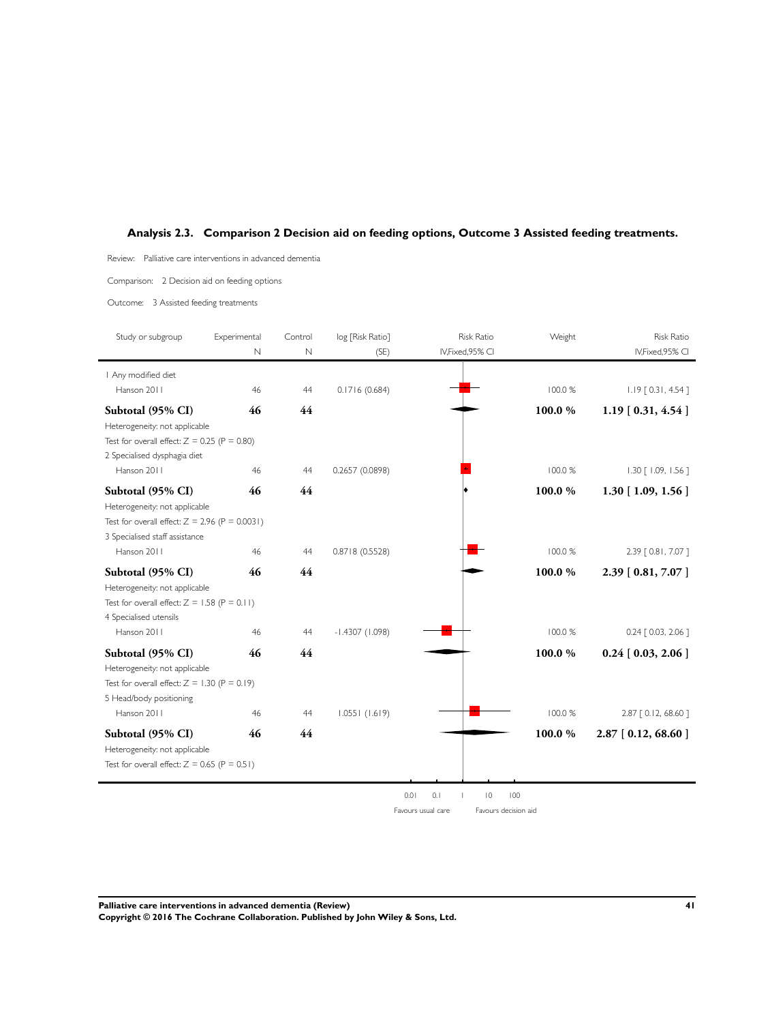# <span id="page-42-0"></span>**Analysis 2.3. Comparison 2 Decision aid on feeding options, Outcome 3 Assisted feeding treatments.**

Review: Palliative care interventions in advanced dementia

Comparison: 2 Decision aid on feeding options

Outcome: 3 Assisted feeding treatments

| Study or subgroup                                                               | Experimental<br>N | Control<br>$\mathbb N$ | log [Risk Ratio]<br>(SE) | <b>Risk Ratio</b><br>IV,Fixed,95% CI       | Weight  | <b>Risk Ratio</b><br>IV,Fixed,95% CI |
|---------------------------------------------------------------------------------|-------------------|------------------------|--------------------------|--------------------------------------------|---------|--------------------------------------|
|                                                                                 |                   |                        |                          |                                            |         |                                      |
| I Any modified diet<br>Hanson 2011                                              | 46                | 44                     | 0.1716(0.684)            |                                            | 100.0 % | $1.19$ [ 0.31, 4.54 ]                |
|                                                                                 |                   |                        |                          |                                            |         |                                      |
| Subtotal (95% CI)                                                               | 46                | 44                     |                          |                                            | 100.0%  | $1.19$ [ 0.31, 4.54 ]                |
| Heterogeneity: not applicable<br>Test for overall effect: $Z = 0.25$ (P = 0.80) |                   |                        |                          |                                            |         |                                      |
| 2 Specialised dysphagia diet                                                    |                   |                        |                          |                                            |         |                                      |
| Hanson 2011                                                                     | 46                | 44                     | 0.2657 (0.0898)          |                                            | 100.0 % | 1.30 [1.09, 1.56]                    |
| Subtotal (95% CI)                                                               | 46                | 44                     |                          |                                            | 100.0%  | $1.30$ [ $1.09, 1.56$ ]              |
| Heterogeneity: not applicable                                                   |                   |                        |                          |                                            |         |                                      |
| Test for overall effect: $Z = 2.96$ (P = 0.0031)                                |                   |                        |                          |                                            |         |                                      |
| 3 Specialised staff assistance                                                  |                   |                        |                          |                                            |         |                                      |
| Hanson 2011                                                                     | 46                | 44                     | 0.8718 (0.5528)          |                                            | 100.0 % | 2.39 [ 0.81, 7.07 ]                  |
| Subtotal (95% CI)                                                               | 46                | 44                     |                          |                                            | 100.0%  | $2.39$ [ 0.81, 7.07 ]                |
| Heterogeneity: not applicable                                                   |                   |                        |                          |                                            |         |                                      |
| Test for overall effect: $Z = 1.58$ (P = 0.11)                                  |                   |                        |                          |                                            |         |                                      |
| 4 Specialised utensils                                                          |                   |                        |                          |                                            |         |                                      |
| Hanson 2011                                                                     | 46                | 44                     | $-1.4307(1.098)$         |                                            | 100.0 % | $0.24$ $[0.03, 2.06]$                |
| Subtotal (95% CI)                                                               | 46                | 44                     |                          |                                            | 100.0%  | $0.24$ [ 0.03, 2.06 ]                |
| Heterogeneity: not applicable                                                   |                   |                        |                          |                                            |         |                                      |
| Test for overall effect: $Z = 1.30$ (P = 0.19)                                  |                   |                        |                          |                                            |         |                                      |
| 5 Head/body positioning<br>Hanson 2011                                          | 46                | 44                     | 1.0551(1.619)            |                                            | 100.0 % | 2.87 [ 0.12, 68.60 ]                 |
|                                                                                 |                   |                        |                          |                                            |         |                                      |
| Subtotal (95% CI)                                                               | 46                | 44                     |                          |                                            | 100.0%  | $2.87$ [ 0.12, 68.60 ]               |
| Heterogeneity: not applicable                                                   |                   |                        |                          |                                            |         |                                      |
| Test for overall effect: $Z = 0.65$ (P = 0.51)                                  |                   |                        |                          |                                            |         |                                      |
|                                                                                 |                   |                        |                          | 0.1<br>0.01<br>10<br>100                   |         |                                      |
|                                                                                 |                   |                        |                          | Favours usual care<br>Favours decision aid |         |                                      |

**Palliative care interventions in advanced dementia (Review) 41 Copyright © 2016 The Cochrane Collaboration. Published by John Wiley & Sons, Ltd.**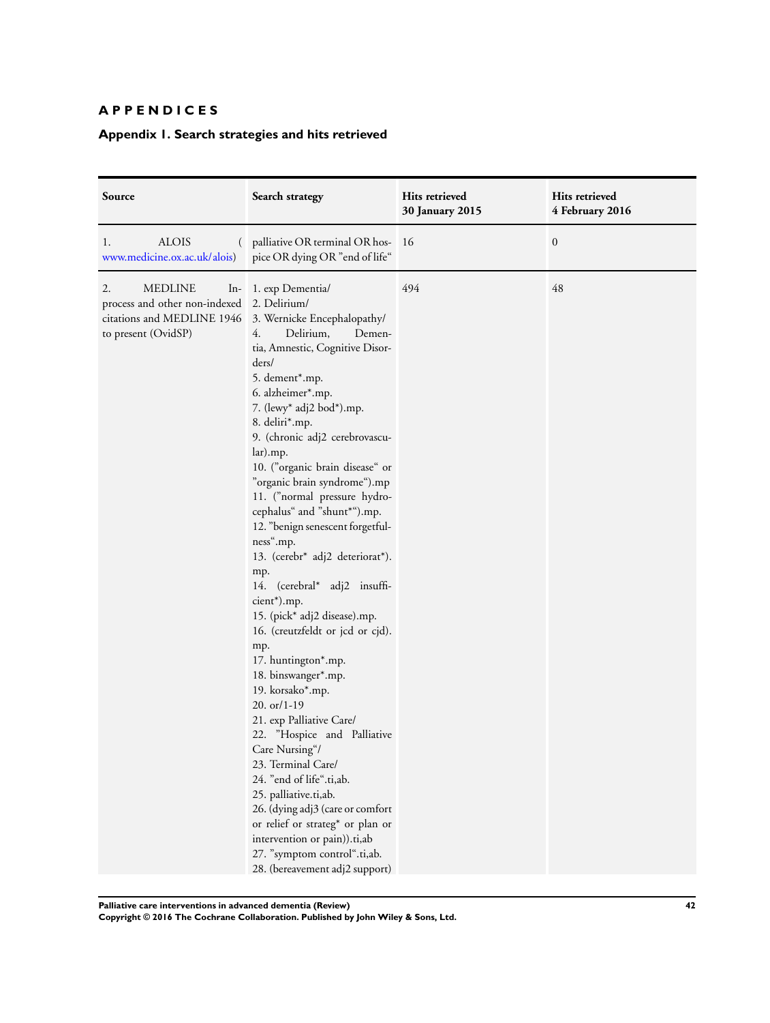# <span id="page-43-0"></span>**A P P E N D I C E S**

# **Appendix 1. Search strategies and hits retrieved**

| Source                                                                                                     | Search strategy                                                                                                                                                                                                                                                                                                                                                                                                                                                                                                                                                                                                                                                                                                                                                                                                                                                                                                                                                                                                                                              | Hits retrieved<br>30 January 2015 | Hits retrieved<br>4 February 2016 |
|------------------------------------------------------------------------------------------------------------|--------------------------------------------------------------------------------------------------------------------------------------------------------------------------------------------------------------------------------------------------------------------------------------------------------------------------------------------------------------------------------------------------------------------------------------------------------------------------------------------------------------------------------------------------------------------------------------------------------------------------------------------------------------------------------------------------------------------------------------------------------------------------------------------------------------------------------------------------------------------------------------------------------------------------------------------------------------------------------------------------------------------------------------------------------------|-----------------------------------|-----------------------------------|
| <b>ALOIS</b><br>1.<br>www.medicine.ox.ac.uk/alois)                                                         | ( palliative OR terminal OR hos-<br>pice OR dying OR "end of life"                                                                                                                                                                                                                                                                                                                                                                                                                                                                                                                                                                                                                                                                                                                                                                                                                                                                                                                                                                                           | -16                               | $\boldsymbol{0}$                  |
| 2.<br><b>MEDLINE</b><br>process and other non-indexed<br>citations and MEDLINE 1946<br>to present (OvidSP) | In- 1. exp Dementia/<br>2. Delirium/<br>3. Wernicke Encephalopathy/<br>4.<br>Delirium,<br>Demen-<br>tia, Amnestic, Cognitive Disor-<br>ders/<br>5. dement*.mp.<br>6. alzheimer*.mp.<br>7. (lewy* adj2 bod*).mp.<br>8. deliri*.mp.<br>9. (chronic adj2 cerebrovascu-<br>lar).mp.<br>10. ("organic brain disease" or<br>"organic brain syndrome").mp<br>11. ("normal pressure hydro-<br>cephalus" and "shunt*").mp.<br>12. "benign senescent forgetful-<br>ness".mp.<br>13. (cerebr* adj2 deteriorat*).<br>mp.<br>14. (cerebral* adj2 insuffi-<br>cient*).mp.<br>15. (pick* adj2 disease).mp.<br>16. (creutzfeldt or jcd or cjd).<br>mp.<br>17. huntington*.mp.<br>18. binswanger*.mp.<br>19. korsako*.mp.<br>20. or $/1-19$<br>21. exp Palliative Care/<br>22. "Hospice and Palliative<br>Care Nursing"/<br>23. Terminal Care/<br>24. "end of life".ti,ab.<br>25. palliative.ti,ab.<br>26. (dying adj3 (care or comfort<br>or relief or strateg* or plan or<br>intervention or pain)).ti,ab<br>27. "symptom control".ti,ab.<br>28. (bereavement adj2 support) | 494                               | 48                                |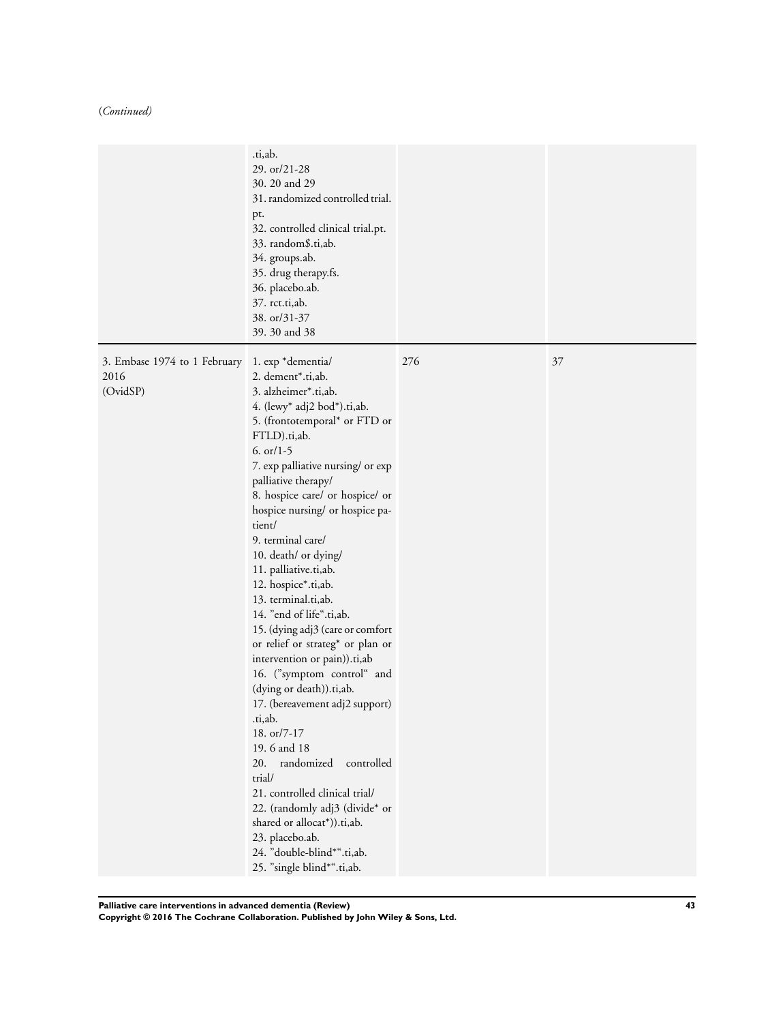|                                                                    | .ti,ab.<br>29. or/21-28<br>30. 20 and 29<br>31. randomized controlled trial.<br>pt.<br>32. controlled clinical trial.pt.<br>33. random\$.ti,ab.<br>34. groups.ab.<br>35. drug therapy.fs.<br>36. placebo.ab.<br>37. rct.ti,ab.<br>38. or/31-37<br>39.30 and 38                                                                                                                                                                                                                                                                                                                                                                                                                                                                                                                                                                                                                                                    |     |    |
|--------------------------------------------------------------------|-------------------------------------------------------------------------------------------------------------------------------------------------------------------------------------------------------------------------------------------------------------------------------------------------------------------------------------------------------------------------------------------------------------------------------------------------------------------------------------------------------------------------------------------------------------------------------------------------------------------------------------------------------------------------------------------------------------------------------------------------------------------------------------------------------------------------------------------------------------------------------------------------------------------|-----|----|
| 3. Embase 1974 to 1 February 1. exp *dementia/<br>2016<br>(OvidSP) | 2. dement*.ti,ab.<br>3. alzheimer*.ti,ab.<br>4. (lewy* adj2 bod*).ti,ab.<br>5. (frontotemporal* or FTD or<br>FTLD).ti,ab.<br>6. or $/1-5$<br>7. exp palliative nursing/ or exp<br>palliative therapy/<br>8. hospice care/ or hospice/ or<br>hospice nursing/ or hospice pa-<br>tient/<br>9. terminal care/<br>10. death/ or dying/<br>11. palliative.ti,ab.<br>12. hospice*.ti,ab.<br>13. terminal.ti,ab.<br>14. "end of life".ti,ab.<br>15. (dying adj3 (care or comfort<br>or relief or strateg* or plan or<br>intervention or pain)).ti,ab<br>16. ("symptom control" and<br>(dying or death)).ti,ab.<br>17. (bereavement adj2 support)<br>.ti,ab.<br>18. or/7-17<br>19.6 and 18<br>randomized<br>controlled<br>20.<br>trial/<br>21. controlled clinical trial/<br>22. (randomly adj3 (divide* or<br>shared or allocat*)).ti,ab.<br>23. placebo.ab.<br>24. "double-blind*".ti,ab.<br>25. "single blind*".ti,ab. | 276 | 37 |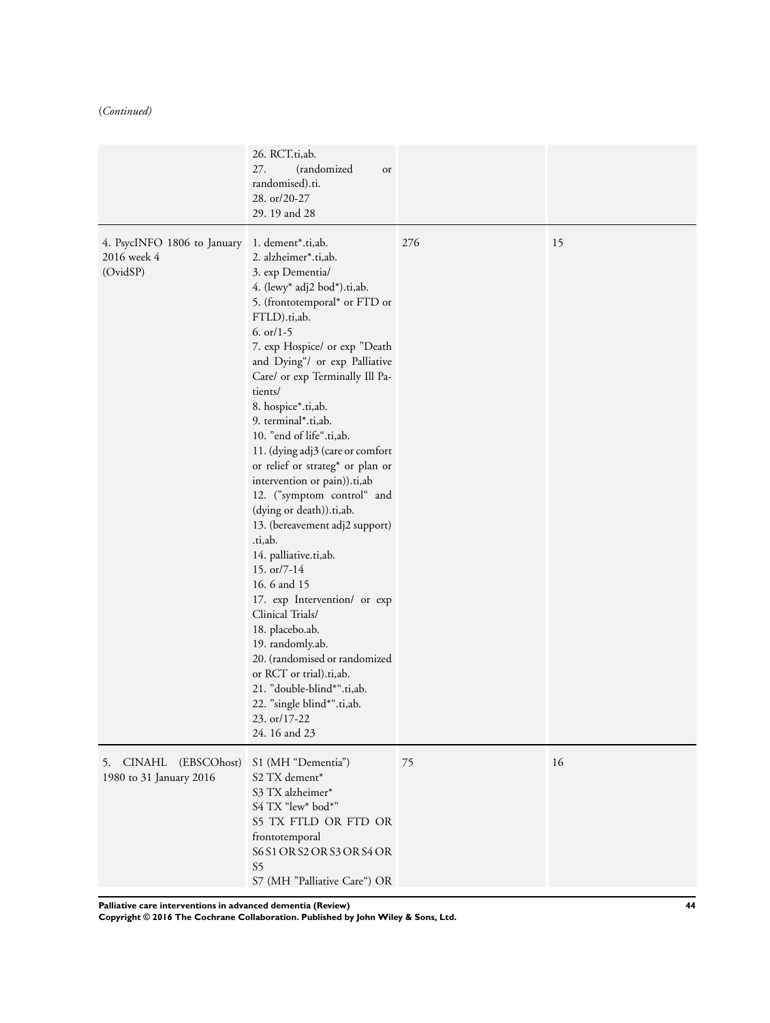|                                                                          | 26. RCT.ti,ab.<br>27.<br>(randomized<br>or<br>randomised).ti.<br>28. or/20-27<br>29. 19 and 28                                                                                                                                                                                                                                                                                                                                                                                                                                                                                                                                                                                                                                                                                                                                                              |     |    |
|--------------------------------------------------------------------------|-------------------------------------------------------------------------------------------------------------------------------------------------------------------------------------------------------------------------------------------------------------------------------------------------------------------------------------------------------------------------------------------------------------------------------------------------------------------------------------------------------------------------------------------------------------------------------------------------------------------------------------------------------------------------------------------------------------------------------------------------------------------------------------------------------------------------------------------------------------|-----|----|
| 4. PsycINFO 1806 to January 1. dement*.ti,ab.<br>2016 week 4<br>(OvidSP) | 2. alzheimer*.ti,ab.<br>3. exp Dementia/<br>4. (lewy* adj2 bod*).ti,ab.<br>5. (frontotemporal* or FTD or<br>FTLD).ti,ab.<br>6. or $/1-5$<br>7. exp Hospice/ or exp "Death<br>and Dying"/ or exp Palliative<br>Care/ or exp Terminally Ill Pa-<br>tients/<br>8. hospice*.ti,ab.<br>9. terminal*.ti,ab.<br>10. "end of life".ti,ab.<br>11. (dying adj3 (care or comfort<br>or relief or strateg* or plan or<br>intervention or pain)).ti,ab<br>12. ("symptom control" and<br>(dying or death)).ti,ab.<br>13. (bereavement adj2 support)<br>.ti,ab.<br>14. palliative.ti,ab.<br>15. or/7-14<br>16.6 and 15<br>17. exp Intervention/ or exp<br>Clinical Trials/<br>18. placebo.ab.<br>19. randomly.ab.<br>20. (randomised or randomized<br>or RCT or trial).ti,ab.<br>21. "double-blind*".ti,ab.<br>22. "single blind*".ti,ab.<br>23. or/17-22<br>24. 16 and 23 | 276 | 15 |
| <b>CINAHL</b><br>(EBSCOhost)<br>5.<br>1980 to 31 January 2016            | S1 (MH "Dementia")<br>S2 TX dement*<br>S3 TX alzheimer*<br>S4 TX "lew* bod*"<br>S5 TX FTLD OR FTD OR<br>frontotemporal<br>S6 S1 OR S2 OR S3 OR S4 OR<br>S <sub>5</sub><br>S7 (MH "Palliative Care") OR                                                                                                                                                                                                                                                                                                                                                                                                                                                                                                                                                                                                                                                      | 75  | 16 |

**Palliative care interventions in advanced dementia (Review) 44**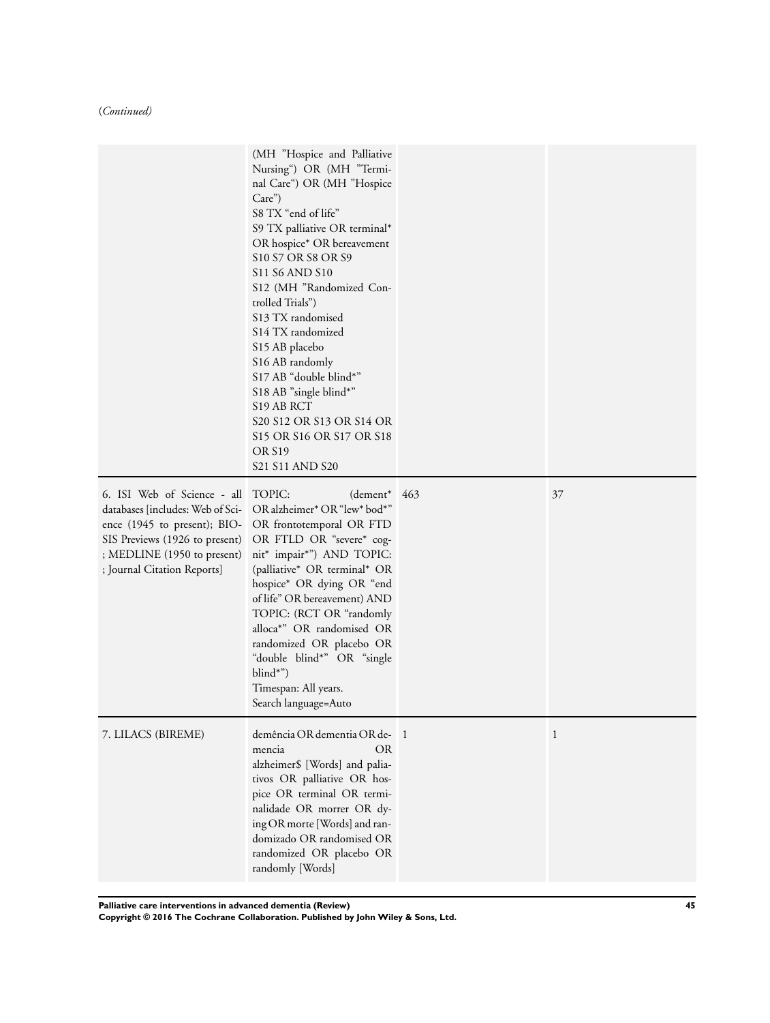|                                                                                                                                                                                                        | (MH "Hospice and Palliative<br>Nursing") OR (MH "Termi-<br>nal Care") OR (MH "Hospice<br>Care")<br>S8 TX "end of life"<br>S9 TX palliative OR terminal*<br>OR hospice* OR bereavement<br>S10 S7 OR S8 OR S9<br><b>S11 S6 AND S10</b><br>S12 (MH "Randomized Con-<br>trolled Trials")<br>S13 TX randomised<br>S14 TX randomized<br>S15 AB placebo<br>S16 AB randomly<br>S17 AB "double blind*"<br>S18 AB "single blind*"<br>S <sub>19</sub> AB RCT<br>S20 S12 OR S13 OR S14 OR<br>\$15 OR \$16 OR \$17 OR \$18<br><b>OR S19</b><br><b>S21 S11 AND S20</b> |              |
|--------------------------------------------------------------------------------------------------------------------------------------------------------------------------------------------------------|----------------------------------------------------------------------------------------------------------------------------------------------------------------------------------------------------------------------------------------------------------------------------------------------------------------------------------------------------------------------------------------------------------------------------------------------------------------------------------------------------------------------------------------------------------|--------------|
| 6. ISI Web of Science - all TOPIC:<br>databases [includes: Web of Sci-<br>ence (1945 to present); BIO-<br>SIS Previews (1926 to present)<br>; MEDLINE (1950 to present)<br>; Journal Citation Reports] | $(dement* 463)$<br>OR alzheimer* OR "lew* bod*"<br>OR frontotemporal OR FTD<br>OR FTLD OR "severe* cog-<br>nit* impair*") AND TOPIC:<br>(palliative* OR terminal* OR<br>hospice* OR dying OR "end<br>of life" OR bereavement) AND<br>TOPIC: (RCT OR "randomly<br>alloca*" OR randomised OR<br>randomized OR placebo OR<br>"double blind*" OR "single<br>$blind^{*})$<br>Timespan: All years.<br>Search language=Auto                                                                                                                                     | 37           |
| 7. LILACS (BIREME)                                                                                                                                                                                     | demência OR dementia OR de-1<br>OR<br>mencia<br>alzheimer\$ [Words] and palia-<br>tivos OR palliative OR hos-<br>pice OR terminal OR termi-<br>nalidade OR morrer OR dy-<br>ing OR morte [Words] and ran-<br>domizado OR randomised OR<br>randomized OR placebo OR<br>randomly [Words]                                                                                                                                                                                                                                                                   | $\mathbf{1}$ |
|                                                                                                                                                                                                        |                                                                                                                                                                                                                                                                                                                                                                                                                                                                                                                                                          |              |

**Palliative care interventions in advanced dementia (Review) 45**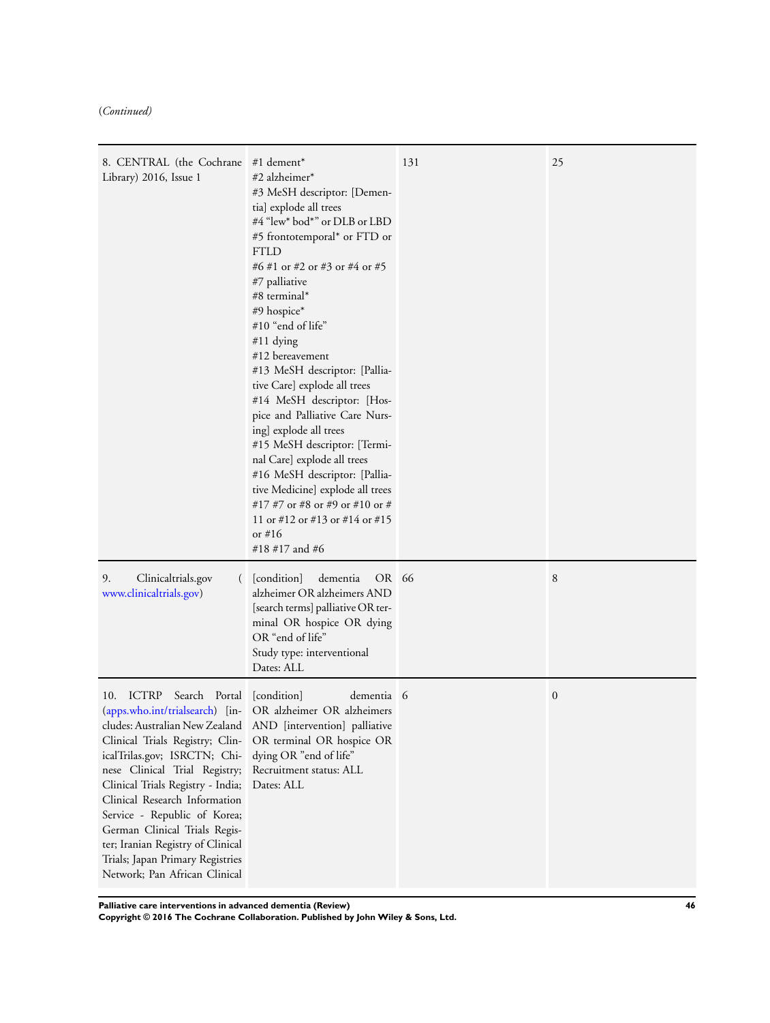| 8. CENTRAL (the Cochrane #1 dement*<br>Library) 2016, Issue 1                                                                                                                                                                                                                                                                                               | #2 alzheimer*<br>#3 MeSH descriptor: [Demen-<br>tia] explode all trees<br>#4 "lew* bod*" or DLB or LBD<br>#5 frontotemporal* or FTD or<br><b>FTLD</b><br>#6 #1 or #2 or #3 or #4 or #5<br>#7 palliative<br>#8 terminal*<br>#9 hospice*<br>#10 "end of life"<br>$#11$ dying<br>#12 bereavement<br>#13 MeSH descriptor: [Pallia-<br>tive Care] explode all trees<br>#14 MeSH descriptor: [Hos-<br>pice and Palliative Care Nurs-<br>ing] explode all trees<br>#15 MeSH descriptor: [Termi-<br>nal Care] explode all trees<br>#16 MeSH descriptor: [Pallia-<br>tive Medicine] explode all trees<br>#17 #7 or #8 or #9 or #10 or #<br>11 or #12 or #13 or #14 or #15<br>or $\#16$<br>#18 #17 and #6 | 131 | 25           |
|-------------------------------------------------------------------------------------------------------------------------------------------------------------------------------------------------------------------------------------------------------------------------------------------------------------------------------------------------------------|-------------------------------------------------------------------------------------------------------------------------------------------------------------------------------------------------------------------------------------------------------------------------------------------------------------------------------------------------------------------------------------------------------------------------------------------------------------------------------------------------------------------------------------------------------------------------------------------------------------------------------------------------------------------------------------------------|-----|--------------|
| 9.<br>Clinicaltrials.gov<br>www.clinicaltrials.gov)                                                                                                                                                                                                                                                                                                         | ( [condition]<br>dementia<br>OR 66<br>alzheimer OR alzheimers AND<br>[search terms] palliative OR ter-<br>minal OR hospice OR dying<br>OR "end of life"<br>Study type: interventional<br>Dates: ALL                                                                                                                                                                                                                                                                                                                                                                                                                                                                                             |     | 8            |
| ICTRP<br>Search Portal [condition]<br>10.<br>icalTrilas.gov; ISRCTN; Chi-<br>nese Clinical Trial Registry;<br>Clinical Trials Registry - India;<br>Clinical Research Information<br>Service - Republic of Korea;<br>German Clinical Trials Regis-<br>ter; Iranian Registry of Clinical<br>Trials; Japan Primary Registries<br>Network; Pan African Clinical | dementia 6<br>(apps.who.int/trialsearch) [in- OR alzheimer OR alzheimers<br>cludes: Australian New Zealand  AND [intervention] palliative<br>Clinical Trials Registry; Clin- OR terminal OR hospice OR<br>dying OR "end of life"<br>Recruitment status: ALL<br>Dates: ALL                                                                                                                                                                                                                                                                                                                                                                                                                       |     | $\mathbf{0}$ |

**Palliative care interventions in advanced dementia (Review) 46**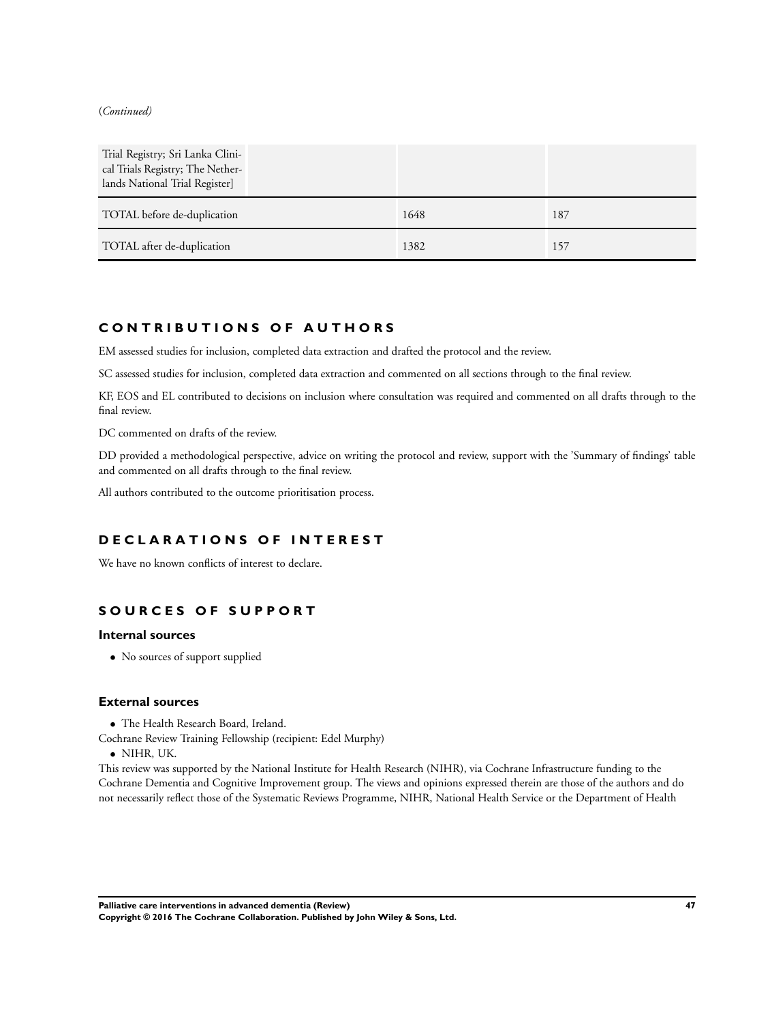| Trial Registry; Sri Lanka Clini-<br>cal Trials Registry; The Nether-<br>lands National Trial Register] |      |     |
|--------------------------------------------------------------------------------------------------------|------|-----|
| TOTAL before de-duplication                                                                            | 1648 | 187 |
| TOTAL after de-duplication                                                                             | 1382 | 157 |

# **C O N T R I B U T I O N S O F A U T H O R S**

EM assessed studies for inclusion, completed data extraction and drafted the protocol and the review.

SC assessed studies for inclusion, completed data extraction and commented on all sections through to the final review.

KF, EOS and EL contributed to decisions on inclusion where consultation was required and commented on all drafts through to the final review.

DC commented on drafts of the review.

DD provided a methodological perspective, advice on writing the protocol and review, support with the 'Summary of findings' table and commented on all drafts through to the final review.

All authors contributed to the outcome prioritisation process.

# **D E C L A R A T I O N S O F I N T E R E S T**

We have no known conflicts of interest to declare.

# **S O U R C E S O F S U P P O R T**

# **Internal sources**

• No sources of support supplied

### **External sources**

- The Health Research Board, Ireland.
- Cochrane Review Training Fellowship (recipient: Edel Murphy)
	- NIHR, UK.

This review was supported by the National Institute for Health Research (NIHR), via Cochrane Infrastructure funding to the Cochrane Dementia and Cognitive Improvement group. The views and opinions expressed therein are those of the authors and do not necessarily reflect those of the Systematic Reviews Programme, NIHR, National Health Service or the Department of Health